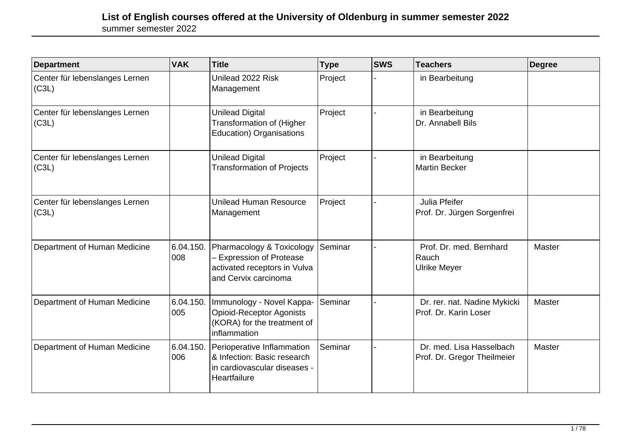| <b>Department</b>                       | <b>VAK</b>       | <b>Title</b>                                                                                                       | <b>Type</b> | <b>SWS</b> | <b>Teachers</b>                                         | Degree |
|-----------------------------------------|------------------|--------------------------------------------------------------------------------------------------------------------|-------------|------------|---------------------------------------------------------|--------|
| Center für lebenslanges Lernen<br>(C3L) |                  | Unilead 2022 Risk<br>Management                                                                                    | Project     |            | in Bearbeitung                                          |        |
| Center für lebenslanges Lernen<br>(C3L) |                  | <b>Unilead Digital</b><br>Transformation of (Higher<br><b>Education) Organisations</b>                             | Project     |            | in Bearbeitung<br>Dr. Annabell Bils                     |        |
| Center für lebenslanges Lernen<br>(C3L) |                  | <b>Unilead Digital</b><br><b>Transformation of Projects</b>                                                        | Project     |            | in Bearbeitung<br><b>Martin Becker</b>                  |        |
| Center für lebenslanges Lernen<br>(C3L) |                  | Unilead Human Resource<br>Management                                                                               | Project     |            | Julia Pfeifer<br>Prof. Dr. Jürgen Sorgenfrei            |        |
| Department of Human Medicine            | 6.04.150.<br>008 | Pharmacology & Toxicology<br><b>Expression of Protease</b><br>activated receptors in Vulva<br>and Cervix carcinoma | Seminar     |            | Prof. Dr. med. Bernhard<br>Rauch<br><b>Ulrike Meyer</b> | Master |
| Department of Human Medicine            | 6.04.150.<br>005 | Immunology - Novel Kappa-<br><b>Opioid-Receptor Agonists</b><br>(KORA) for the treatment of<br>inflammation        | Seminar     |            | Dr. rer. nat. Nadine Mykicki<br>Prof. Dr. Karin Loser   | Master |
| Department of Human Medicine            | 6.04.150.<br>006 | Perioperative Inflammation<br>& Infection: Basic research<br>in cardiovascular diseases -<br>Heartfailure          | Seminar     |            | Dr. med. Lisa Hasselbach<br>Prof. Dr. Gregor Theilmeier | Master |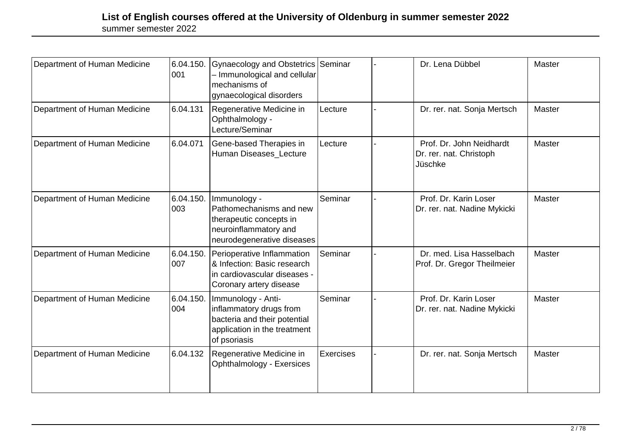| Department of Human Medicine | 6.04.150.<br>001 | Gynaecology and Obstetrics Seminar<br>- Immunological and cellular<br>mechanisms of<br>gynaecological disorders               |           | Dr. Lena Dübbel                                                | Master        |
|------------------------------|------------------|-------------------------------------------------------------------------------------------------------------------------------|-----------|----------------------------------------------------------------|---------------|
| Department of Human Medicine | 6.04.131         | Regenerative Medicine in<br>Ophthalmology -<br>Lecture/Seminar                                                                | Lecture   | Dr. rer. nat. Sonja Mertsch                                    | <b>Master</b> |
| Department of Human Medicine | 6.04.071         | Gene-based Therapies in<br>Human Diseases Lecture                                                                             | Lecture   | Prof. Dr. John Neidhardt<br>Dr. rer. nat. Christoph<br>Jüschke | Master        |
| Department of Human Medicine | 6.04.150.<br>003 | Immunology -<br>Pathomechanisms and new<br>therapeutic concepts in<br>neuroinflammatory and<br>neurodegenerative diseases     | Seminar   | Prof. Dr. Karin Loser<br>Dr. rer. nat. Nadine Mykicki          | Master        |
| Department of Human Medicine | 6.04.150.<br>007 | Perioperative Inflammation<br>& Infection: Basic research<br>in cardiovascular diseases -<br>Coronary artery disease          | Seminar   | Dr. med. Lisa Hasselbach<br>Prof. Dr. Gregor Theilmeier        | Master        |
| Department of Human Medicine | 6.04.150.<br>004 | Immunology - Anti-<br>inflammatory drugs from<br>bacteria and their potential<br>application in the treatment<br>of psoriasis | Seminar   | Prof. Dr. Karin Loser<br>Dr. rer. nat. Nadine Mykicki          | Master        |
| Department of Human Medicine | 6.04.132         | Regenerative Medicine in<br><b>Ophthalmology - Exersices</b>                                                                  | Exercises | Dr. rer. nat. Sonja Mertsch                                    | Master        |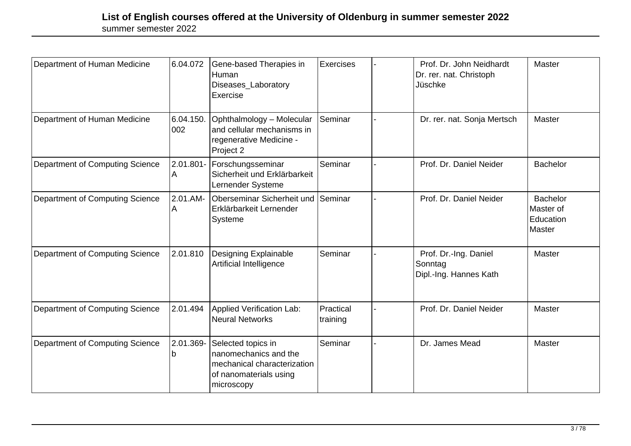| Department of Human Medicine           | 6.04.072         | Gene-based Therapies in<br>Human<br>Diseases_Laboratory<br>Exercise                                                | <b>Exercises</b>      | Prof. Dr. John Neidhardt<br>Dr. rer. nat. Christoph<br>Jüschke | Master                                              |
|----------------------------------------|------------------|--------------------------------------------------------------------------------------------------------------------|-----------------------|----------------------------------------------------------------|-----------------------------------------------------|
| Department of Human Medicine           | 6.04.150.<br>002 | Ophthalmology - Molecular<br>and cellular mechanisms in<br>regenerative Medicine -<br>Project 2                    | Seminar               | Dr. rer. nat. Sonja Mertsch                                    | Master                                              |
| Department of Computing Science        | 2.01.801-<br>A   | Forschungsseminar<br>Sicherheit und Erklärbarkeit<br>Lernender Systeme                                             | Seminar               | Prof. Dr. Daniel Neider                                        | <b>Bachelor</b>                                     |
| Department of Computing Science        | 2.01.AM-<br>A    | Oberseminar Sicherheit und<br>Erklärbarkeit Lernender<br>Systeme                                                   | <b>Seminar</b>        | Prof. Dr. Daniel Neider                                        | <b>Bachelor</b><br>Master of<br>Education<br>Master |
| <b>Department of Computing Science</b> | 2.01.810         | Designing Explainable<br>Artificial Intelligence                                                                   | Seminar               | Prof. Dr.-Ing. Daniel<br>Sonntag<br>Dipl.-Ing. Hannes Kath     | Master                                              |
| Department of Computing Science        | 2.01.494         | Applied Verification Lab:<br><b>Neural Networks</b>                                                                | Practical<br>training | Prof. Dr. Daniel Neider                                        | Master                                              |
| <b>Department of Computing Science</b> | 2.01.369-<br>n   | Selected topics in<br>nanomechanics and the<br>mechanical characterization<br>of nanomaterials using<br>microscopy | Seminar               | Dr. James Mead                                                 | Master                                              |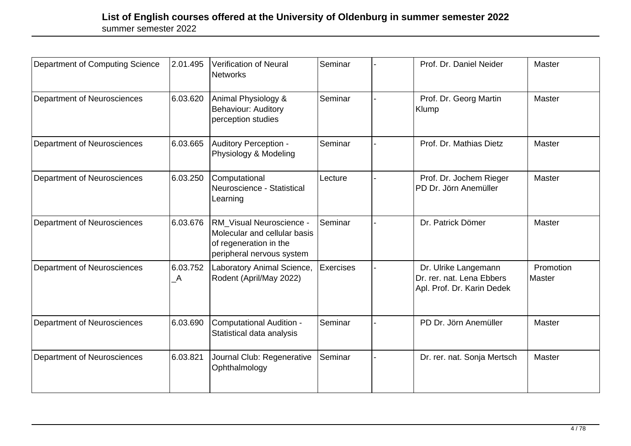| Department of Computing Science    | 2.01.495                             | Verification of Neural<br><b>Networks</b>                                                                       | Seminar          | Prof. Dr. Daniel Neider                                                         | Master              |
|------------------------------------|--------------------------------------|-----------------------------------------------------------------------------------------------------------------|------------------|---------------------------------------------------------------------------------|---------------------|
| Department of Neurosciences        | 6.03.620                             | Animal Physiology &<br><b>Behaviour: Auditory</b><br>perception studies                                         | Seminar          | Prof. Dr. Georg Martin<br>Klump                                                 | Master              |
| Department of Neurosciences        | 6.03.665                             | <b>Auditory Perception -</b><br>Physiology & Modeling                                                           | Seminar          | Prof. Dr. Mathias Dietz                                                         | Master              |
| Department of Neurosciences        | 6.03.250                             | Computational<br>Neuroscience - Statistical<br>Learning                                                         | Lecture          | Prof. Dr. Jochem Rieger<br>PD Dr. Jörn Anemüller                                | Master              |
| Department of Neurosciences        | 6.03.676                             | RM Visual Neuroscience -<br>Molecular and cellular basis<br>of regeneration in the<br>peripheral nervous system | Seminar          | Dr. Patrick Dömer                                                               | Master              |
| <b>Department of Neurosciences</b> | 6.03.752<br>$\overline{\phantom{a}}$ | Laboratory Animal Science,<br>Rodent (April/May 2022)                                                           | <b>Exercises</b> | Dr. Ulrike Langemann<br>Dr. rer. nat. Lena Ebbers<br>Apl. Prof. Dr. Karin Dedek | Promotion<br>Master |
| Department of Neurosciences        | 6.03.690                             | <b>Computational Audition -</b><br>Statistical data analysis                                                    | Seminar          | PD Dr. Jörn Anemüller                                                           | Master              |
| Department of Neurosciences        | 6.03.821                             | Journal Club: Regenerative<br>Ophthalmology                                                                     | Seminar          | Dr. rer. nat. Sonja Mertsch                                                     | Master              |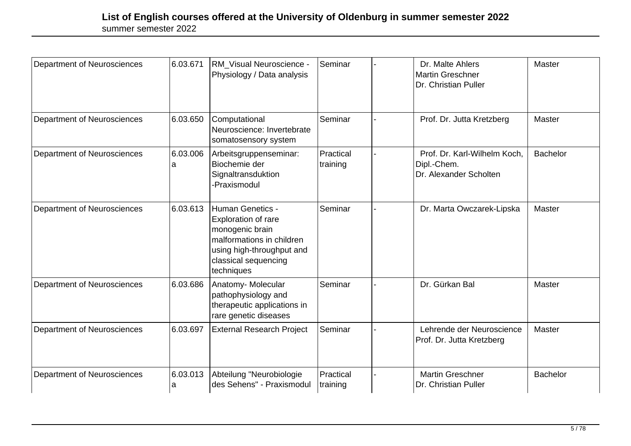| Department of Neurosciences | 6.03.671      | RM_Visual Neuroscience -<br>Physiology / Data analysis                                                                                                            | Seminar               | Dr. Malte Ahlers<br><b>Martin Greschner</b><br>Dr. Christian Puller   | <b>Master</b>   |
|-----------------------------|---------------|-------------------------------------------------------------------------------------------------------------------------------------------------------------------|-----------------------|-----------------------------------------------------------------------|-----------------|
| Department of Neurosciences | 6.03.650      | Computational<br>Neuroscience: Invertebrate<br>somatosensory system                                                                                               | Seminar               | Prof. Dr. Jutta Kretzberg                                             | <b>Master</b>   |
| Department of Neurosciences | 6.03.006<br>а | Arbeitsgruppenseminar:<br>Biochemie der<br>Signaltransduktion<br>-Praxismodul                                                                                     | Practical<br>training | Prof. Dr. Karl-Wilhelm Koch,<br>Dipl.-Chem.<br>Dr. Alexander Scholten | <b>Bachelor</b> |
| Department of Neurosciences | 6.03.613      | <b>Human Genetics -</b><br>Exploration of rare<br>monogenic brain<br>malformations in children<br>using high-throughput and<br>classical sequencing<br>techniques | Seminar               | Dr. Marta Owczarek-Lipska                                             | Master          |
| Department of Neurosciences | 6.03.686      | Anatomy-Molecular<br>pathophysiology and<br>therapeutic applications in<br>rare genetic diseases                                                                  | Seminar               | Dr. Gürkan Bal                                                        | Master          |
| Department of Neurosciences | 6.03.697      | <b>External Research Project</b>                                                                                                                                  | Seminar               | Lehrende der Neuroscience<br>Prof. Dr. Jutta Kretzberg                | Master          |
| Department of Neurosciences | 6.03.013<br>a | Abteilung "Neurobiologie<br>des Sehens" - Praxismodul                                                                                                             | Practical<br>training | <b>Martin Greschner</b><br>Dr. Christian Puller                       | <b>Bachelor</b> |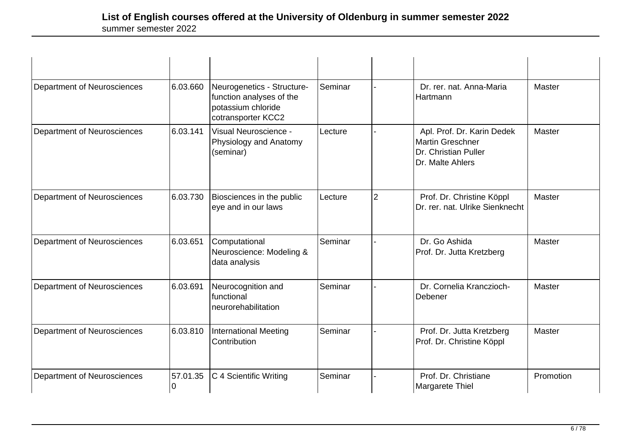| Department of Neurosciences        | 6.03.660 | Neurogenetics - Structure-<br>function analyses of the<br>potassium chloride<br>cotransporter KCC2 | Seminar |                | Dr. rer. nat. Anna-Maria<br>Hartmann                                                              | Master    |
|------------------------------------|----------|----------------------------------------------------------------------------------------------------|---------|----------------|---------------------------------------------------------------------------------------------------|-----------|
| Department of Neurosciences        | 6.03.141 | Visual Neuroscience -<br>Physiology and Anatomy<br>(seminar)                                       | Lecture |                | Apl. Prof. Dr. Karin Dedek<br><b>Martin Greschner</b><br>Dr. Christian Puller<br>Dr. Malte Ahlers | Master    |
| Department of Neurosciences        | 6.03.730 | Biosciences in the public<br>eye and in our laws                                                   | Lecture | $\overline{2}$ | Prof. Dr. Christine Köppl<br>Dr. rer. nat. Ulrike Sienknecht                                      | Master    |
| Department of Neurosciences        | 6.03.651 | Computational<br>Neuroscience: Modeling &<br>data analysis                                         | Seminar |                | Dr. Go Ashida<br>Prof. Dr. Jutta Kretzberg                                                        | Master    |
| <b>Department of Neurosciences</b> | 6.03.691 | Neurocognition and<br>functional<br>neurorehabilitation                                            | Seminar |                | Dr. Cornelia Kranczioch-<br>Debener                                                               | Master    |
| <b>Department of Neurosciences</b> | 6.03.810 | International Meeting<br>Contribution                                                              | Seminar |                | Prof. Dr. Jutta Kretzberg<br>Prof. Dr. Christine Köppl                                            | Master    |
| Department of Neurosciences        | 57.01.35 | C 4 Scientific Writing                                                                             | Seminar |                | Prof. Dr. Christiane<br>Margarete Thiel                                                           | Promotion |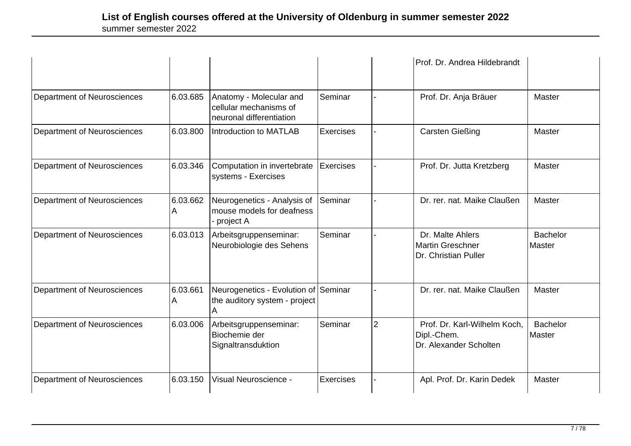|                                    |               |                                                                               |                  |                | Prof. Dr. Andrea Hildebrandt                                          |                           |
|------------------------------------|---------------|-------------------------------------------------------------------------------|------------------|----------------|-----------------------------------------------------------------------|---------------------------|
| Department of Neurosciences        | 6.03.685      | Anatomy - Molecular and<br>cellular mechanisms of<br>neuronal differentiation | Seminar          |                | Prof. Dr. Anja Bräuer                                                 | Master                    |
| Department of Neurosciences        | 6.03.800      | Introduction to MATLAB                                                        | Exercises        |                | <b>Carsten Gießing</b>                                                | Master                    |
| Department of Neurosciences        | 6.03.346      | Computation in invertebrate<br>systems - Exercises                            | Exercises        |                | Prof. Dr. Jutta Kretzberg                                             | Master                    |
| Department of Neurosciences        | 6.03.662<br>A | Neurogenetics - Analysis of<br>mouse models for deafness<br>project A         | Seminar          |                | Dr. rer. nat. Maike Claußen                                           | Master                    |
| <b>Department of Neurosciences</b> | 6.03.013      | Arbeitsgruppenseminar:<br>Neurobiologie des Sehens                            | Seminar          |                | Dr. Malte Ahlers<br><b>Martin Greschner</b><br>Dr. Christian Puller   | <b>Bachelor</b><br>Master |
| Department of Neurosciences        | 6.03.661<br>A | Neurogenetics - Evolution of Seminar<br>the auditory system - project<br>Α    |                  |                | Dr. rer. nat. Maike Claußen                                           | Master                    |
| Department of Neurosciences        | 6.03.006      | Arbeitsgruppenseminar:<br>Biochemie der<br>Signaltransduktion                 | Seminar          | $\overline{2}$ | Prof. Dr. Karl-Wilhelm Koch,<br>Dipl.-Chem.<br>Dr. Alexander Scholten | <b>Bachelor</b><br>Master |
| Department of Neurosciences        | 6.03.150      | Visual Neuroscience -                                                         | <b>Exercises</b> |                | Apl. Prof. Dr. Karin Dedek                                            | <b>Master</b>             |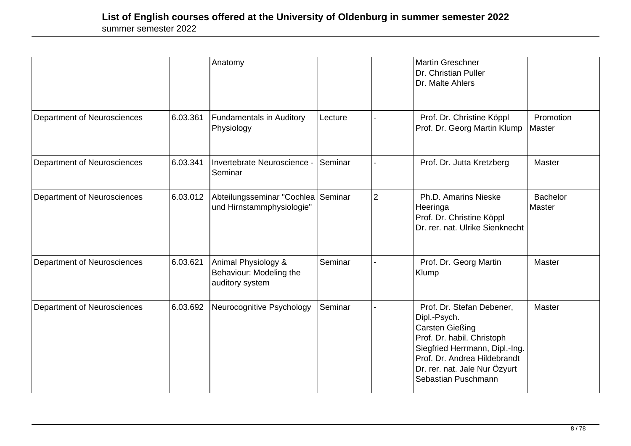|                                    |          | Anatomy                                                           |         |                | <b>Martin Greschner</b><br>Dr. Christian Puller<br>Dr. Malte Ahlers                                                                                                                                                         |                           |
|------------------------------------|----------|-------------------------------------------------------------------|---------|----------------|-----------------------------------------------------------------------------------------------------------------------------------------------------------------------------------------------------------------------------|---------------------------|
| Department of Neurosciences        | 6.03.361 | <b>Fundamentals in Auditory</b><br>Physiology                     | Lecture |                | Prof. Dr. Christine Köppl<br>Prof. Dr. Georg Martin Klump                                                                                                                                                                   | Promotion<br>Master       |
| <b>Department of Neurosciences</b> | 6.03.341 | Invertebrate Neuroscience -<br>Seminar                            | Seminar |                | Prof. Dr. Jutta Kretzberg                                                                                                                                                                                                   | Master                    |
| Department of Neurosciences        | 6.03.012 | Abteilungsseminar "Cochlea<br>und Hirnstammphysiologie"           | Seminar | $\overline{2}$ | Ph.D. Amarins Nieske<br>Heeringa<br>Prof. Dr. Christine Köppl<br>Dr. rer. nat. Ulrike Sienknecht                                                                                                                            | <b>Bachelor</b><br>Master |
| Department of Neurosciences        | 6.03.621 | Animal Physiology &<br>Behaviour: Modeling the<br>auditory system | Seminar |                | Prof. Dr. Georg Martin<br>Klump                                                                                                                                                                                             | Master                    |
| Department of Neurosciences        | 6.03.692 | Neurocognitive Psychology                                         | Seminar |                | Prof. Dr. Stefan Debener,<br>Dipl.-Psych.<br><b>Carsten Gießing</b><br>Prof. Dr. habil. Christoph<br>Siegfried Herrmann, Dipl.-Ing.<br>Prof. Dr. Andrea Hildebrandt<br>Dr. rer. nat. Jale Nur Özyurt<br>Sebastian Puschmann | Master                    |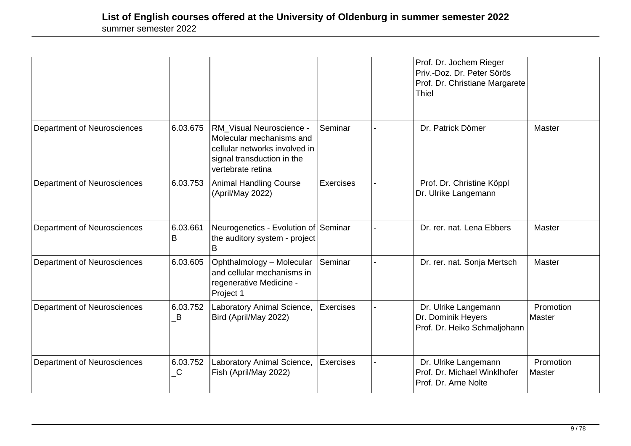|                                    |                                     |                                                                                                                                                 |           | Prof. Dr. Jochem Rieger<br>Priv.-Doz. Dr. Peter Sörös<br>Prof. Dr. Christiane Margarete<br><b>Thiel</b> |                     |
|------------------------------------|-------------------------------------|-------------------------------------------------------------------------------------------------------------------------------------------------|-----------|---------------------------------------------------------------------------------------------------------|---------------------|
| Department of Neurosciences        | 6.03.675                            | <b>RM_Visual Neuroscience -</b><br>Molecular mechanisms and<br>cellular networks involved in<br>signal transduction in the<br>vertebrate retina | Seminar   | Dr. Patrick Dömer                                                                                       | Master              |
| Department of Neurosciences        | 6.03.753                            | <b>Animal Handling Course</b><br>(April/May 2022)                                                                                               | Exercises | Prof. Dr. Christine Köppl<br>Dr. Ulrike Langemann                                                       |                     |
| Department of Neurosciences        | 6.03.661<br>B                       | Neurogenetics - Evolution of Seminar<br>the auditory system - project<br>B                                                                      |           | Dr. rer. nat. Lena Ebbers                                                                               | Master              |
| Department of Neurosciences        | 6.03.605                            | Ophthalmology - Molecular<br>and cellular mechanisms in<br>regenerative Medicine -<br>Project 1                                                 | Seminar   | Dr. rer. nat. Sonja Mertsch                                                                             | Master              |
| <b>Department of Neurosciences</b> | 6.03.752<br>B                       | Laboratory Animal Science,<br>Bird (April/May 2022)                                                                                             | Exercises | Dr. Ulrike Langemann<br>Dr. Dominik Heyers<br>Prof. Dr. Heiko Schmaljohann                              | Promotion<br>Master |
| Department of Neurosciences        | 6.03.752<br>$\overline{\mathsf{C}}$ | Laboratory Animal Science,<br>Fish (April/May 2022)                                                                                             | Exercises | Dr. Ulrike Langemann<br>Prof. Dr. Michael Winklhofer<br>Prof. Dr. Arne Nolte                            | Promotion<br>Master |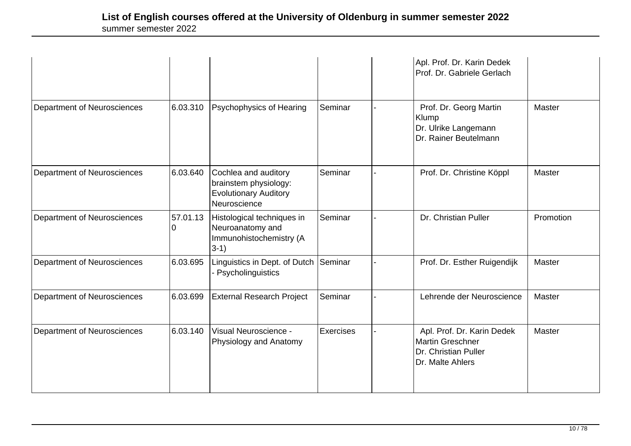|                                    |               |                                                                                               |                  | Apl. Prof. Dr. Karin Dedek<br>Prof. Dr. Gabriele Gerlach                                          |               |
|------------------------------------|---------------|-----------------------------------------------------------------------------------------------|------------------|---------------------------------------------------------------------------------------------------|---------------|
| <b>Department of Neurosciences</b> | 6.03.310      | Psychophysics of Hearing                                                                      | Seminar          | Prof. Dr. Georg Martin<br>Klump<br>Dr. Ulrike Langemann<br>Dr. Rainer Beutelmann                  | <b>Master</b> |
| Department of Neurosciences        | 6.03.640      | Cochlea and auditory<br>brainstem physiology:<br><b>Evolutionary Auditory</b><br>Neuroscience | Seminar          | Prof. Dr. Christine Köppl                                                                         | Master        |
| Department of Neurosciences        | 57.01.13<br>0 | Histological techniques in<br>Neuroanatomy and<br>Immunohistochemistry (A<br>$3-1)$           | Seminar          | Dr. Christian Puller                                                                              | Promotion     |
| Department of Neurosciences        | 6.03.695      | Linguistics in Dept. of Dutch<br>Psycholinguistics                                            | Seminar          | Prof. Dr. Esther Ruigendijk                                                                       | Master        |
| <b>Department of Neurosciences</b> | 6.03.699      | <b>External Research Project</b>                                                              | Seminar          | Lehrende der Neuroscience                                                                         | Master        |
| Department of Neurosciences        | 6.03.140      | Visual Neuroscience -<br>Physiology and Anatomy                                               | <b>Exercises</b> | Apl. Prof. Dr. Karin Dedek<br><b>Martin Greschner</b><br>Dr. Christian Puller<br>Dr. Malte Ahlers | Master        |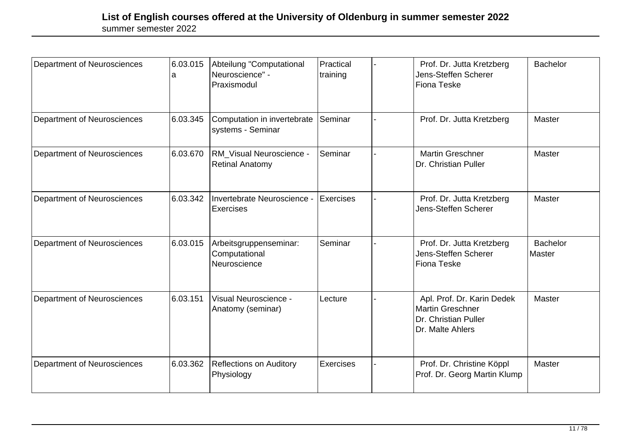| Department of Neurosciences        | 6.03.015<br>а | Abteilung "Computational<br>Neuroscience" -<br>Praxismodul | Practical<br>training | Prof. Dr. Jutta Kretzberg<br>Jens-Steffen Scherer<br><b>Fiona Teske</b>                           | Bachelor                  |
|------------------------------------|---------------|------------------------------------------------------------|-----------------------|---------------------------------------------------------------------------------------------------|---------------------------|
| Department of Neurosciences        | 6.03.345      | Computation in invertebrate<br>systems - Seminar           | ISeminar              | Prof. Dr. Jutta Kretzberg                                                                         | Master                    |
| <b>Department of Neurosciences</b> | 6.03.670      | RM Visual Neuroscience -<br><b>Retinal Anatomy</b>         | Seminar               | <b>Martin Greschner</b><br>Dr. Christian Puller                                                   | Master                    |
| Department of Neurosciences        | 6.03.342      | Invertebrate Neuroscience -<br>Exercises                   | <b>Exercises</b>      | Prof. Dr. Jutta Kretzberg<br>Jens-Steffen Scherer                                                 | Master                    |
| Department of Neurosciences        | 6.03.015      | Arbeitsgruppenseminar:<br>Computational<br>Neuroscience    | Seminar               | Prof. Dr. Jutta Kretzberg<br>Jens-Steffen Scherer<br><b>Fiona Teske</b>                           | <b>Bachelor</b><br>Master |
| Department of Neurosciences        | 6.03.151      | Visual Neuroscience -<br>Anatomy (seminar)                 | Lecture               | Apl. Prof. Dr. Karin Dedek<br><b>Martin Greschner</b><br>Dr. Christian Puller<br>Dr. Malte Ahlers | Master                    |
| Department of Neurosciences        | 6.03.362      | <b>Reflections on Auditory</b><br>Physiology               | Exercises             | Prof. Dr. Christine Köppl<br>Prof. Dr. Georg Martin Klump                                         | Master                    |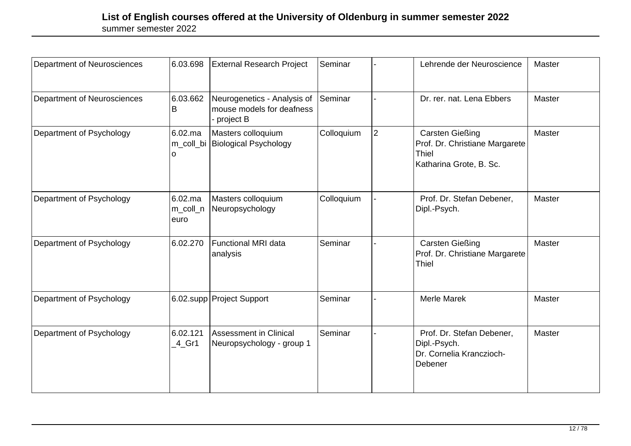| Department of Neurosciences | 6.03.698                          | <b>External Research Project</b>                                      | Seminar    |                | Lehrende der Neuroscience                                                                           | Master |
|-----------------------------|-----------------------------------|-----------------------------------------------------------------------|------------|----------------|-----------------------------------------------------------------------------------------------------|--------|
| Department of Neurosciences | 6.03.662<br>В                     | Neurogenetics - Analysis of<br>mouse models for deafness<br>project B | Seminar    |                | Dr. rer. nat. Lena Ebbers                                                                           | Master |
| Department of Psychology    | $6.02$ .ma<br>ი                   | Masters colloquium<br>m_coll_bi Biological Psychology                 | Colloquium | $\overline{2}$ | <b>Carsten Gießing</b><br>Prof. Dr. Christiane Margarete<br><b>Thiel</b><br>Katharina Grote, B. Sc. | Master |
| Department of Psychology    | $6.02$ .ma<br>m_coll_n<br>euro    | Masters colloquium<br>Neuropsychology                                 | Colloquium |                | Prof. Dr. Stefan Debener,<br>Dipl.-Psych.                                                           | Master |
| Department of Psychology    | 6.02.270                          | Functional MRI data<br>analysis                                       | Seminar    |                | <b>Carsten Gießing</b><br>Prof. Dr. Christiane Margarete<br><b>Thiel</b>                            | Master |
| Department of Psychology    |                                   | 6.02.supp Project Support                                             | Seminar    |                | <b>Merle Marek</b>                                                                                  | Master |
| Department of Psychology    | 6.02.121<br>$-4$ <sub>-</sub> Gr1 | Assessment in Clinical<br>Neuropsychology - group 1                   | Seminar    |                | Prof. Dr. Stefan Debener,<br>Dipl.-Psych.<br>Dr. Cornelia Kranczioch-<br>Debener                    | Master |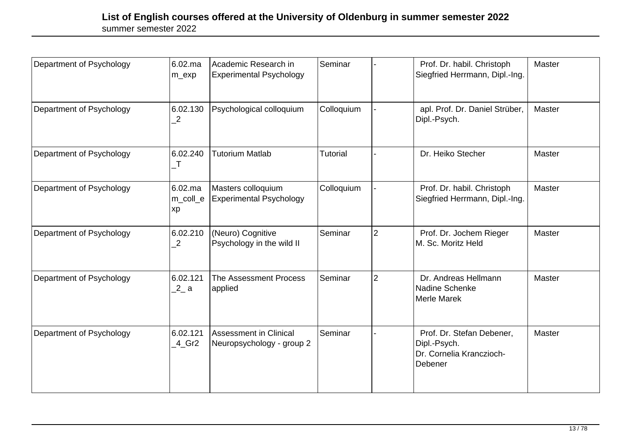| Department of Psychology | 6.02.ma<br>m_exp           | Academic Research in<br><b>Experimental Psychology</b>     | Seminar         |                | Prof. Dr. habil. Christoph<br>Siegfried Herrmann, Dipl.-Ing.                     | Master |
|--------------------------|----------------------------|------------------------------------------------------------|-----------------|----------------|----------------------------------------------------------------------------------|--------|
| Department of Psychology | 6.02.130<br>$\overline{2}$ | Psychological colloquium                                   | Colloquium      |                | apl. Prof. Dr. Daniel Strüber,<br>Dipl.-Psych.                                   | Master |
| Department of Psychology | 6.02.240<br>$\top$         | <b>Tutorium Matlab</b>                                     | <b>Tutorial</b> |                | Dr. Heiko Stecher                                                                | Master |
| Department of Psychology | 6.02.ma<br>m_coll_e<br> xp | Masters colloquium<br><b>Experimental Psychology</b>       | Colloquium      |                | Prof. Dr. habil. Christoph<br>Siegfried Herrmann, Dipl.-Ing.                     | Master |
| Department of Psychology | 6.02.210<br>$\overline{2}$ | (Neuro) Cognitive<br>Psychology in the wild II             | Seminar         | $\overline{2}$ | Prof. Dr. Jochem Rieger<br>M. Sc. Moritz Held                                    | Master |
| Department of Psychology | 6.02.121<br>2a             | The Assessment Process<br>applied                          | Seminar         | $\overline{2}$ | Dr. Andreas Hellmann<br>Nadine Schenke<br>Merle Marek                            | Master |
| Department of Psychology | 6.02.121<br>$-4$ Gr2       | <b>Assessment in Clinical</b><br>Neuropsychology - group 2 | Seminar         |                | Prof. Dr. Stefan Debener,<br>Dipl.-Psych.<br>Dr. Cornelia Kranczioch-<br>Debener | Master |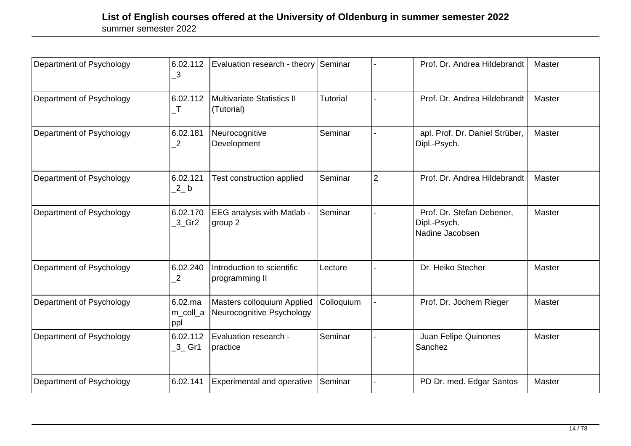| Department of Psychology | 6.02.112<br>3                                | Evaluation research - theory Seminar                    |            |                | Prof. Dr. Andrea Hildebrandt                                 | Master |
|--------------------------|----------------------------------------------|---------------------------------------------------------|------------|----------------|--------------------------------------------------------------|--------|
| Department of Psychology | 6.02.112<br>$\mathsf{T}$                     | Multivariate Statistics II<br>(Tutorial)                | Tutorial   |                | Prof. Dr. Andrea Hildebrandt                                 | Master |
| Department of Psychology | 6.02.181<br>2                                | Neurocognitive<br>Development                           | Seminar    |                | apl. Prof. Dr. Daniel Strüber,<br>Dipl.-Psych.               | Master |
| Department of Psychology | 6.02.121<br>$2$ b                            | Test construction applied                               | Seminar    | $\overline{2}$ | Prof. Dr. Andrea Hildebrandt                                 | Master |
| Department of Psychology | 6.02.170<br>$3$ <sub>C</sub> Gr <sub>2</sub> | <b>EEG</b> analysis with Matlab -<br>group 2            | Seminar    |                | Prof. Dr. Stefan Debener,<br>Dipl.-Psych.<br>Nadine Jacobsen | Master |
| Department of Psychology | 6.02.240<br>$\mathbf{2}$                     | Introduction to scientific<br>programming II            | Lecture    |                | Dr. Heiko Stecher                                            | Master |
| Department of Psychology | $6.02$ .ma<br>m_coll_a<br>ppl                | Masters colloquium Applied<br>Neurocognitive Psychology | Colloquium |                | Prof. Dr. Jochem Rieger                                      | Master |
| Department of Psychology | 6.02.112<br>$-3$ Gr1                         | Evaluation research -<br> practice                      | Seminar    |                | Juan Felipe Quinones<br>Sanchez                              | Master |
| Department of Psychology | 6.02.141                                     | <b>Experimental and operative</b>                       | Seminar    |                | PD Dr. med. Edgar Santos                                     | Master |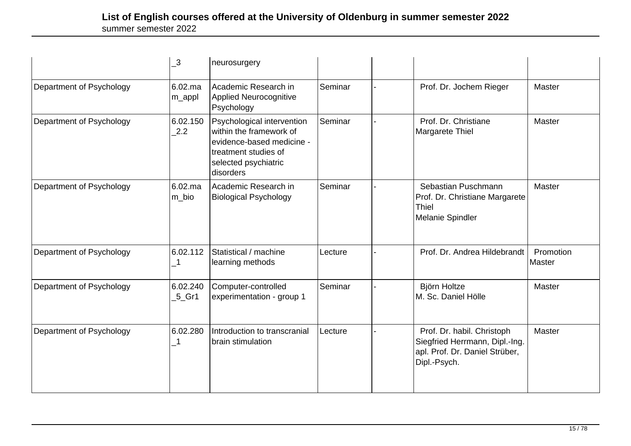|                          | $\overline{\mathbf{3}}$          | neurosurgery                                                                                                                                    |         |                                                                                                                |                     |
|--------------------------|----------------------------------|-------------------------------------------------------------------------------------------------------------------------------------------------|---------|----------------------------------------------------------------------------------------------------------------|---------------------|
| Department of Psychology | 6.02.ma<br>m_appl                | Academic Research in<br><b>Applied Neurocognitive</b><br>Psychology                                                                             | Seminar | Prof. Dr. Jochem Rieger                                                                                        | Master              |
| Department of Psychology | 6.02.150<br>2.2                  | Psychological intervention<br>within the framework of<br>evidence-based medicine -<br>treatment studies of<br>selected psychiatric<br>disorders | Seminar | Prof. Dr. Christiane<br>Margarete Thiel                                                                        | Master              |
| Department of Psychology | 6.02.ma<br>m bio                 | Academic Research in<br><b>Biological Psychology</b>                                                                                            | Seminar | Sebastian Puschmann<br>Prof. Dr. Christiane Margarete<br><b>Thiel</b><br>Melanie Spindler                      | Master              |
| Department of Psychology | 6.02.112                         | Statistical / machine<br>learning methods                                                                                                       | Lecture | Prof. Dr. Andrea Hildebrandt                                                                                   | Promotion<br>Master |
| Department of Psychology | 6.02.240<br>$5$ <sub>C</sub> Gr1 | Computer-controlled<br>experimentation - group 1                                                                                                | Seminar | Björn Holtze<br>M. Sc. Daniel Hölle                                                                            | Master              |
| Department of Psychology | 6.02.280<br>-1                   | Introduction to transcranial<br>brain stimulation                                                                                               | Lecture | Prof. Dr. habil. Christoph<br>Siegfried Herrmann, Dipl.-Ing.<br>apl. Prof. Dr. Daniel Strüber,<br>Dipl.-Psych. | Master              |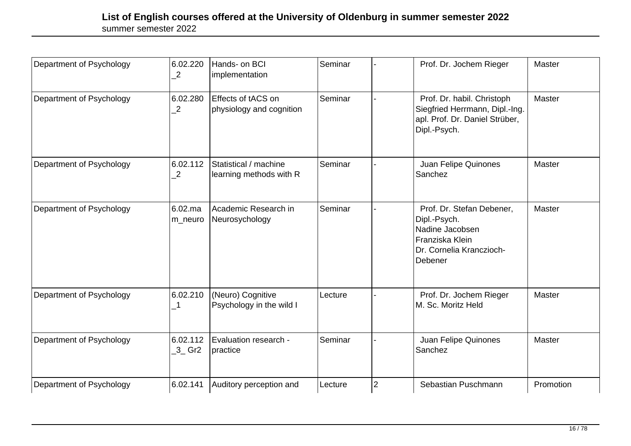| Department of Psychology | 6.02.220<br>2              | Hands- on BCI<br>implementation                  | Seminar |                | Prof. Dr. Jochem Rieger                                                                                                | Master    |
|--------------------------|----------------------------|--------------------------------------------------|---------|----------------|------------------------------------------------------------------------------------------------------------------------|-----------|
| Department of Psychology | 6.02.280<br>$\overline{2}$ | Effects of tACS on<br>physiology and cognition   | Seminar |                | Prof. Dr. habil. Christoph<br>Siegfried Herrmann, Dipl.-Ing.<br>apl. Prof. Dr. Daniel Strüber,<br>Dipl.-Psych.         | Master    |
| Department of Psychology | 6.02.112<br>2              | Statistical / machine<br>learning methods with R | Seminar |                | Juan Felipe Quinones<br>Sanchez                                                                                        | Master    |
| Department of Psychology | $6.02$ .ma<br>m_neuro      | Academic Research in<br>Neurosychology           | Seminar |                | Prof. Dr. Stefan Debener,<br>Dipl.-Psych.<br>Nadine Jacobsen<br>Franziska Klein<br>Dr. Cornelia Kranczioch-<br>Debener | Master    |
| Department of Psychology | 6.02.210<br>-1             | (Neuro) Cognitive<br>Psychology in the wild I    | Lecture |                | Prof. Dr. Jochem Rieger<br>M. Sc. Moritz Held                                                                          | Master    |
| Department of Psychology | 6.02.112<br>$3$ Gr2        | Evaluation research -<br>practice                | Seminar |                | Juan Felipe Quinones<br>Sanchez                                                                                        | Master    |
| Department of Psychology | 6.02.141                   | Auditory perception and                          | Lecture | $\overline{2}$ | Sebastian Puschmann                                                                                                    | Promotion |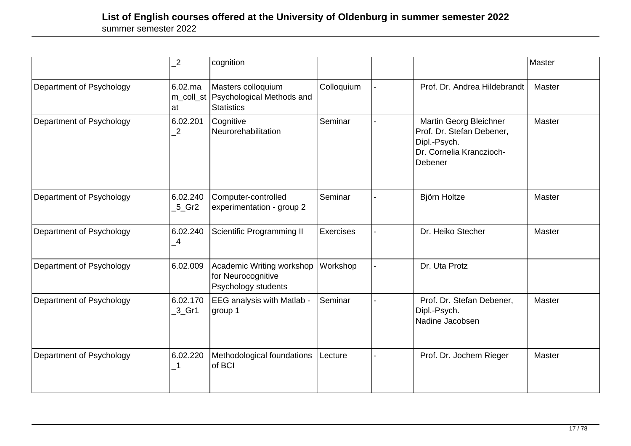|                          | $\overline{c}$                   | cognition                                                              |                  |                                                                                                            | Master        |
|--------------------------|----------------------------------|------------------------------------------------------------------------|------------------|------------------------------------------------------------------------------------------------------------|---------------|
| Department of Psychology | $6.02$ .ma<br>m_coll_st<br>at    | Masters colloquium<br>Psychological Methods and<br><b>Statistics</b>   | Colloquium       | Prof. Dr. Andrea Hildebrandt                                                                               | Master        |
| Department of Psychology | 6.02.201<br>$\overline{2}$       | Cognitive<br>Neurorehabilitation                                       | Seminar          | Martin Georg Bleichner<br>Prof. Dr. Stefan Debener,<br>Dipl.-Psych.<br>Dr. Cornelia Kranczioch-<br>Debener | Master        |
| Department of Psychology | 6.02.240<br>$5$ <sub>C</sub> Gr2 | Computer-controlled<br>experimentation - group 2                       | Seminar          | Björn Holtze                                                                                               | Master        |
| Department of Psychology | 6.02.240<br>$^{\_4}$             | Scientific Programming II                                              | <b>Exercises</b> | Dr. Heiko Stecher                                                                                          | <b>Master</b> |
| Department of Psychology | 6.02.009                         | Academic Writing workshop<br>for Neurocognitive<br>Psychology students | Workshop         | Dr. Uta Protz                                                                                              |               |
| Department of Psychology | 6.02.170<br>$3$ <sub>C</sub> Gr1 | EEG analysis with Matlab -<br>group 1                                  | Seminar          | Prof. Dr. Stefan Debener,<br>Dipl.-Psych.<br>Nadine Jacobsen                                               | <b>Master</b> |
| Department of Psychology | 6.02.220                         | Methodological foundations<br>of BCI                                   | Lecture          | Prof. Dr. Jochem Rieger                                                                                    | <b>Master</b> |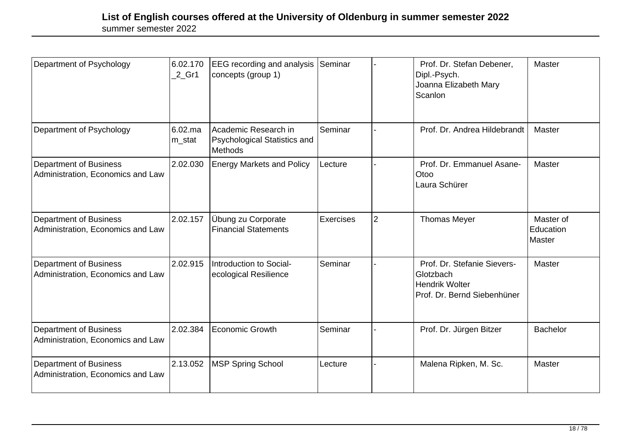| Department of Psychology                                           | 6.02.170<br>$2$ Gr1  | <b>EEG</b> recording and analysis Seminar<br>concepts (group 1)        |                  |                | Prof. Dr. Stefan Debener,<br>Dipl.-Psych.<br>Joanna Elizabeth Mary<br>Scanlon                    | Master                           |
|--------------------------------------------------------------------|----------------------|------------------------------------------------------------------------|------------------|----------------|--------------------------------------------------------------------------------------------------|----------------------------------|
| Department of Psychology                                           | $6.02$ .ma<br>m_stat | Academic Research in<br>Psychological Statistics and<br><b>Methods</b> | Seminar          |                | Prof. Dr. Andrea Hildebrandt                                                                     | Master                           |
| <b>Department of Business</b><br>Administration, Economics and Law | 2.02.030             | <b>Energy Markets and Policy</b>                                       | Lecture          |                | Prof. Dr. Emmanuel Asane-<br>Otoo<br>Laura Schürer                                               | Master                           |
| <b>Department of Business</b><br>Administration, Economics and Law | 2.02.157             | Übung zu Corporate<br><b>Financial Statements</b>                      | <b>Exercises</b> | $\overline{2}$ | <b>Thomas Meyer</b>                                                                              | Master of<br>Education<br>Master |
| <b>Department of Business</b><br>Administration, Economics and Law | 2.02.915             | Introduction to Social-<br>ecological Resilience                       | Seminar          |                | Prof. Dr. Stefanie Sievers-<br>Glotzbach<br><b>Hendrik Wolter</b><br>Prof. Dr. Bernd Siebenhüner | Master                           |
| <b>Department of Business</b><br>Administration, Economics and Law | 2.02.384             | Economic Growth                                                        | Seminar          |                | Prof. Dr. Jürgen Bitzer                                                                          | <b>Bachelor</b>                  |
| <b>Department of Business</b><br>Administration, Economics and Law | 2.13.052             | <b>MSP Spring School</b>                                               | Lecture          |                | Malena Ripken, M. Sc.                                                                            | Master                           |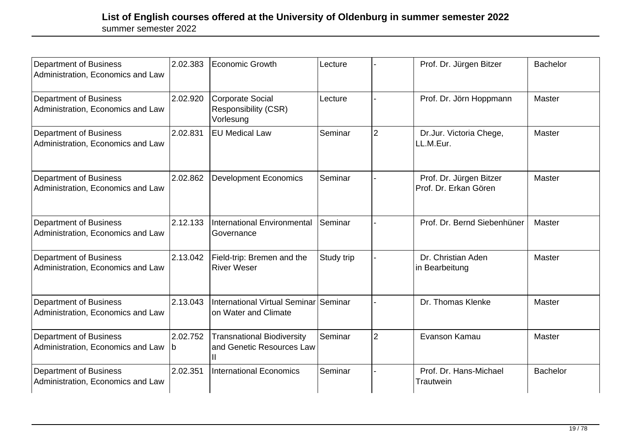| <b>Department of Business</b><br>Administration, Economics and Law | 2.02.383      | Economic Growth                                                     | Lecture    |                | Prof. Dr. Jürgen Bitzer                          | <b>Bachelor</b> |
|--------------------------------------------------------------------|---------------|---------------------------------------------------------------------|------------|----------------|--------------------------------------------------|-----------------|
| <b>Department of Business</b><br>Administration, Economics and Law | 2.02.920      | <b>Corporate Social</b><br><b>Responsibility (CSR)</b><br>Vorlesung | Lecture    |                | Prof. Dr. Jörn Hoppmann                          | Master          |
| Department of Business<br>Administration, Economics and Law        | 2.02.831      | <b>EU Medical Law</b>                                               | Seminar    | $\overline{2}$ | Dr.Jur. Victoria Chege,<br>LL.M.Eur.             | Master          |
| <b>Department of Business</b><br>Administration, Economics and Law | 2.02.862      | <b>Development Economics</b>                                        | Seminar    |                | Prof. Dr. Jürgen Bitzer<br>Prof. Dr. Erkan Gören | Master          |
| <b>Department of Business</b><br>Administration, Economics and Law | 2.12.133      | International Environmental<br>Governance                           | Seminar    |                | Prof. Dr. Bernd Siebenhüner                      | Master          |
| <b>Department of Business</b><br>Administration, Economics and Law | 2.13.042      | Field-trip: Bremen and the<br><b>River Weser</b>                    | Study trip |                | Dr. Christian Aden<br>in Bearbeitung             | Master          |
| <b>Department of Business</b><br>Administration, Economics and Law | 2.13.043      | International Virtual Seminar Seminar<br>on Water and Climate       |            |                | Dr. Thomas Klenke                                | Master          |
| <b>Department of Business</b><br>Administration, Economics and Law | 2.02.752<br>b | <b>Transnational Biodiversity</b><br>and Genetic Resources Law      | Seminar    | $\overline{2}$ | Evanson Kamau                                    | Master          |
| <b>Department of Business</b><br>Administration, Economics and Law | 2.02.351      | <b>International Economics</b>                                      | Seminar    |                | Prof. Dr. Hans-Michael<br>Trautwein              | <b>Bachelor</b> |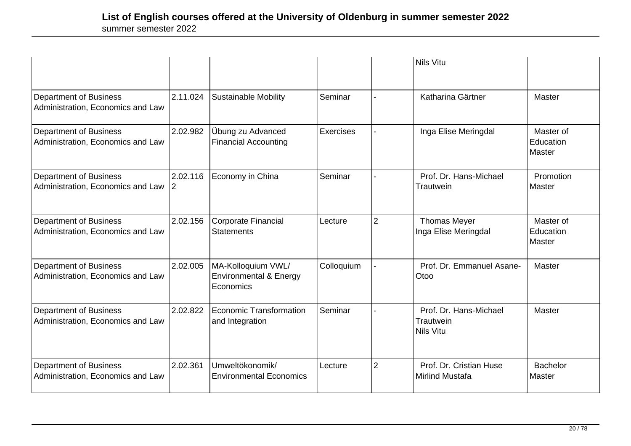|                                                                    |                      |                                                                      |                  |                | <b>Nils Vitu</b>                                        |                                  |
|--------------------------------------------------------------------|----------------------|----------------------------------------------------------------------|------------------|----------------|---------------------------------------------------------|----------------------------------|
| <b>Department of Business</b><br>Administration, Economics and Law | 2.11.024             | <b>Sustainable Mobility</b>                                          | Seminar          |                | Katharina Gärtner                                       | Master                           |
| <b>Department of Business</b><br>Administration, Economics and Law | 2.02.982             | Übung zu Advanced<br><b>Financial Accounting</b>                     | <b>Exercises</b> |                | Inga Elise Meringdal                                    | Master of<br>Education<br>Master |
| <b>Department of Business</b><br>Administration, Economics and Law | 2.02.116<br><u>2</u> | Economy in China                                                     | Seminar          |                | Prof. Dr. Hans-Michael<br>Trautwein                     | Promotion<br>Master              |
| <b>Department of Business</b><br>Administration, Economics and Law | 2.02.156             | Corporate Financial<br><b>Statements</b>                             | Lecture          | $\overline{2}$ | <b>Thomas Meyer</b><br>Inga Elise Meringdal             | Master of<br>Education<br>Master |
| <b>Department of Business</b><br>Administration, Economics and Law | 2.02.005             | MA-Kolloquium VWL/<br><b>Environmental &amp; Energy</b><br>Economics | Colloquium       |                | Prof. Dr. Emmanuel Asane-<br>Otoo                       | Master                           |
| <b>Department of Business</b><br>Administration, Economics and Law | 2.02.822             | Economic Transformation<br>and Integration                           | Seminar          |                | Prof. Dr. Hans-Michael<br>Trautwein<br><b>Nils Vitu</b> | Master                           |
| <b>Department of Business</b><br>Administration, Economics and Law | 2.02.361             | Umweltökonomik/<br><b>Environmental Economics</b>                    | Lecture          | $\overline{2}$ | Prof. Dr. Cristian Huse<br><b>Mirlind Mustafa</b>       | <b>Bachelor</b><br>Master        |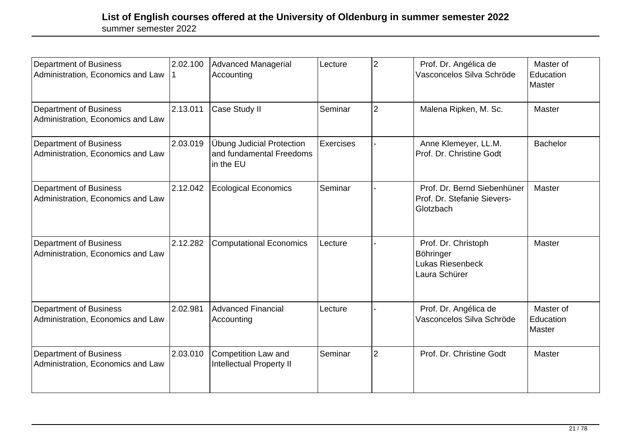| <b>Department of Business</b><br>Administration, Economics and Law | 2.02.100 | Advanced Managerial<br>Accounting                                  | Lecture   | $\overline{2}$ | Prof. Dr. Angélica de<br>Vasconcelos Silva Schröde                      | Master of<br>Education<br>Master |
|--------------------------------------------------------------------|----------|--------------------------------------------------------------------|-----------|----------------|-------------------------------------------------------------------------|----------------------------------|
| <b>Department of Business</b><br>Administration, Economics and Law | 2.13.011 | Case Study II                                                      | Seminar   | $\overline{2}$ | Malena Ripken, M. Sc.                                                   | Master                           |
| <b>Department of Business</b><br>Administration, Economics and Law | 2.03.019 | Übung Judicial Protection<br>and fundamental Freedoms<br>in the EU | Exercises |                | Anne Klemeyer, LL.M.<br>Prof. Dr. Christine Godt                        | <b>Bachelor</b>                  |
| <b>Department of Business</b><br>Administration, Economics and Law | 2.12.042 | <b>Ecological Economics</b>                                        | Seminar   |                | Prof. Dr. Bernd Siebenhüner<br>Prof. Dr. Stefanie Sievers-<br>Glotzbach | Master                           |
| <b>Department of Business</b><br>Administration, Economics and Law | 2.12.282 | <b>Computational Economics</b>                                     | Lecture   |                | Prof. Dr. Christoph<br>Böhringer<br>Lukas Riesenbeck<br>Laura Schürer   | Master                           |
| <b>Department of Business</b><br>Administration, Economics and Law | 2.02.981 | <b>Advanced Financial</b><br>Accounting                            | Lecture   |                | Prof. Dr. Angélica de<br>Vasconcelos Silva Schröde                      | Master of<br>Education<br>Master |
| <b>Department of Business</b><br>Administration, Economics and Law | 2.03.010 | <b>Competition Law and</b><br><b>Intellectual Property II</b>      | Seminar   | $\overline{2}$ | Prof. Dr. Christine Godt                                                | Master                           |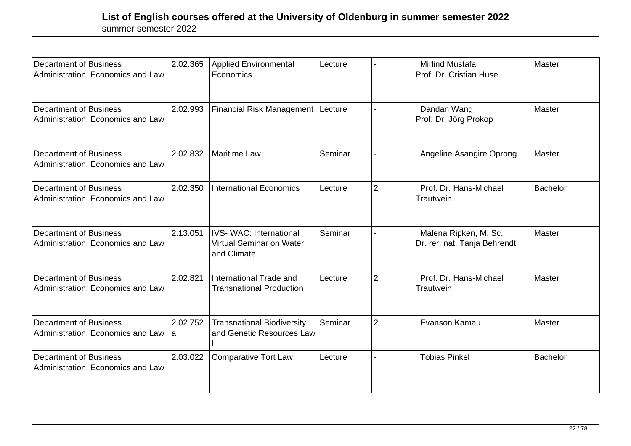| <b>Department of Business</b><br>Administration, Economics and Law | 2.02.365       | <b>Applied Environmental</b><br>Economics                                | Lecture |                | <b>Mirlind Mustafa</b><br>Prof. Dr. Cristian Huse     | Master          |
|--------------------------------------------------------------------|----------------|--------------------------------------------------------------------------|---------|----------------|-------------------------------------------------------|-----------------|
| <b>Department of Business</b><br>Administration, Economics and Law | 2.02.993       | <b>Financial Risk Management</b>                                         | Lecture |                | Dandan Wang<br>Prof. Dr. Jörg Prokop                  | Master          |
| <b>Department of Business</b><br>Administration, Economics and Law | 2.02.832       | <b>Maritime Law</b>                                                      | Seminar |                | Angeline Asangire Oprong                              | Master          |
| Department of Business<br>Administration, Economics and Law        | 2.02.350       | <b>International Economics</b>                                           | Lecture | $\overline{2}$ | Prof. Dr. Hans-Michael<br>Trautwein                   | <b>Bachelor</b> |
| <b>Department of Business</b><br>Administration, Economics and Law | 2.13.051       | <b>IVS-WAC: International</b><br>Virtual Seminar on Water<br>and Climate | Seminar |                | Malena Ripken, M. Sc.<br>Dr. rer. nat. Tanja Behrendt | Master          |
| <b>Department of Business</b><br>Administration, Economics and Law | 2.02.821       | International Trade and<br><b>Transnational Production</b>               | Lecture | $\overline{2}$ | Prof. Dr. Hans-Michael<br>Trautwein                   | Master          |
| <b>Department of Business</b><br>Administration, Economics and Law | 2.02.752<br>la | <b>Transnational Biodiversity</b><br>and Genetic Resources Law           | Seminar | $\overline{2}$ | Evanson Kamau                                         | Master          |
| Department of Business<br>Administration, Economics and Law        | 2.03.022       | <b>Comparative Tort Law</b>                                              | Lecture |                | <b>Tobias Pinkel</b>                                  | <b>Bachelor</b> |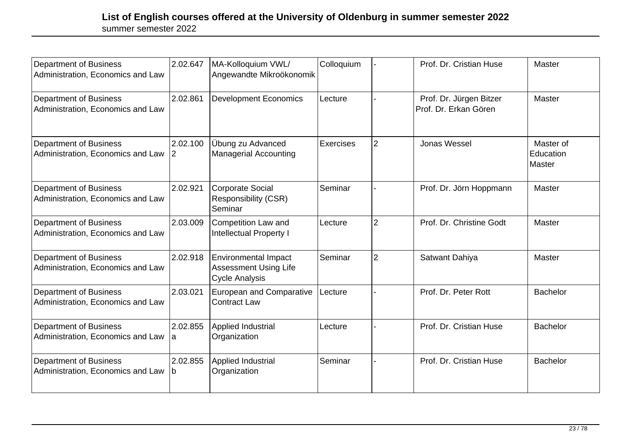| Department of Business<br>Administration, Economics and Law        | 2.02.647       | MA-Kolloquium VWL/<br>Angewandte Mikroökonomik                                       | Colloquium       |                | Prof. Dr. Cristian Huse                          | Master                           |
|--------------------------------------------------------------------|----------------|--------------------------------------------------------------------------------------|------------------|----------------|--------------------------------------------------|----------------------------------|
| <b>Department of Business</b><br>Administration, Economics and Law | 2.02.861       | <b>Development Economics</b>                                                         | Lecture          |                | Prof. Dr. Jürgen Bitzer<br>Prof. Dr. Erkan Gören | Master                           |
| <b>Department of Business</b><br>Administration, Economics and Law | 2.02.100<br> 2 | Übung zu Advanced<br><b>Managerial Accounting</b>                                    | <b>Exercises</b> | $\overline{2}$ | Jonas Wessel                                     | Master of<br>Education<br>Master |
| <b>Department of Business</b><br>Administration, Economics and Law | 2.02.921       | <b>Corporate Social</b><br>Responsibility (CSR)<br>Seminar                           | Seminar          |                | Prof. Dr. Jörn Hoppmann                          | Master                           |
| <b>Department of Business</b><br>Administration, Economics and Law | 2.03.009       | <b>Competition Law and</b><br><b>Intellectual Property I</b>                         | Lecture          | $\overline{2}$ | Prof. Dr. Christine Godt                         | Master                           |
| <b>Department of Business</b><br>Administration, Economics and Law | 2.02.918       | <b>Environmental Impact</b><br><b>Assessment Using Life</b><br><b>Cycle Analysis</b> | Seminar          | $\overline{2}$ | Satwant Dahiya                                   | Master                           |
| <b>Department of Business</b><br>Administration, Economics and Law | 2.03.021       | <b>European and Comparative</b><br><b>Contract Law</b>                               | Lecture          |                | Prof. Dr. Peter Rott                             | <b>Bachelor</b>                  |
| <b>Department of Business</b><br>Administration, Economics and Law | 2.02.855<br>a  | Applied Industrial<br>Organization                                                   | Lecture          |                | Prof. Dr. Cristian Huse                          | <b>Bachelor</b>                  |
| <b>Department of Business</b><br>Administration, Economics and Law | 2.02.855<br>b  | Applied Industrial<br>Organization                                                   | Seminar          |                | Prof. Dr. Cristian Huse                          | <b>Bachelor</b>                  |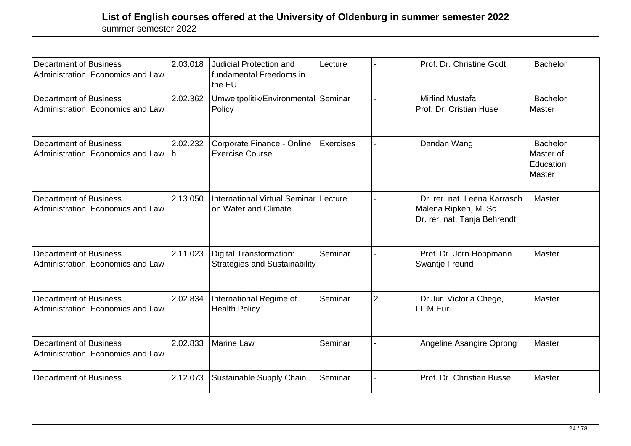| <b>Department of Business</b><br>Administration, Economics and Law | 2.03.018        | <b>Judicial Protection and</b><br>fundamental Freedoms in<br>the EU    | Lecture   |                | Prof. Dr. Christine Godt                                                              | <b>Bachelor</b>                                     |
|--------------------------------------------------------------------|-----------------|------------------------------------------------------------------------|-----------|----------------|---------------------------------------------------------------------------------------|-----------------------------------------------------|
| <b>Department of Business</b><br>Administration, Economics and Law | 2.02.362        | Umweltpolitik/Environmental Seminar<br>Policy                          |           |                | <b>Mirlind Mustafa</b><br>Prof. Dr. Cristian Huse                                     | <b>Bachelor</b><br>Master                           |
| <b>Department of Business</b><br>Administration, Economics and Law | 2.02.232<br>Ih. | Corporate Finance - Online<br><b>Exercise Course</b>                   | Exercises |                | Dandan Wang                                                                           | <b>Bachelor</b><br>Master of<br>Education<br>Master |
| <b>Department of Business</b><br>Administration, Economics and Law | 2.13.050        | International Virtual Seminar Lecture<br>on Water and Climate          |           |                | Dr. rer. nat. Leena Karrasch<br>Malena Ripken, M. Sc.<br>Dr. rer. nat. Tanja Behrendt | Master                                              |
| <b>Department of Business</b><br>Administration, Economics and Law | 2.11.023        | <b>Digital Transformation:</b><br><b>Strategies and Sustainability</b> | Seminar   |                | Prof. Dr. Jörn Hoppmann<br>Swantje Freund                                             | Master                                              |
| <b>Department of Business</b><br>Administration, Economics and Law | 2.02.834        | International Regime of<br><b>Health Policy</b>                        | Seminar   | $\overline{2}$ | Dr.Jur. Victoria Chege,<br>LL.M.Eur.                                                  | Master                                              |
| <b>Department of Business</b><br>Administration, Economics and Law | 2.02.833        | Marine Law                                                             | Seminar   |                | Angeline Asangire Oprong                                                              | Master                                              |
| <b>Department of Business</b>                                      | 2.12.073        | Sustainable Supply Chain                                               | Seminar   |                | Prof. Dr. Christian Busse                                                             | Master                                              |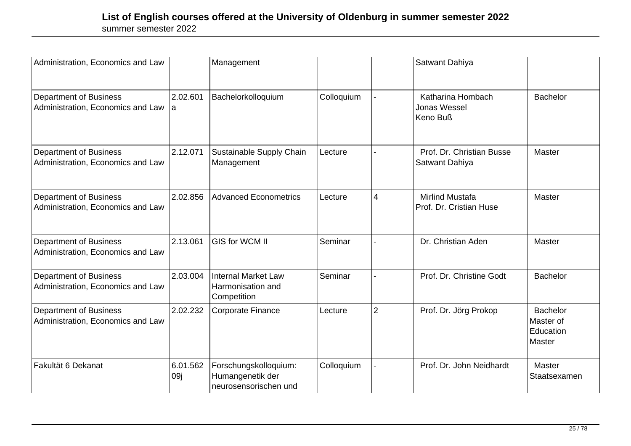| Administration, Economics and Law                                  |                 | Management                                                         |            |                | Satwant Dahiya                                       |                                                            |
|--------------------------------------------------------------------|-----------------|--------------------------------------------------------------------|------------|----------------|------------------------------------------------------|------------------------------------------------------------|
| <b>Department of Business</b><br>Administration, Economics and Law | 2.02.601<br>la. | Bachelorkolloquium                                                 | Colloquium |                | Katharina Hombach<br><b>Jonas Wessel</b><br>Keno Buß | <b>Bachelor</b>                                            |
| <b>Department of Business</b><br>Administration, Economics and Law | 2.12.071        | Sustainable Supply Chain<br>Management                             | Lecture    |                | Prof. Dr. Christian Busse<br>Satwant Dahiya          | Master                                                     |
| <b>Department of Business</b><br>Administration, Economics and Law | 2.02.856        | Advanced Econometrics                                              | Lecture    | 4              | <b>Mirlind Mustafa</b><br>Prof. Dr. Cristian Huse    | Master                                                     |
| <b>Department of Business</b><br>Administration, Economics and Law | 2.13.061        | <b>GIS for WCM II</b>                                              | Seminar    |                | Dr. Christian Aden                                   | Master                                                     |
| <b>Department of Business</b><br>Administration, Economics and Law | 2.03.004        | <b>Internal Market Law</b><br>Harmonisation and<br>Competition     | Seminar    |                | Prof. Dr. Christine Godt                             | <b>Bachelor</b>                                            |
| <b>Department of Business</b><br>Administration, Economics and Law | 2.02.232        | Corporate Finance                                                  | Lecture    | $\overline{2}$ | Prof. Dr. Jörg Prokop                                | <b>Bachelor</b><br>Master of<br>Education<br><b>Master</b> |
| Fakultät 6 Dekanat                                                 | 6.01.562<br>09j | Forschungskolloquium:<br>Humangenetik der<br>neurosensorischen und | Colloquium |                | Prof. Dr. John Neidhardt                             | Master<br>Staatsexamen                                     |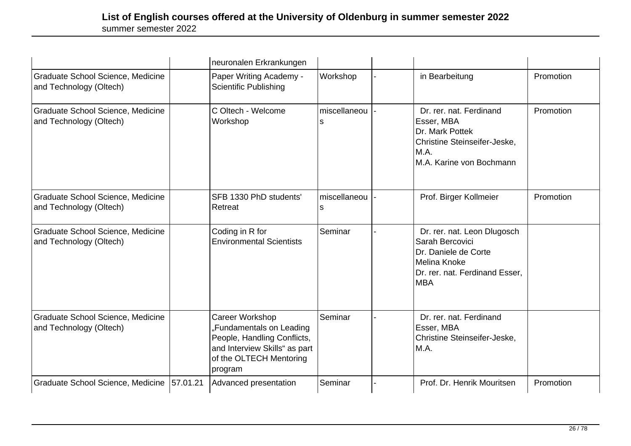|                                                              |          | neuronalen Erkrankungen                                                                                                                                  |                    |                                                                                                                                        |           |
|--------------------------------------------------------------|----------|----------------------------------------------------------------------------------------------------------------------------------------------------------|--------------------|----------------------------------------------------------------------------------------------------------------------------------------|-----------|
| Graduate School Science, Medicine<br>and Technology (Oltech) |          | Paper Writing Academy -<br><b>Scientific Publishing</b>                                                                                                  | Workshop           | in Bearbeitung                                                                                                                         | Promotion |
| Graduate School Science, Medicine<br>and Technology (Oltech) |          | C Oltech - Welcome<br>Workshop                                                                                                                           | miscellaneou<br>s  | Dr. rer. nat. Ferdinand<br>Esser, MBA<br>Dr. Mark Pottek<br>Christine Steinseifer-Jeske,<br>M.A.<br>M.A. Karine von Bochmann           | Promotion |
| Graduate School Science, Medicine<br>and Technology (Oltech) |          | SFB 1330 PhD students'<br>Retreat                                                                                                                        | miscellaneou<br>ls | Prof. Birger Kollmeier                                                                                                                 | Promotion |
| Graduate School Science, Medicine<br>and Technology (Oltech) |          | Coding in R for<br><b>Environmental Scientists</b>                                                                                                       | Seminar            | Dr. rer. nat. Leon Dlugosch<br>Sarah Bercovici<br>Dr. Daniele de Corte<br>Melina Knoke<br>Dr. rer. nat. Ferdinand Esser,<br><b>MBA</b> |           |
| Graduate School Science, Medicine<br>and Technology (Oltech) |          | <b>Career Workshop</b><br>"Fundamentals on Leading<br>People, Handling Conflicts,<br>and Interview Skills" as part<br>of the OLTECH Mentoring<br>program | Seminar            | Dr. rer. nat. Ferdinand<br>Esser, MBA<br><b>Christine Steinseifer-Jeske,</b><br>M.A.                                                   |           |
| Graduate School Science, Medicine                            | 57.01.21 | Advanced presentation                                                                                                                                    | Seminar            | Prof. Dr. Henrik Mouritsen                                                                                                             | Promotion |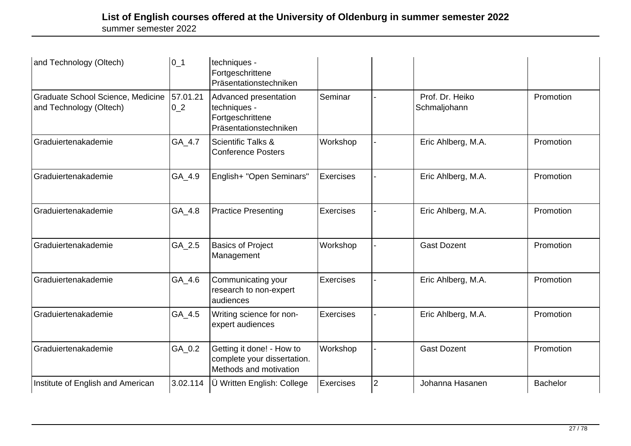| and Technology (Oltech)                                      | $ 0_1$                     | techniques -<br>Fortgeschrittene<br>Präsentationstechniken                          |           |                |                                 |           |
|--------------------------------------------------------------|----------------------------|-------------------------------------------------------------------------------------|-----------|----------------|---------------------------------|-----------|
| Graduate School Science, Medicine<br>and Technology (Oltech) | 57.01.21<br>0 <sub>2</sub> | Advanced presentation<br>techniques -<br>Fortgeschrittene<br>Präsentationstechniken | Seminar   |                | Prof. Dr. Heiko<br>Schmaljohann | Promotion |
| Graduiertenakademie                                          | GA_4.7                     | <b>Scientific Talks &amp;</b><br><b>Conference Posters</b>                          | Workshop  |                | Eric Ahlberg, M.A.              | Promotion |
| Graduiertenakademie                                          | GA_4.9                     | English+ "Open Seminars"                                                            | Exercises |                | Eric Ahlberg, M.A.              | Promotion |
| Graduiertenakademie                                          | $GA_4.8$                   | <b>Practice Presenting</b>                                                          | Exercises |                | Eric Ahlberg, M.A.              | Promotion |
| Graduiertenakademie                                          | GA_2.5                     | <b>Basics of Project</b><br>Management                                              | Workshop  |                | <b>Gast Dozent</b>              | Promotion |
| Graduiertenakademie                                          | GA_4.6                     | Communicating your<br>research to non-expert<br>audiences                           | Exercises |                | Eric Ahlberg, M.A.              | Promotion |
| Graduiertenakademie                                          | GA_4.5                     | Writing science for non-<br>expert audiences                                        | Exercises |                | Eric Ahlberg, M.A.              | Promotion |
| Graduiertenakademie                                          | GA_0.2                     | Getting it done! - How to<br>complete your dissertation.<br>Methods and motivation  | Workshop  |                | <b>Gast Dozent</b>              | Promotion |
| Institute of English and American                            | 3.02.114                   | Ü Written English: College                                                          | Exercises | $\overline{2}$ | Johanna Hasanen                 | Bachelor  |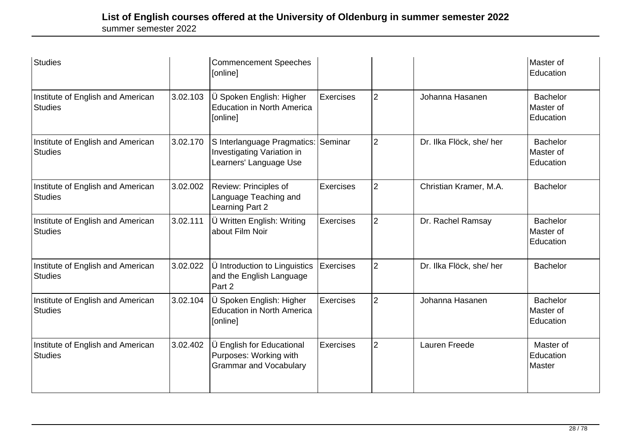| Studies                                             |          | <b>Commencement Speeches</b><br>[online]                                             |                  |                |                         | Master of<br>Education                    |
|-----------------------------------------------------|----------|--------------------------------------------------------------------------------------|------------------|----------------|-------------------------|-------------------------------------------|
| Institute of English and American<br><b>Studies</b> | 3.02.103 | Ü Spoken English: Higher<br><b>Education in North America</b><br>[online]            | Exercises        | $\overline{2}$ | Johanna Hasanen         | <b>Bachelor</b><br>Master of<br>Education |
| Institute of English and American<br><b>Studies</b> | 3.02.170 | S Interlanguage Pragmatics:<br>Investigating Variation in<br>Learners' Language Use  | Seminar          | $\overline{2}$ | Dr. Ilka Flöck, she/her | <b>Bachelor</b><br>Master of<br>Education |
| Institute of English and American<br><b>Studies</b> | 3.02.002 | Review: Principles of<br>Language Teaching and<br>Learning Part 2                    | Exercises        | $\overline{2}$ | Christian Kramer, M.A.  | <b>Bachelor</b>                           |
| Institute of English and American<br><b>Studies</b> | 3.02.111 | Ü Written English: Writing<br>about Film Noir                                        | Exercises        | $\overline{2}$ | Dr. Rachel Ramsay       | <b>Bachelor</b><br>Master of<br>Education |
| Institute of English and American<br><b>Studies</b> | 3.02.022 | U Introduction to Linguistics<br>and the English Language<br>Part 2                  | <b>Exercises</b> | $\overline{2}$ | Dr. Ilka Flöck, she/her | <b>Bachelor</b>                           |
| Institute of English and American<br><b>Studies</b> | 3.02.104 | Ü Spoken English: Higher<br><b>Education in North America</b><br>[online]            | Exercises        | $\overline{2}$ | Johanna Hasanen         | <b>Bachelor</b><br>Master of<br>Education |
| Institute of English and American<br><b>Studies</b> | 3.02.402 | Ü English for Educational<br>Purposes: Working with<br><b>Grammar and Vocabulary</b> | Exercises        | $\overline{2}$ | Lauren Freede           | Master of<br>Education<br>Master          |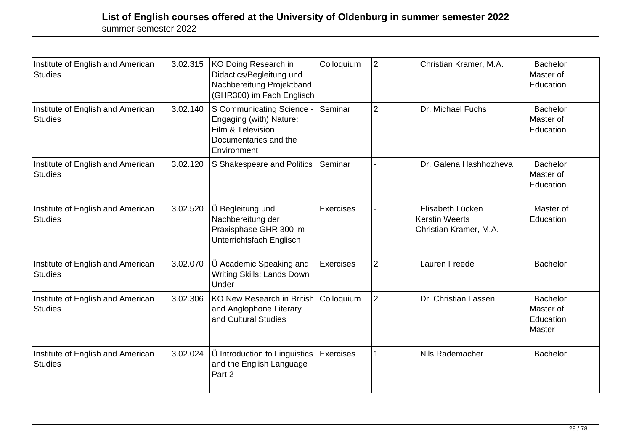| Institute of English and American<br><b>Studies</b> | 3.02.315 | KO Doing Research in<br>Didactics/Begleitung und<br>Nachbereitung Projektband<br>(GHR300) im Fach Englisch        | Colloquium       | $\overline{2}$ | Christian Kramer, M.A.                                              | <b>Bachelor</b><br>Master of<br>Education           |
|-----------------------------------------------------|----------|-------------------------------------------------------------------------------------------------------------------|------------------|----------------|---------------------------------------------------------------------|-----------------------------------------------------|
| Institute of English and American<br><b>Studies</b> | 3.02.140 | S Communicating Science -<br>Engaging (with) Nature:<br>Film & Television<br>Documentaries and the<br>Environment | Seminar          | 2              | Dr. Michael Fuchs                                                   | <b>Bachelor</b><br>Master of<br>Education           |
| Institute of English and American<br><b>Studies</b> | 3.02.120 | S Shakespeare and Politics                                                                                        | Seminar          |                | Dr. Galena Hashhozheva                                              | <b>Bachelor</b><br>Master of<br><b>Education</b>    |
| Institute of English and American<br><b>Studies</b> | 3.02.520 | Ü Begleitung und<br>Nachbereitung der<br>Praxisphase GHR 300 im<br>Unterrichtsfach Englisch                       | <b>Exercises</b> |                | Elisabeth Lücken<br><b>Kerstin Weerts</b><br>Christian Kramer, M.A. | Master of<br>Education                              |
| Institute of English and American<br><b>Studies</b> | 3.02.070 | Ü Academic Speaking and<br><b>Writing Skills: Lands Down</b><br>Under                                             | <b>Exercises</b> | $\overline{2}$ | Lauren Freede                                                       | <b>Bachelor</b>                                     |
| Institute of English and American<br><b>Studies</b> | 3.02.306 | <b>KO New Research in British</b><br>and Anglophone Literary<br>and Cultural Studies                              | Colloquium       | $\overline{2}$ | Dr. Christian Lassen                                                | <b>Bachelor</b><br>Master of<br>Education<br>Master |
| Institute of English and American<br><b>Studies</b> | 3.02.024 | <b>Ü</b> Introduction to Linguistics<br>and the English Language<br>Part 2                                        | <b>Exercises</b> |                | Nils Rademacher                                                     | <b>Bachelor</b>                                     |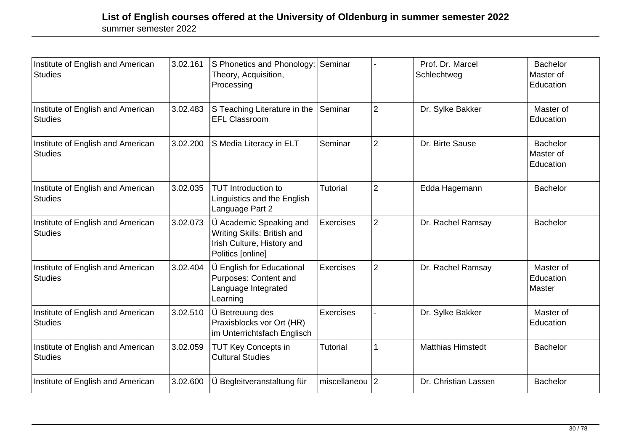| Institute of English and American<br><b>Studies</b> | 3.02.161 | S Phonetics and Phonology: Seminar<br>Theory, Acquisition,<br>Processing                                  |                 |                | Prof. Dr. Marcel<br>Schlechtweg | <b>Bachelor</b><br>Master of<br>Education |
|-----------------------------------------------------|----------|-----------------------------------------------------------------------------------------------------------|-----------------|----------------|---------------------------------|-------------------------------------------|
| Institute of English and American<br><b>Studies</b> | 3.02.483 | S Teaching Literature in the<br><b>EFL Classroom</b>                                                      | Seminar         | $\overline{2}$ | Dr. Sylke Bakker                | Master of<br>Education                    |
| Institute of English and American<br><b>Studies</b> | 3.02.200 | S Media Literacy in ELT                                                                                   | Seminar         | $\overline{2}$ | Dr. Birte Sause                 | <b>Bachelor</b><br>Master of<br>Education |
| Institute of English and American<br>Studies        | 3.02.035 | <b>TUT Introduction to</b><br>Linguistics and the English<br>Language Part 2                              | <b>Tutorial</b> | $\overline{2}$ | Edda Hagemann                   | <b>Bachelor</b>                           |
| Institute of English and American<br><b>Studies</b> | 3.02.073 | U Academic Speaking and<br>Writing Skills: British and<br>Irish Culture, History and<br>Politics [online] | Exercises       | $\overline{2}$ | Dr. Rachel Ramsay               | <b>Bachelor</b>                           |
| Institute of English and American<br><b>Studies</b> | 3.02.404 | Ü English for Educational<br>Purposes: Content and<br>Language Integrated<br>Learning                     | Exercises       | $\overline{2}$ | Dr. Rachel Ramsay               | Master of<br>Education<br>Master          |
| Institute of English and American<br><b>Studies</b> | 3.02.510 | U Betreuung des<br>Praxisblocks vor Ort (HR)<br>im Unterrichtsfach Englisch                               | Exercises       |                | Dr. Sylke Bakker                | Master of<br>Education                    |
| Institute of English and American<br><b>Studies</b> | 3.02.059 | <b>TUT Key Concepts in</b><br><b>Cultural Studies</b>                                                     | <b>Tutorial</b> |                | <b>Matthias Himstedt</b>        | <b>Bachelor</b>                           |
| Institute of English and American                   | 3.02.600 | Ü Begleitveranstaltung für                                                                                | miscellaneou    | $\overline{2}$ | Dr. Christian Lassen            | <b>Bachelor</b>                           |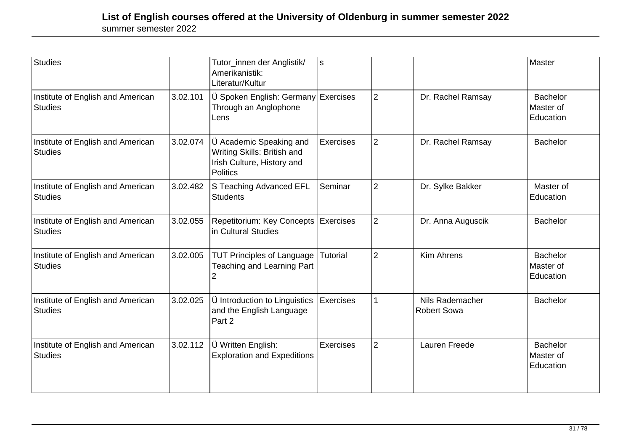| Studies                                             |          | Tutor_innen der Anglistik/<br>Amerikanistik:<br>Literatur/Kultur                                        | ls               |                |                                       | Master                                    |
|-----------------------------------------------------|----------|---------------------------------------------------------------------------------------------------------|------------------|----------------|---------------------------------------|-------------------------------------------|
| Institute of English and American<br><b>Studies</b> | 3.02.101 | Ü Spoken English: Germany Exercises<br>Through an Anglophone<br>Lens                                    |                  | $\overline{2}$ | Dr. Rachel Ramsay                     | <b>Bachelor</b><br>Master of<br>Education |
| Institute of English and American<br><b>Studies</b> | 3.02.074 | Ü Academic Speaking and<br>Writing Skills: British and<br>Irish Culture, History and<br><b>Politics</b> | <b>Exercises</b> | $\overline{2}$ | Dr. Rachel Ramsay                     | <b>Bachelor</b>                           |
| Institute of English and American<br><b>Studies</b> | 3.02.482 | S Teaching Advanced EFL<br><b>Students</b>                                                              | Seminar          | $\overline{2}$ | Dr. Sylke Bakker                      | Master of<br>Education                    |
| Institute of English and American<br><b>Studies</b> | 3.02.055 | Repetitorium: Key Concepts   Exercises<br>in Cultural Studies                                           |                  | $\overline{2}$ | Dr. Anna Auguscik                     | <b>Bachelor</b>                           |
| Institute of English and American<br>Studies        | 3.02.005 | <b>TUT Principles of Language</b><br><b>Teaching and Learning Part</b>                                  | Tutorial         | $\overline{2}$ | <b>Kim Ahrens</b>                     | <b>Bachelor</b><br>Master of<br>Education |
| Institute of English and American<br><b>Studies</b> | 3.02.025 | Ü Introduction to Linguistics<br>and the English Language<br>Part 2                                     | <b>Exercises</b> |                | Nils Rademacher<br><b>Robert Sowa</b> | <b>Bachelor</b>                           |
| Institute of English and American<br>Studies        | 3.02.112 | Ü Written English:<br><b>Exploration and Expeditions</b>                                                | <b>Exercises</b> | $\overline{2}$ | Lauren Freede                         | <b>Bachelor</b><br>Master of<br>Education |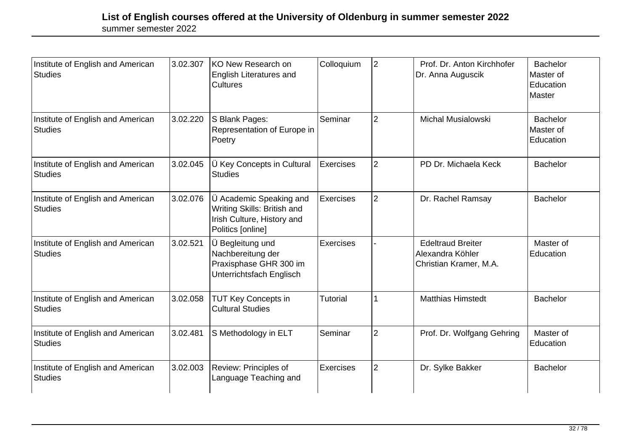| Institute of English and American<br><b>Studies</b> | 3.02.307 | KO New Research on<br><b>English Literatures and</b><br><b>Cultures</b>                                   | Colloquium      | $\overline{2}$ | Prof. Dr. Anton Kirchhofer<br>Dr. Anna Auguscik                        | <b>Bachelor</b><br>Master of<br>Education<br>Master |
|-----------------------------------------------------|----------|-----------------------------------------------------------------------------------------------------------|-----------------|----------------|------------------------------------------------------------------------|-----------------------------------------------------|
| Institute of English and American<br><b>Studies</b> | 3.02.220 | S Blank Pages:<br>Representation of Europe in<br>Poetry                                                   | Seminar         | $\overline{2}$ | <b>Michal Musialowski</b>                                              | <b>Bachelor</b><br>Master of<br>Education           |
| Institute of English and American<br><b>Studies</b> | 3.02.045 | U Key Concepts in Cultural<br><b>Studies</b>                                                              | Exercises       | $\overline{2}$ | PD Dr. Michaela Keck                                                   | <b>Bachelor</b>                                     |
| Institute of English and American<br><b>Studies</b> | 3.02.076 | U Academic Speaking and<br>Writing Skills: British and<br>Irish Culture, History and<br>Politics [online] | Exercises       | $\overline{2}$ | Dr. Rachel Ramsay                                                      | <b>Bachelor</b>                                     |
| Institute of English and American<br><b>Studies</b> | 3.02.521 | Ü Begleitung und<br>Nachbereitung der<br>Praxisphase GHR 300 im<br>Unterrichtsfach Englisch               | Exercises       |                | <b>Edeltraud Breiter</b><br>Alexandra Köhler<br>Christian Kramer, M.A. | Master of<br>Education                              |
| Institute of English and American<br><b>Studies</b> | 3.02.058 | <b>TUT Key Concepts in</b><br><b>Cultural Studies</b>                                                     | <b>Tutorial</b> | 1              | <b>Matthias Himstedt</b>                                               | <b>Bachelor</b>                                     |
| Institute of English and American<br>Studies        | 3.02.481 | S Methodology in ELT                                                                                      | Seminar         | $\overline{2}$ | Prof. Dr. Wolfgang Gehring                                             | Master of<br>Education                              |
| Institute of English and American<br><b>Studies</b> | 3.02.003 | Review: Principles of<br>Language Teaching and                                                            | Exercises       | $\overline{2}$ | Dr. Sylke Bakker                                                       | <b>Bachelor</b>                                     |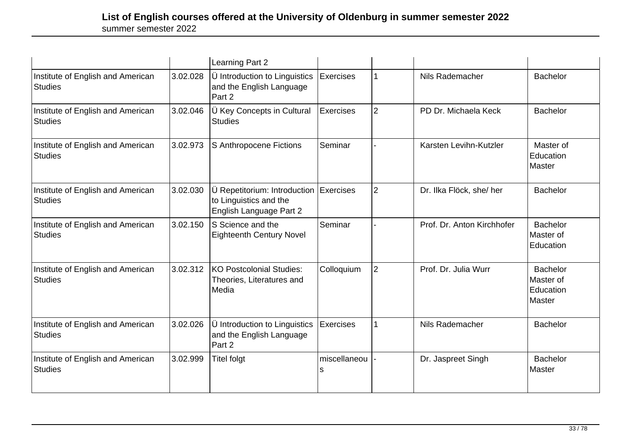|                                                     |          | Learning Part 2                                                                      |                    |                |                            |                                                     |
|-----------------------------------------------------|----------|--------------------------------------------------------------------------------------|--------------------|----------------|----------------------------|-----------------------------------------------------|
| Institute of English and American<br><b>Studies</b> | 3.02.028 | Ü Introduction to Linguistics<br>and the English Language<br>Part 2                  | <b>Exercises</b>   |                | Nils Rademacher            | <b>Bachelor</b>                                     |
| Institute of English and American<br><b>Studies</b> | 3.02.046 | U Key Concepts in Cultural<br>Studies                                                | <b>Exercises</b>   | $\overline{2}$ | PD Dr. Michaela Keck       | <b>Bachelor</b>                                     |
| Institute of English and American<br><b>Studies</b> | 3.02.973 | S Anthropocene Fictions                                                              | Seminar            |                | Karsten Levihn-Kutzler     | Master of<br>Education<br>Master                    |
| Institute of English and American<br><b>Studies</b> | 3.02.030 | Ü Repetitorium: Introduction<br>to Linguistics and the<br>English Language Part 2    | Exercises          | $\overline{2}$ | Dr. Ilka Flöck, she/her    | <b>Bachelor</b>                                     |
| Institute of English and American<br><b>Studies</b> | 3.02.150 | IS Science and the<br><b>Eighteenth Century Novel</b>                                | Seminar            |                | Prof. Dr. Anton Kirchhofer | <b>Bachelor</b><br>Master of<br>Education           |
| Institute of English and American<br><b>Studies</b> | 3.02.312 | KO Postcolonial Studies:<br>Theories, Literatures and<br>Media                       | Colloquium         | $\overline{2}$ | Prof. Dr. Julia Wurr       | <b>Bachelor</b><br>Master of<br>Education<br>Master |
| Institute of English and American<br><b>Studies</b> | 3.02.026 | $\ddot{\bm{\cup}}$ Introduction to Linguistics<br>and the English Language<br>Part 2 | <b>Exercises</b>   |                | Nils Rademacher            | <b>Bachelor</b>                                     |
| Institute of English and American<br><b>Studies</b> | 3.02.999 | <b>Titel folgt</b>                                                                   | miscellaneou<br>ls |                | Dr. Jaspreet Singh         | Bachelor<br>Master                                  |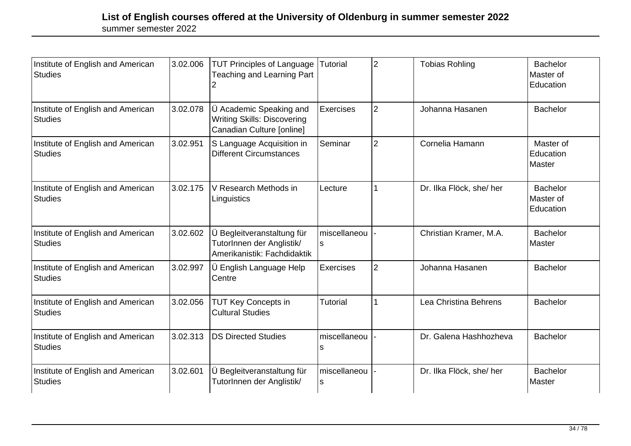| Institute of English and American<br><b>Studies</b> | 3.02.006 | <b>TUT Principles of Language</b><br><b>Teaching and Learning Part</b>                     | Tutorial           | $\overline{2}$ | <b>Tobias Rohling</b>    | <b>Bachelor</b><br>Master of<br>Education |
|-----------------------------------------------------|----------|--------------------------------------------------------------------------------------------|--------------------|----------------|--------------------------|-------------------------------------------|
| Institute of English and American<br><b>Studies</b> | 3.02.078 | U Academic Speaking and<br><b>Writing Skills: Discovering</b><br>Canadian Culture [online] | Exercises          | $\overline{2}$ | Johanna Hasanen          | <b>Bachelor</b>                           |
| Institute of English and American<br><b>Studies</b> | 3.02.951 | S Language Acquisition in<br><b>Different Circumstances</b>                                | Seminar            | $\overline{2}$ | Cornelia Hamann          | Master of<br>Education<br>Master          |
| Institute of English and American<br>Studies        | 3.02.175 | V Research Methods in<br>Linguistics                                                       | Lecture            |                | Dr. Ilka Flöck, she/her  | <b>Bachelor</b><br>Master of<br>Education |
| Institute of English and American<br><b>Studies</b> | 3.02.602 | Ü Begleitveranstaltung für<br>TutorInnen der Anglistik/<br>Amerikanistik: Fachdidaktik     | miscellaneou<br>ls |                | Christian Kramer, M.A.   | <b>Bachelor</b><br>Master                 |
| Institute of English and American<br><b>Studies</b> | 3.02.997 | ∣Ü English Language Help<br>Centre                                                         | <b>Exercises</b>   | $\overline{2}$ | Johanna Hasanen          | <b>Bachelor</b>                           |
| Institute of English and American<br><b>Studies</b> | 3.02.056 | <b>TUT Key Concepts in</b><br><b>Cultural Studies</b>                                      | <b>Tutorial</b>    |                | Lea Christina Behrens    | <b>Bachelor</b>                           |
| Institute of English and American<br>Studies        | 3.02.313 | <b>DS Directed Studies</b>                                                                 | miscellaneou<br>s  |                | Dr. Galena Hashhozheva   | <b>Bachelor</b>                           |
| Institute of English and American<br>Studies        | 3.02.601 | Ü Begleitveranstaltung für<br>TutorInnen der Anglistik/                                    | miscellaneou<br>ls |                | Dr. Ilka Flöck, she/ her | <b>Bachelor</b><br>Master                 |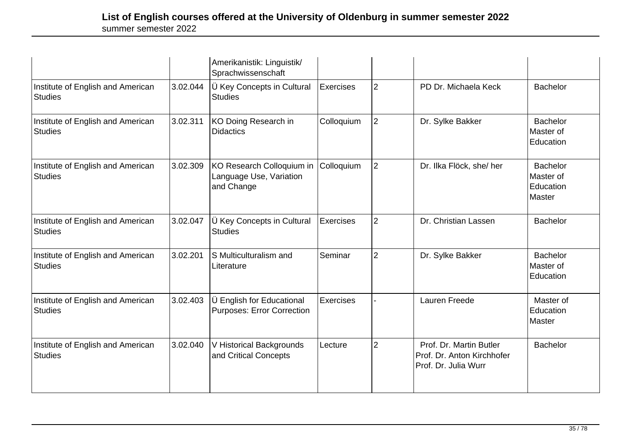|                                                     |          | Amerikanistik: Linguistik/<br>Sprachwissenschaft                   |                  |                |                                                                               |                                                     |
|-----------------------------------------------------|----------|--------------------------------------------------------------------|------------------|----------------|-------------------------------------------------------------------------------|-----------------------------------------------------|
| Institute of English and American<br><b>Studies</b> | 3.02.044 | Ü Key Concepts in Cultural<br><b>Studies</b>                       | <b>Exercises</b> | $\overline{2}$ | PD Dr. Michaela Keck                                                          | <b>Bachelor</b>                                     |
| Institute of English and American<br>Studies        | 3.02.311 | KO Doing Research in<br><b>Didactics</b>                           | Colloquium       | $\overline{2}$ | Dr. Sylke Bakker                                                              | <b>Bachelor</b><br>Master of<br>Education           |
| Institute of English and American<br><b>Studies</b> | 3.02.309 | KO Research Colloquium in<br>Language Use, Variation<br>and Change | Colloquium       | $\overline{2}$ | Dr. Ilka Flöck, she/ her                                                      | <b>Bachelor</b><br>Master of<br>Education<br>Master |
| Institute of English and American<br><b>Studies</b> | 3.02.047 | Ü Key Concepts in Cultural<br><b>Studies</b>                       | <b>Exercises</b> | $\overline{2}$ | Dr. Christian Lassen                                                          | <b>Bachelor</b>                                     |
| Institute of English and American<br><b>Studies</b> | 3.02.201 | S Multiculturalism and<br>Literature                               | Seminar          | $\overline{2}$ | Dr. Sylke Bakker                                                              | <b>Bachelor</b><br>Master of<br>Education           |
| Institute of English and American<br><b>Studies</b> | 3.02.403 | Ü English for Educational<br><b>Purposes: Error Correction</b>     | <b>Exercises</b> |                | <b>Lauren Freede</b>                                                          | Master of<br>Education<br>Master                    |
| Institute of English and American<br>Studies        | 3.02.040 | V Historical Backgrounds<br>and Critical Concepts                  | Lecture          | $\overline{2}$ | Prof. Dr. Martin Butler<br>Prof. Dr. Anton Kirchhofer<br>Prof. Dr. Julia Wurr | <b>Bachelor</b>                                     |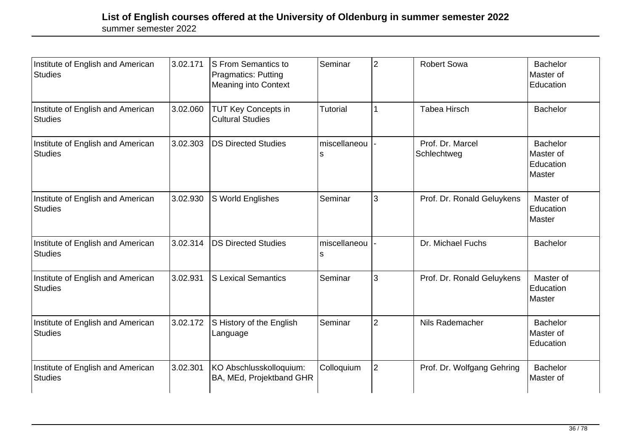| Institute of English and American<br><b>Studies</b> | 3.02.171 | S From Semantics to<br><b>Pragmatics: Putting</b><br>Meaning into Context | Seminar           | $\overline{2}$ | <b>Robert Sowa</b>              | <b>Bachelor</b><br>Master of<br>Education           |
|-----------------------------------------------------|----------|---------------------------------------------------------------------------|-------------------|----------------|---------------------------------|-----------------------------------------------------|
| Institute of English and American<br><b>Studies</b> | 3.02.060 | <b>TUT Key Concepts in</b><br><b>Cultural Studies</b>                     | <b>Tutorial</b>   |                | <b>Tabea Hirsch</b>             | <b>Bachelor</b>                                     |
| Institute of English and American<br><b>Studies</b> | 3.02.303 | <b>DS Directed Studies</b>                                                | miscellaneou<br>s |                | Prof. Dr. Marcel<br>Schlechtweg | <b>Bachelor</b><br>Master of<br>Education<br>Master |
| Institute of English and American<br><b>Studies</b> | 3.02.930 | S World Englishes                                                         | Seminar           | 3              | Prof. Dr. Ronald Geluykens      | Master of<br>Education<br>Master                    |
| Institute of English and American<br><b>Studies</b> | 3.02.314 | <b>DS Directed Studies</b>                                                | miscellaneou<br>s |                | Dr. Michael Fuchs               | <b>Bachelor</b>                                     |
| Institute of English and American<br><b>Studies</b> | 3.02.931 | <b>S Lexical Semantics</b>                                                | Seminar           | 3              | Prof. Dr. Ronald Geluykens      | Master of<br>Education<br>Master                    |
| Institute of English and American<br><b>Studies</b> | 3.02.172 | S History of the English<br>Language                                      | Seminar           | $\overline{2}$ | Nils Rademacher                 | <b>Bachelor</b><br>Master of<br>Education           |
| Institute of English and American<br><b>Studies</b> | 3.02.301 | KO Abschlusskolloquium:<br>BA, MEd, Projektband GHR                       | Colloquium        | $\overline{2}$ | Prof. Dr. Wolfgang Gehring      | <b>Bachelor</b><br>Master of                        |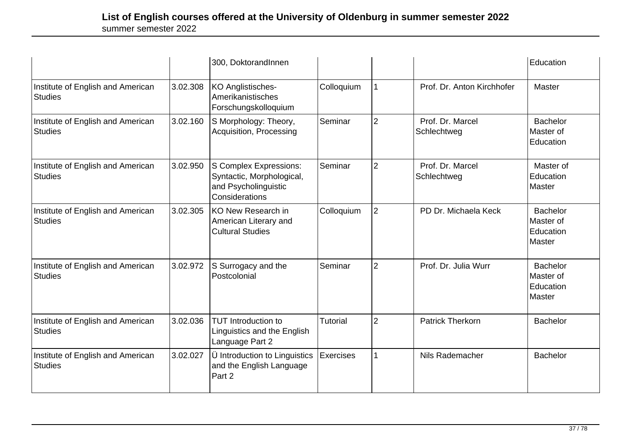|                                                     |          | 300, DoktorandInnen                                                                           |                 |                |                                 | Education                                           |
|-----------------------------------------------------|----------|-----------------------------------------------------------------------------------------------|-----------------|----------------|---------------------------------|-----------------------------------------------------|
| Institute of English and American<br><b>Studies</b> | 3.02.308 | KO Anglistisches-<br>Amerikanistisches<br>Forschungskolloquium                                | Colloquium      |                | Prof. Dr. Anton Kirchhofer      | Master                                              |
| Institute of English and American<br><b>Studies</b> | 3.02.160 | S Morphology: Theory,<br>Acquisition, Processing                                              | Seminar         | $\overline{2}$ | Prof. Dr. Marcel<br>Schlechtweg | <b>Bachelor</b><br>Master of<br>Education           |
| Institute of English and American<br><b>Studies</b> | 3.02.950 | S Complex Expressions:<br>Syntactic, Morphological,<br>and Psycholinguistic<br>Considerations | Seminar         | $\overline{2}$ | Prof. Dr. Marcel<br>Schlechtweg | Master of<br>Education<br>Master                    |
| Institute of English and American<br><b>Studies</b> | 3.02.305 | <b>KO New Research in</b><br>American Literary and<br><b>Cultural Studies</b>                 | Colloquium      | $\overline{2}$ | PD Dr. Michaela Keck            | <b>Bachelor</b><br>Master of<br>Education<br>Master |
| Institute of English and American<br><b>Studies</b> | 3.02.972 | S Surrogacy and the<br>Postcolonial                                                           | Seminar         | $\overline{2}$ | Prof. Dr. Julia Wurr            | <b>Bachelor</b><br>Master of<br>Education<br>Master |
| Institute of English and American<br><b>Studies</b> | 3.02.036 | <b>TUT Introduction to</b><br>Linguistics and the English<br>Language Part 2                  | <b>Tutorial</b> | $\overline{2}$ | <b>Patrick Therkorn</b>         | <b>Bachelor</b>                                     |
| Institute of English and American<br><b>Studies</b> | 3.02.027 | Ü Introduction to Linguistics<br>and the English Language<br>Part 2                           | Exercises       |                | Nils Rademacher                 | <b>Bachelor</b>                                     |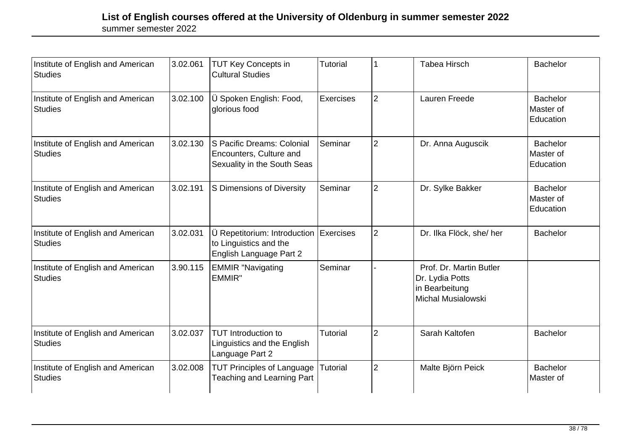| Institute of English and American<br><b>Studies</b> | 3.02.061 | <b>TUT Key Concepts in</b><br><b>Cultural Studies</b>                                | Tutorial  |                | <b>Tabea Hirsch</b>                                                                       | <b>Bachelor</b>                           |
|-----------------------------------------------------|----------|--------------------------------------------------------------------------------------|-----------|----------------|-------------------------------------------------------------------------------------------|-------------------------------------------|
| Institute of English and American<br><b>Studies</b> | 3.02.100 | Ü Spoken English: Food,<br>glorious food                                             | Exercises | $\overline{2}$ | Lauren Freede                                                                             | <b>Bachelor</b><br>Master of<br>Education |
| Institute of English and American<br>Studies        | 3.02.130 | S Pacific Dreams: Colonial<br>Encounters, Culture and<br>Sexuality in the South Seas | Seminar   | $\overline{2}$ | Dr. Anna Auguscik                                                                         | <b>Bachelor</b><br>Master of<br>Education |
| Institute of English and American<br><b>Studies</b> | 3.02.191 | S Dimensions of Diversity                                                            | Seminar   | $\overline{2}$ | Dr. Sylke Bakker                                                                          | <b>Bachelor</b><br>Master of<br>Education |
| Institute of English and American<br><b>Studies</b> | 3.02.031 | Ü Repetitorium: Introduction<br>to Linguistics and the<br>English Language Part 2    | Exercises | $\overline{2}$ | Dr. Ilka Flöck, she/ her                                                                  | <b>Bachelor</b>                           |
| Institute of English and American<br><b>Studies</b> | 3.90.115 | <b>EMMIR "Navigating</b><br>EMMIR"                                                   | Seminar   |                | Prof. Dr. Martin Butler<br>Dr. Lydia Potts<br>in Bearbeitung<br><b>Michal Musialowski</b> |                                           |
| Institute of English and American<br><b>Studies</b> | 3.02.037 | <b>TUT Introduction to</b><br>Linguistics and the English<br>Language Part 2         | Tutorial  | $\overline{2}$ | Sarah Kaltofen                                                                            | <b>Bachelor</b>                           |
| Institute of English and American<br><b>Studies</b> | 3.02.008 | <b>TUT Principles of Language</b><br><b>Teaching and Learning Part</b>               | Tutorial  | $\overline{2}$ | Malte Björn Peick                                                                         | <b>Bachelor</b><br>Master of              |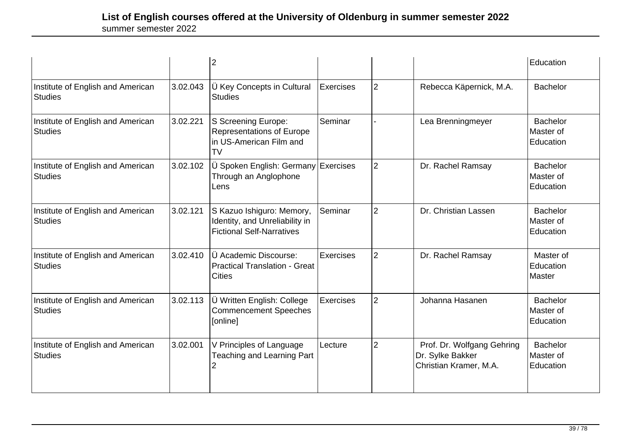|                                                     |          | $\overline{2}$                                                                                  |                  |                |                                                                          | Education                                 |
|-----------------------------------------------------|----------|-------------------------------------------------------------------------------------------------|------------------|----------------|--------------------------------------------------------------------------|-------------------------------------------|
| Institute of English and American<br><b>Studies</b> | 3.02.043 | Ü Key Concepts in Cultural<br><b>Studies</b>                                                    | <b>Exercises</b> | $\overline{2}$ | Rebecca Käpernick, M.A.                                                  | <b>Bachelor</b>                           |
| Institute of English and American<br><b>Studies</b> | 3.02.221 | S Screening Europe:<br><b>Representations of Europe</b><br>in US-American Film and<br><b>TV</b> | Seminar          |                | Lea Brenningmeyer                                                        | <b>Bachelor</b><br>Master of<br>Education |
| Institute of English and American<br><b>Studies</b> | 3.02.102 | Ü Spoken English: Germany Exercises<br>Through an Anglophone<br>Lens                            |                  | $\overline{2}$ | Dr. Rachel Ramsay                                                        | <b>Bachelor</b><br>Master of<br>Education |
| Institute of English and American<br><b>Studies</b> | 3.02.121 | S Kazuo Ishiguro: Memory,<br>Identity, and Unreliability in<br><b>Fictional Self-Narratives</b> | Seminar          | $\overline{2}$ | Dr. Christian Lassen                                                     | <b>Bachelor</b><br>Master of<br>Education |
| Institute of English and American<br><b>Studies</b> | 3.02.410 | Ü Academic Discourse:<br><b>Practical Translation - Great</b><br><b>Cities</b>                  | Exercises        | $\overline{2}$ | Dr. Rachel Ramsay                                                        | Master of<br>Education<br>Master          |
| Institute of English and American<br><b>Studies</b> | 3.02.113 | Ü Written English: College<br><b>Commencement Speeches</b><br>[online]                          | Exercises        | $\overline{2}$ | Johanna Hasanen                                                          | <b>Bachelor</b><br>Master of<br>Education |
| Institute of English and American<br><b>Studies</b> | 3.02.001 | V Principles of Language<br><b>Teaching and Learning Part</b><br>2                              | Lecture          | $\overline{2}$ | Prof. Dr. Wolfgang Gehring<br>Dr. Sylke Bakker<br>Christian Kramer, M.A. | <b>Bachelor</b><br>Master of<br>Education |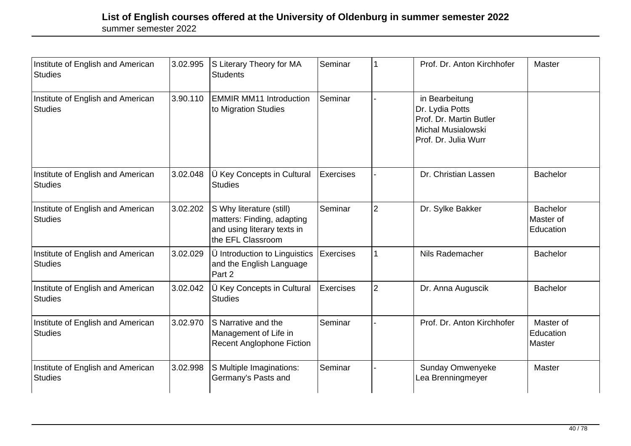| Institute of English and American<br><b>Studies</b> | 3.02.995 | S Literary Theory for MA<br><b>Students</b>                                                                | Seminar          | 1              | Prof. Dr. Anton Kirchhofer                                                                                 | Master                                    |
|-----------------------------------------------------|----------|------------------------------------------------------------------------------------------------------------|------------------|----------------|------------------------------------------------------------------------------------------------------------|-------------------------------------------|
| Institute of English and American<br><b>Studies</b> | 3.90.110 | <b>EMMIR MM11 Introduction</b><br>to Migration Studies                                                     | Seminar          |                | in Bearbeitung<br>Dr. Lydia Potts<br>Prof. Dr. Martin Butler<br>Michal Musialowski<br>Prof. Dr. Julia Wurr |                                           |
| Institute of English and American<br><b>Studies</b> | 3.02.048 | Ü Key Concepts in Cultural<br><b>Studies</b>                                                               | <b>Exercises</b> |                | Dr. Christian Lassen                                                                                       | <b>Bachelor</b>                           |
| Institute of English and American<br><b>Studies</b> | 3.02.202 | S Why literature (still)<br>matters: Finding, adapting<br>and using literary texts in<br>the EFL Classroom | Seminar          | $\overline{2}$ | Dr. Sylke Bakker                                                                                           | <b>Bachelor</b><br>Master of<br>Education |
| Institute of English and American<br><b>Studies</b> | 3.02.029 | Ü Introduction to Linguistics<br>and the English Language<br>Part 2                                        | Exercises        | $\mathbf{1}$   | Nils Rademacher                                                                                            | <b>Bachelor</b>                           |
| Institute of English and American<br><b>Studies</b> | 3.02.042 | Ü Key Concepts in Cultural<br><b>Studies</b>                                                               | <b>Exercises</b> | $\overline{2}$ | Dr. Anna Auguscik                                                                                          | <b>Bachelor</b>                           |
| Institute of English and American<br><b>Studies</b> | 3.02.970 | S Narrative and the<br>Management of Life in<br><b>Recent Anglophone Fiction</b>                           | Seminar          |                | Prof. Dr. Anton Kirchhofer                                                                                 | Master of<br>Education<br>Master          |
| Institute of English and American<br><b>Studies</b> | 3.02.998 | S Multiple Imaginations:<br>Germany's Pasts and                                                            | Seminar          |                | Sunday Omwenyeke<br>Lea Brenningmeyer                                                                      | Master                                    |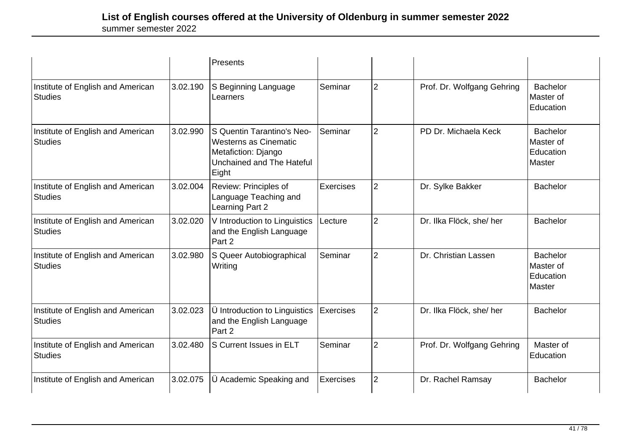|                                                     |          | Presents                                                                                                         |                  |                |                            |                                                      |
|-----------------------------------------------------|----------|------------------------------------------------------------------------------------------------------------------|------------------|----------------|----------------------------|------------------------------------------------------|
| Institute of English and American<br><b>Studies</b> | 3.02.190 | S Beginning Language<br>Learners                                                                                 | Seminar          | $\overline{2}$ | Prof. Dr. Wolfgang Gehring | <b>Bachelor</b><br>Master of<br>Education            |
| Institute of English and American<br><b>Studies</b> | 3.02.990 | S Quentin Tarantino's Neo-<br>Westerns as Cinematic<br>Metafiction: Django<br>Unchained and The Hateful<br>Eight | Seminar          | $\overline{2}$ | PD Dr. Michaela Keck       | <b>Bachelor</b><br>Master of<br>Education<br>lMaster |
| Institute of English and American<br><b>Studies</b> | 3.02.004 | Review: Principles of<br>Language Teaching and<br>Learning Part 2                                                | <b>Exercises</b> | $\overline{2}$ | Dr. Sylke Bakker           | <b>Bachelor</b>                                      |
| Institute of English and American<br><b>Studies</b> | 3.02.020 | V Introduction to Linguistics<br>and the English Language<br>Part 2                                              | Lecture          | $\overline{2}$ | Dr. Ilka Flöck, she/ her   | <b>Bachelor</b>                                      |
| Institute of English and American<br>Studies        | 3.02.980 | S Queer Autobiographical<br>Writing                                                                              | Seminar          | $\overline{2}$ | Dr. Christian Lassen       | <b>Bachelor</b><br>Master of<br>Education<br>Master  |
| Institute of English and American<br><b>Studies</b> | 3.02.023 | Ü Introduction to Linguistics<br>and the English Language<br>Part 2                                              | Exercises        | $\overline{2}$ | Dr. Ilka Flöck, she/ her   | <b>Bachelor</b>                                      |
| Institute of English and American<br><b>Studies</b> | 3.02.480 | S Current Issues in ELT                                                                                          | Seminar          | $\overline{2}$ | Prof. Dr. Wolfgang Gehring | Master of<br>Education                               |
| Institute of English and American                   | 3.02.075 | Ü Academic Speaking and                                                                                          | Exercises        | $\overline{2}$ | Dr. Rachel Ramsay          | <b>Bachelor</b>                                      |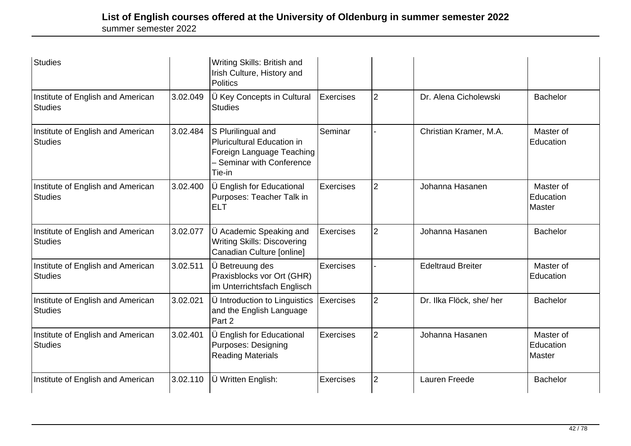| Studies                                             |          | Writing Skills: British and<br>Irish Culture, History and<br><b>Politics</b>                                                |                  |                |                          |                                  |
|-----------------------------------------------------|----------|-----------------------------------------------------------------------------------------------------------------------------|------------------|----------------|--------------------------|----------------------------------|
| Institute of English and American<br><b>Studies</b> | 3.02.049 | Ü Key Concepts in Cultural<br><b>Studies</b>                                                                                | <b>Exercises</b> | $\overline{2}$ | Dr. Alena Cicholewski    | <b>Bachelor</b>                  |
| Institute of English and American<br><b>Studies</b> | 3.02.484 | S Plurilingual and<br><b>Pluricultural Education in</b><br>Foreign Language Teaching<br>- Seminar with Conference<br>Tie-in | Seminar          |                | Christian Kramer, M.A.   | Master of<br>Education           |
| Institute of English and American<br><b>Studies</b> | 3.02.400 | <b>Ü</b> English for Educational<br>Purposes: Teacher Talk in<br><b>ELT</b>                                                 | <b>Exercises</b> | $\overline{2}$ | Johanna Hasanen          | Master of<br>Education<br>Master |
| Institute of English and American<br><b>Studies</b> | 3.02.077 | Ü Academic Speaking and<br><b>Writing Skills: Discovering</b><br>Canadian Culture [online]                                  | <b>Exercises</b> | $\overline{2}$ | Johanna Hasanen          | <b>Bachelor</b>                  |
| Institute of English and American<br><b>Studies</b> | 3.02.511 | Ü Betreuung des<br>Praxisblocks vor Ort (GHR)<br>im Unterrichtsfach Englisch                                                | <b>Exercises</b> |                | <b>Edeltraud Breiter</b> | Master of<br>Education           |
| Institute of English and American<br><b>Studies</b> | 3.02.021 | <b>Ü</b> Introduction to Linguistics<br>and the English Language<br>Part 2                                                  | <b>Exercises</b> | $\overline{2}$ | Dr. Ilka Flöck, she/ her | <b>Bachelor</b>                  |
| Institute of English and American<br><b>Studies</b> | 3.02.401 | Ü English for Educational<br><b>Purposes: Designing</b><br><b>Reading Materials</b>                                         | Exercises        | $\overline{2}$ | Johanna Hasanen          | Master of<br>Education<br>Master |
| Institute of English and American                   | 3.02.110 | Ü Written English:                                                                                                          | <b>Exercises</b> | $\overline{2}$ | Lauren Freede            | <b>Bachelor</b>                  |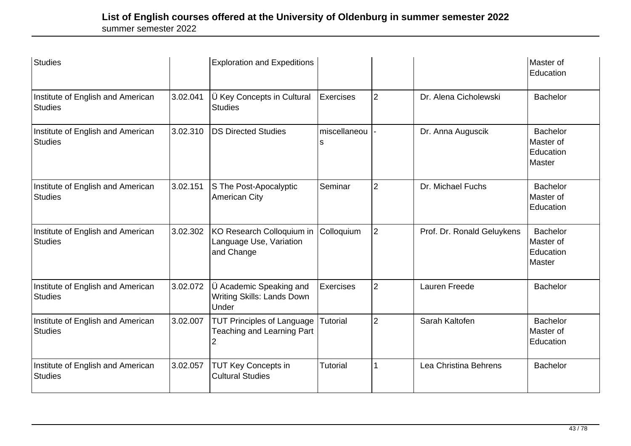| Studies                                             |          | <b>Exploration and Expeditions</b>                                          |                   |                |                            | Master of<br>Education                                     |
|-----------------------------------------------------|----------|-----------------------------------------------------------------------------|-------------------|----------------|----------------------------|------------------------------------------------------------|
| Institute of English and American<br><b>Studies</b> | 3.02.041 | Ü Key Concepts in Cultural<br><b>Studies</b>                                | <b>Exercises</b>  | $\overline{2}$ | Dr. Alena Cicholewski      | <b>Bachelor</b>                                            |
| Institute of English and American<br><b>Studies</b> | 3.02.310 | <b>DS Directed Studies</b>                                                  | miscellaneou<br>S |                | Dr. Anna Auguscik          | <b>Bachelor</b><br>Master of<br>Education<br><b>Master</b> |
| Institute of English and American<br><b>Studies</b> | 3.02.151 | S The Post-Apocalyptic<br><b>American City</b>                              | Seminar           | $\overline{2}$ | Dr. Michael Fuchs          | <b>Bachelor</b><br>Master of<br>Education                  |
| Institute of English and American<br><b>Studies</b> | 3.02.302 | KO Research Colloquium in<br>Language Use, Variation<br>and Change          | Colloquium        | $\overline{2}$ | Prof. Dr. Ronald Geluykens | <b>Bachelor</b><br>Master of<br>Education<br><b>Master</b> |
| Institute of English and American<br><b>Studies</b> | 3.02.072 | Ü Academic Speaking and<br>Writing Skills: Lands Down<br>Under              | <b>Exercises</b>  | $\overline{2}$ | Lauren Freede              | <b>Bachelor</b>                                            |
| Institute of English and American<br><b>Studies</b> | 3.02.007 | <b>TUT Principles of Language</b><br><b>Teaching and Learning Part</b><br>2 | Tutorial          | $\overline{2}$ | Sarah Kaltofen             | <b>Bachelor</b><br>Master of<br>Education                  |
| Institute of English and American<br><b>Studies</b> | 3.02.057 | <b>TUT Key Concepts in</b><br><b>Cultural Studies</b>                       | <b>Tutorial</b>   |                | Lea Christina Behrens      | <b>Bachelor</b>                                            |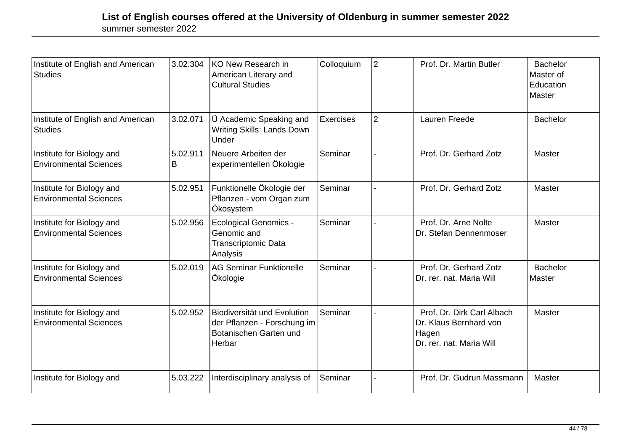| Institute of English and American<br><b>Studies</b>        | 3.02.304      | KO New Research in<br>American Literary and<br><b>Cultural Studies</b>                         | Colloquium | $\overline{2}$ | Prof. Dr. Martin Butler                                                                   | <b>Bachelor</b><br>Master of<br>Education<br>Master |
|------------------------------------------------------------|---------------|------------------------------------------------------------------------------------------------|------------|----------------|-------------------------------------------------------------------------------------------|-----------------------------------------------------|
| Institute of English and American<br><b>Studies</b>        | 3.02.071      | U Academic Speaking and<br><b>Writing Skills: Lands Down</b><br>Under                          | Exercises  | $\overline{2}$ | Lauren Freede                                                                             | <b>Bachelor</b>                                     |
| Institute for Biology and<br><b>Environmental Sciences</b> | 5.02.911<br>B | Neuere Arbeiten der<br>experimentellen Ökologie                                                | Seminar    |                | Prof. Dr. Gerhard Zotz                                                                    | <b>Master</b>                                       |
| Institute for Biology and<br><b>Environmental Sciences</b> | 5.02.951      | Funktionelle Ökologie der<br>Pflanzen - vom Organ zum<br>Ökosystem                             | Seminar    |                | Prof. Dr. Gerhard Zotz                                                                    | Master                                              |
| Institute for Biology and<br><b>Environmental Sciences</b> | 5.02.956      | <b>Ecological Genomics -</b><br>Genomic and<br>Transcriptomic Data<br>Analysis                 | Seminar    |                | Prof. Dr. Arne Nolte<br>Dr. Stefan Dennenmoser                                            | Master                                              |
| Institute for Biology and<br><b>Environmental Sciences</b> | 5.02.019      | <b>AG Seminar Funktionelle</b><br>Ökologie                                                     | Seminar    |                | Prof. Dr. Gerhard Zotz<br>Dr. rer. nat. Maria Will                                        | <b>Bachelor</b><br>Master                           |
| Institute for Biology and<br><b>Environmental Sciences</b> | 5.02.952      | Biodiversität und Evolution<br>der Pflanzen - Forschung im<br>Botanischen Garten und<br>Herbar | Seminar    |                | Prof. Dr. Dirk Carl Albach<br>Dr. Klaus Bernhard von<br>Hagen<br>Dr. rer. nat. Maria Will | Master                                              |
| Institute for Biology and                                  | 5.03.222      | Interdisciplinary analysis of                                                                  | Seminar    |                | Prof. Dr. Gudrun Massmann                                                                 | Master                                              |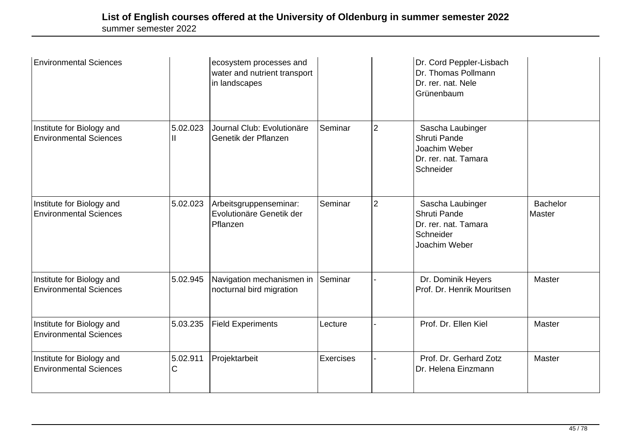| <b>Environmental Sciences</b>                              |               | ecosystem processes and<br>water and nutrient transport<br>in landscapes |           |                | Dr. Cord Peppler-Lisbach<br>Dr. Thomas Pollmann<br>Dr. rer. nat. Nele<br>Grünenbaum           |                           |
|------------------------------------------------------------|---------------|--------------------------------------------------------------------------|-----------|----------------|-----------------------------------------------------------------------------------------------|---------------------------|
| Institute for Biology and<br><b>Environmental Sciences</b> | 5.02.023      | Journal Club: Evolutionäre<br>Genetik der Pflanzen                       | Seminar   | $\overline{2}$ | Sascha Laubinger<br>Shruti Pande<br>Joachim Weber<br>Dr. rer. nat. Tamara<br>Schneider        |                           |
| Institute for Biology and<br><b>Environmental Sciences</b> | 5.02.023      | Arbeitsgruppenseminar:<br>Evolutionäre Genetik der<br>Pflanzen           | Seminar   | $\overline{2}$ | Sascha Laubinger<br><b>Shruti Pande</b><br>Dr. rer. nat. Tamara<br>Schneider<br>Joachim Weber | <b>Bachelor</b><br>Master |
| Institute for Biology and<br><b>Environmental Sciences</b> | 5.02.945      | Navigation mechanismen in<br>nocturnal bird migration                    | Seminar   |                | Dr. Dominik Heyers<br>Prof. Dr. Henrik Mouritsen                                              | Master                    |
| Institute for Biology and<br><b>Environmental Sciences</b> | 5.03.235      | <b>Field Experiments</b>                                                 | Lecture   |                | Prof. Dr. Ellen Kiel                                                                          | Master                    |
| Institute for Biology and<br><b>Environmental Sciences</b> | 5.02.911<br>С | Projektarbeit                                                            | Exercises |                | Prof. Dr. Gerhard Zotz<br>Dr. Helena Einzmann                                                 | Master                    |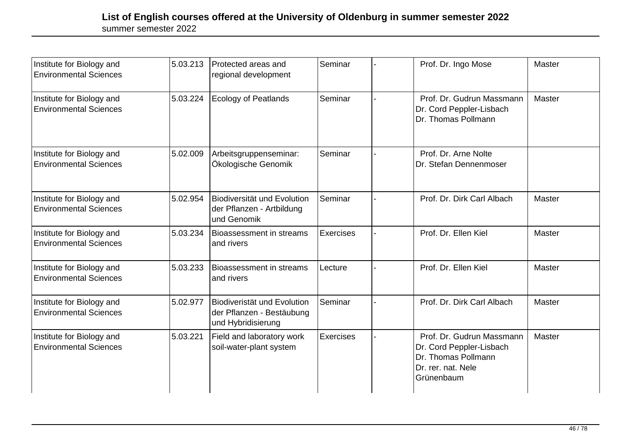| Institute for Biology and<br><b>Environmental Sciences</b> | 5.03.213 | Protected areas and<br>regional development                                    | Seminar   | Prof. Dr. Ingo Mose                                                                                              | Master |
|------------------------------------------------------------|----------|--------------------------------------------------------------------------------|-----------|------------------------------------------------------------------------------------------------------------------|--------|
| Institute for Biology and<br><b>Environmental Sciences</b> | 5.03.224 | <b>Ecology of Peatlands</b>                                                    | Seminar   | Prof. Dr. Gudrun Massmann<br>Dr. Cord Peppler-Lisbach<br>Dr. Thomas Pollmann                                     | Master |
| Institute for Biology and<br><b>Environmental Sciences</b> | 5.02.009 | Arbeitsgruppenseminar:<br>Ökologische Genomik                                  | Seminar   | Prof. Dr. Arne Nolte<br>Dr. Stefan Dennenmoser                                                                   |        |
| Institute for Biology and<br><b>Environmental Sciences</b> | 5.02.954 | Biodiversität und Evolution<br>der Pflanzen - Artbildung<br>und Genomik        | Seminar   | Prof. Dr. Dirk Carl Albach                                                                                       | Master |
| Institute for Biology and<br><b>Environmental Sciences</b> | 5.03.234 | Bioassessment in streams<br>and rivers                                         | Exercises | Prof. Dr. Ellen Kiel                                                                                             | Master |
| Institute for Biology and<br><b>Environmental Sciences</b> | 5.03.233 | Bioassessment in streams<br>and rivers                                         | Lecture   | Prof. Dr. Ellen Kiel                                                                                             | Master |
| Institute for Biology and<br><b>Environmental Sciences</b> | 5.02.977 | Biodiveristät und Evolution<br>der Pflanzen - Bestäubung<br>und Hybridisierung | Seminar   | Prof. Dr. Dirk Carl Albach                                                                                       | Master |
| Institute for Biology and<br><b>Environmental Sciences</b> | 5.03.221 | Field and laboratory work<br>soil-water-plant system                           | Exercises | Prof. Dr. Gudrun Massmann<br>Dr. Cord Peppler-Lisbach<br>Dr. Thomas Pollmann<br>Dr. rer. nat. Nele<br>Grünenbaum | Master |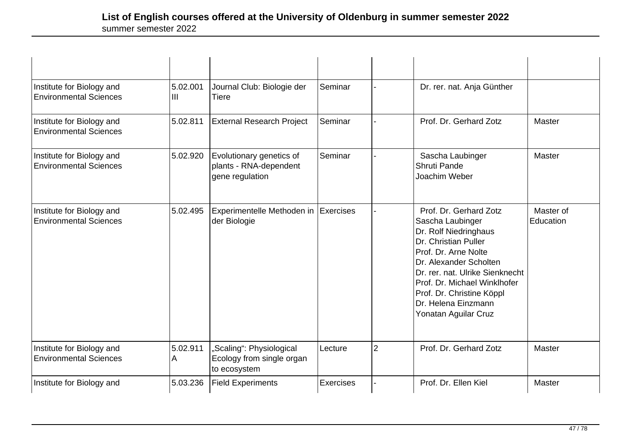| Institute for Biology and<br><b>Environmental Sciences</b> | 5.02.001<br>III | Journal Club: Biologie der<br><b>Tiere</b>                            | Seminar          |                | Dr. rer. nat. Anja Günther                                                                                                                                                                                                                                                                   |                        |
|------------------------------------------------------------|-----------------|-----------------------------------------------------------------------|------------------|----------------|----------------------------------------------------------------------------------------------------------------------------------------------------------------------------------------------------------------------------------------------------------------------------------------------|------------------------|
| Institute for Biology and<br><b>Environmental Sciences</b> | 5.02.811        | <b>External Research Project</b>                                      | Seminar          |                | Prof. Dr. Gerhard Zotz                                                                                                                                                                                                                                                                       | Master                 |
| Institute for Biology and<br><b>Environmental Sciences</b> | 5.02.920        | Evolutionary genetics of<br>plants - RNA-dependent<br>gene regulation | Seminar          |                | Sascha Laubinger<br>Shruti Pande<br>Joachim Weber                                                                                                                                                                                                                                            | Master                 |
| Institute for Biology and<br><b>Environmental Sciences</b> | 5.02.495        | Experimentelle Methoden in Exercises<br>der Biologie                  |                  |                | Prof. Dr. Gerhard Zotz<br>Sascha Laubinger<br>Dr. Rolf Niedringhaus<br>Dr. Christian Puller<br>Prof. Dr. Arne Nolte<br>Dr. Alexander Scholten<br>Dr. rer. nat. Ulrike Sienknecht<br>Prof. Dr. Michael Winklhofer<br>Prof. Dr. Christine Köppl<br>Dr. Helena Einzmann<br>Yonatan Aguilar Cruz | Master of<br>Education |
| Institute for Biology and<br><b>Environmental Sciences</b> | 5.02.911<br>A   | "Scaling": Physiological<br>Ecology from single organ<br>to ecosystem | Lecture          | $\overline{2}$ | Prof. Dr. Gerhard Zotz                                                                                                                                                                                                                                                                       | Master                 |
| Institute for Biology and                                  | 5.03.236        | <b>Field Experiments</b>                                              | <b>Exercises</b> |                | Prof. Dr. Ellen Kiel                                                                                                                                                                                                                                                                         | Master                 |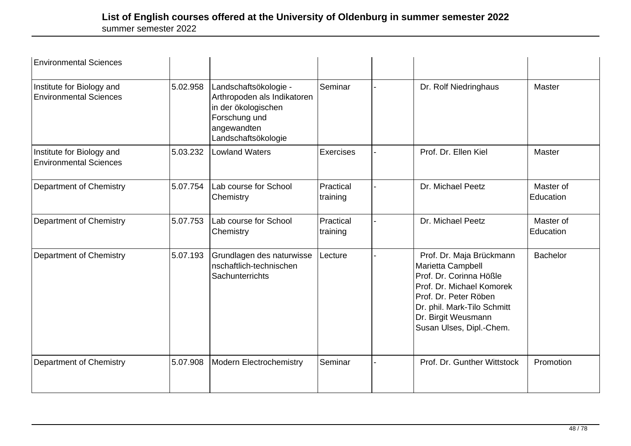| <b>Environmental Sciences</b>                              |          |                                                                                                                                    |                       |                                                                                                                                                                                                                  |                        |
|------------------------------------------------------------|----------|------------------------------------------------------------------------------------------------------------------------------------|-----------------------|------------------------------------------------------------------------------------------------------------------------------------------------------------------------------------------------------------------|------------------------|
| Institute for Biology and<br><b>Environmental Sciences</b> | 5.02.958 | Landschaftsökologie -<br>Arthropoden als Indikatoren<br>in der ökologischen<br>Forschung und<br>angewandten<br>Landschaftsökologie | Seminar               | Dr. Rolf Niedringhaus                                                                                                                                                                                            | <b>Master</b>          |
| Institute for Biology and<br><b>Environmental Sciences</b> | 5.03.232 | <b>Lowland Waters</b>                                                                                                              | Exercises             | Prof. Dr. Ellen Kiel                                                                                                                                                                                             | Master                 |
| Department of Chemistry                                    | 5.07.754 | Lab course for School<br>Chemistry                                                                                                 | Practical<br>training | Dr. Michael Peetz                                                                                                                                                                                                | Master of<br>Education |
| Department of Chemistry                                    | 5.07.753 | Lab course for School<br>Chemistry                                                                                                 | Practical<br>training | Dr. Michael Peetz                                                                                                                                                                                                | Master of<br>Education |
| Department of Chemistry                                    | 5.07.193 | Grundlagen des naturwisse<br>nschaftlich-technischen<br>Sachunterrichts                                                            | Lecture               | Prof. Dr. Maja Brückmann<br>Marietta Campbell<br>Prof. Dr. Corinna Hößle<br>Prof. Dr. Michael Komorek<br>Prof. Dr. Peter Röben<br>Dr. phil. Mark-Tilo Schmitt<br>Dr. Birgit Weusmann<br>Susan Ulses, Dipl.-Chem. | <b>Bachelor</b>        |
| Department of Chemistry                                    | 5.07.908 | Modern Electrochemistry                                                                                                            | Seminar               | Prof. Dr. Gunther Wittstock                                                                                                                                                                                      | Promotion              |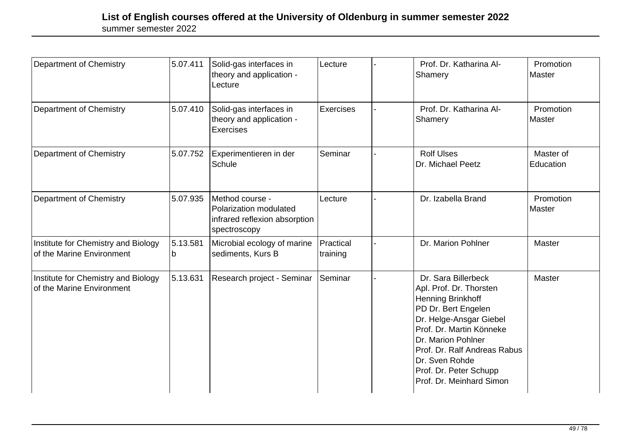| Department of Chemistry                                          | 5.07.411      | Solid-gas interfaces in<br>theory and application -<br>Lecture                             | Lecture               | Prof. Dr. Katharina Al-<br>Shamery                                                                                                                                                                                                                                                     | Promotion<br>Master    |
|------------------------------------------------------------------|---------------|--------------------------------------------------------------------------------------------|-----------------------|----------------------------------------------------------------------------------------------------------------------------------------------------------------------------------------------------------------------------------------------------------------------------------------|------------------------|
| Department of Chemistry                                          | 5.07.410      | Solid-gas interfaces in<br>theory and application -<br><b>Exercises</b>                    | <b>Exercises</b>      | Prof. Dr. Katharina Al-<br>Shamery                                                                                                                                                                                                                                                     | Promotion<br>Master    |
| Department of Chemistry                                          | 5.07.752      | Experimentieren in der<br>Schule                                                           | Seminar               | <b>Rolf Ulses</b><br>Dr. Michael Peetz                                                                                                                                                                                                                                                 | Master of<br>Education |
| <b>Department of Chemistry</b>                                   | 5.07.935      | Method course -<br>Polarization modulated<br>infrared reflexion absorption<br>spectroscopy | Lecture               | Dr. Izabella Brand                                                                                                                                                                                                                                                                     | Promotion<br>Master    |
| Institute for Chemistry and Biology<br>of the Marine Environment | 5.13.581<br>b | Microbial ecology of marine<br>sediments, Kurs B                                           | Practical<br>training | Dr. Marion Pohlner                                                                                                                                                                                                                                                                     | Master                 |
| Institute for Chemistry and Biology<br>of the Marine Environment | 5.13.631      | Research project - Seminar                                                                 | Seminar               | Dr. Sara Billerbeck<br>Apl. Prof. Dr. Thorsten<br><b>Henning Brinkhoff</b><br>PD Dr. Bert Engelen<br>Dr. Helge-Ansgar Giebel<br>Prof. Dr. Martin Könneke<br>Dr. Marion Pohlner<br>Prof. Dr. Ralf Andreas Rabus<br>Dr. Sven Rohde<br>Prof. Dr. Peter Schupp<br>Prof. Dr. Meinhard Simon | Master                 |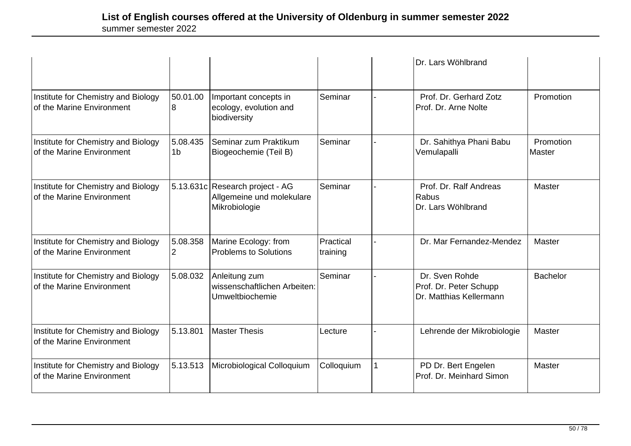|                                                                  |                            |                                                                               |                       | Dr. Lars Wöhlbrand                                                  |                     |
|------------------------------------------------------------------|----------------------------|-------------------------------------------------------------------------------|-----------------------|---------------------------------------------------------------------|---------------------|
| Institute for Chemistry and Biology<br>of the Marine Environment | 50.01.00<br>8              | Important concepts in<br>ecology, evolution and<br>biodiversity               | Seminar               | Prof. Dr. Gerhard Zotz<br>Prof. Dr. Arne Nolte                      | Promotion           |
| Institute for Chemistry and Biology<br>of the Marine Environment | 5.08.435<br>1 <sub>b</sub> | Seminar zum Praktikum<br>Biogeochemie (Teil B)                                | Seminar               | Dr. Sahithya Phani Babu<br>Vemulapalli                              | Promotion<br>Master |
| Institute for Chemistry and Biology<br>of the Marine Environment |                            | 5.13.631c Research project - AG<br>Allgemeine und molekulare<br>Mikrobiologie | Seminar               | Prof. Dr. Ralf Andreas<br>Rabus<br>Dr. Lars Wöhlbrand               | Master              |
| Institute for Chemistry and Biology<br>of the Marine Environment | 5.08.358<br>$\overline{2}$ | Marine Ecology: from<br><b>Problems to Solutions</b>                          | Practical<br>training | Dr. Mar Fernandez-Mendez                                            | Master              |
| Institute for Chemistry and Biology<br>of the Marine Environment | 5.08.032                   | Anleitung zum<br>wissenschaftlichen Arbeiten:<br>Umweltbiochemie              | Seminar               | Dr. Sven Rohde<br>Prof. Dr. Peter Schupp<br>Dr. Matthias Kellermann | <b>Bachelor</b>     |
| Institute for Chemistry and Biology<br>of the Marine Environment | 5.13.801                   | <b>Master Thesis</b>                                                          | Lecture               | Lehrende der Mikrobiologie                                          | <b>Master</b>       |
| Institute for Chemistry and Biology<br>of the Marine Environment | 5.13.513                   | Microbiological Colloquium                                                    | Colloquium            | PD Dr. Bert Engelen<br>Prof. Dr. Meinhard Simon                     | Master              |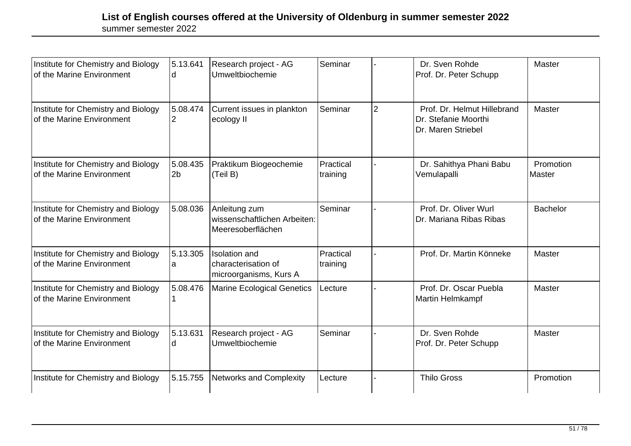| Institute for Chemistry and Biology<br>of the Marine Environment | 5.13.641<br>d              | Research project - AG<br>Umweltbiochemie                              | Seminar               |                | Dr. Sven Rohde<br>Prof. Dr. Peter Schupp                                  | Master              |
|------------------------------------------------------------------|----------------------------|-----------------------------------------------------------------------|-----------------------|----------------|---------------------------------------------------------------------------|---------------------|
| Institute for Chemistry and Biology<br>of the Marine Environment | 5.08.474<br>2              | Current issues in plankton<br>ecology II                              | Seminar               | $\overline{2}$ | Prof. Dr. Helmut Hillebrand<br>Dr. Stefanie Moorthi<br>Dr. Maren Striebel | Master              |
| Institute for Chemistry and Biology<br>of the Marine Environment | 5.08.435<br>2 <sub>b</sub> | Praktikum Biogeochemie<br>(Teil B)                                    | Practical<br>training |                | Dr. Sahithya Phani Babu<br>Vemulapalli                                    | Promotion<br>Master |
| Institute for Chemistry and Biology<br>of the Marine Environment | 5.08.036                   | Anleitung zum<br>wissenschaftlichen Arbeiten:<br>Meeresoberflächen    | Seminar               |                | Prof. Dr. Oliver Wurl<br>Dr. Mariana Ribas Ribas                          | <b>Bachelor</b>     |
| Institute for Chemistry and Biology<br>of the Marine Environment | 5.13.305<br>a              | <b>Isolation</b> and<br>characterisation of<br>microorganisms, Kurs A | Practical<br>training |                | Prof. Dr. Martin Könneke                                                  | Master              |
| Institute for Chemistry and Biology<br>of the Marine Environment | 5.08.476                   | Marine Ecological Genetics                                            | Lecture               |                | Prof. Dr. Oscar Puebla<br>Martin Helmkampf                                | Master              |
| Institute for Chemistry and Biology<br>of the Marine Environment | 5.13.631<br>d              | Research project - AG<br>Umweltbiochemie                              | Seminar               |                | Dr. Sven Rohde<br>Prof. Dr. Peter Schupp                                  | Master              |
| Institute for Chemistry and Biology                              | 5.15.755                   | Networks and Complexity                                               | Lecture               |                | <b>Thilo Gross</b>                                                        | Promotion           |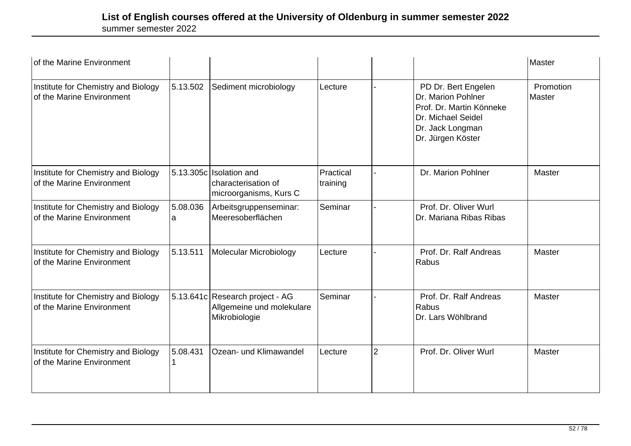| of the Marine Environment                                        |               |                                                                               |                       |                |                                                                                                                                      | Master              |
|------------------------------------------------------------------|---------------|-------------------------------------------------------------------------------|-----------------------|----------------|--------------------------------------------------------------------------------------------------------------------------------------|---------------------|
| Institute for Chemistry and Biology<br>of the Marine Environment | 5.13.502      | Sediment microbiology                                                         | Lecture               |                | PD Dr. Bert Engelen<br>Dr. Marion Pohlner<br>Prof. Dr. Martin Könneke<br>Dr. Michael Seidel<br>Dr. Jack Longman<br>Dr. Jürgen Köster | Promotion<br>Master |
| Institute for Chemistry and Biology<br>of the Marine Environment |               | 5.13.305c Isolation and<br>characterisation of<br>microorganisms, Kurs C      | Practical<br>training |                | Dr. Marion Pohlner                                                                                                                   | Master              |
| Institute for Chemistry and Biology<br>of the Marine Environment | 5.08.036<br>a | Arbeitsgruppenseminar:<br>Meeresoberflächen                                   | Seminar               |                | Prof. Dr. Oliver Wurl<br>Dr. Mariana Ribas Ribas                                                                                     |                     |
| Institute for Chemistry and Biology<br>of the Marine Environment | 5.13.511      | Molecular Microbiology                                                        | Lecture               |                | Prof. Dr. Ralf Andreas<br>Rabus                                                                                                      | Master              |
| Institute for Chemistry and Biology<br>of the Marine Environment |               | 5.13.641c Research project - AG<br>Allgemeine und molekulare<br>Mikrobiologie | Seminar               |                | Prof. Dr. Ralf Andreas<br>Rabus<br>Dr. Lars Wöhlbrand                                                                                | Master              |
| Institute for Chemistry and Biology<br>of the Marine Environment | 5.08.431      | Ozean- und Klimawandel                                                        | Lecture               | $\overline{2}$ | Prof. Dr. Oliver Wurl                                                                                                                | Master              |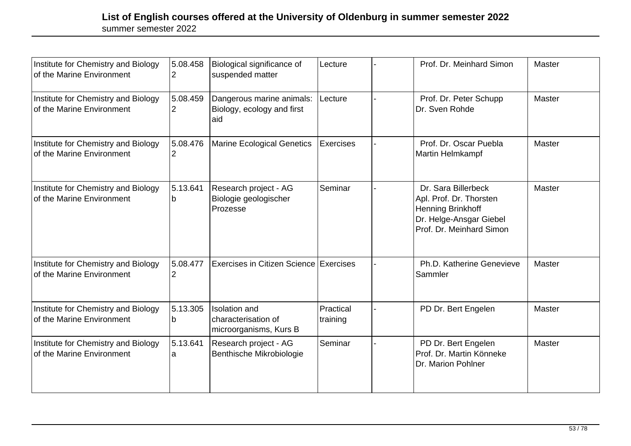| Institute for Chemistry and Biology<br>of the Marine Environment | 5.08.458<br>2              | Biological significance of<br>suspended matter                        | Lecture               | Prof. Dr. Meinhard Simon                                                                                                          | Master        |
|------------------------------------------------------------------|----------------------------|-----------------------------------------------------------------------|-----------------------|-----------------------------------------------------------------------------------------------------------------------------------|---------------|
| Institute for Chemistry and Biology<br>of the Marine Environment | 5.08.459<br>$\overline{2}$ | Dangerous marine animals:<br>Biology, ecology and first<br>aid        | Lecture               | Prof. Dr. Peter Schupp<br>Dr. Sven Rohde                                                                                          | Master        |
| Institute for Chemistry and Biology<br>of the Marine Environment | 5.08.476                   | Marine Ecological Genetics                                            | <b>Exercises</b>      | Prof. Dr. Oscar Puebla<br>Martin Helmkampf                                                                                        | <b>Master</b> |
| Institute for Chemistry and Biology<br>of the Marine Environment | 5.13.641<br>b              | Research project - AG<br>Biologie geologischer<br>Prozesse            | Seminar               | Dr. Sara Billerbeck<br>Apl. Prof. Dr. Thorsten<br><b>Henning Brinkhoff</b><br>Dr. Helge-Ansgar Giebel<br>Prof. Dr. Meinhard Simon | <b>Master</b> |
| Institute for Chemistry and Biology<br>of the Marine Environment | 5.08.477<br>2              | Exercises in Citizen Science Exercises                                |                       | Ph.D. Katherine Genevieve<br>Sammler                                                                                              | <b>Master</b> |
| Institute for Chemistry and Biology<br>of the Marine Environment | 5.13.305<br>b              | <b>Isolation</b> and<br>characterisation of<br>microorganisms, Kurs B | Practical<br>training | PD Dr. Bert Engelen                                                                                                               | <b>Master</b> |
| Institute for Chemistry and Biology<br>of the Marine Environment | 5.13.641<br>а              | Research project - AG<br>Benthische Mikrobiologie                     | Seminar               | PD Dr. Bert Engelen<br>Prof. Dr. Martin Könneke<br>Dr. Marion Pohlner                                                             | <b>Master</b> |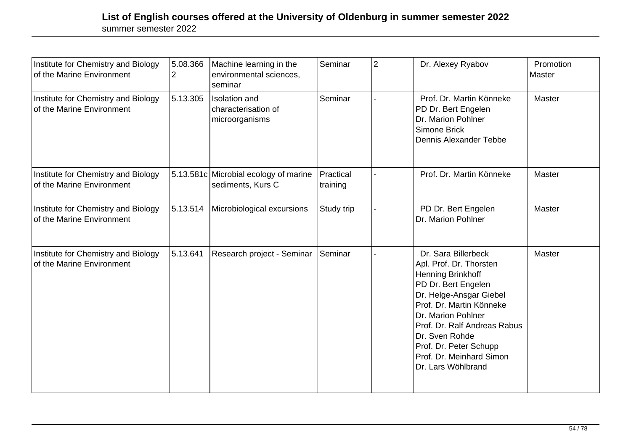| Institute for Chemistry and Biology<br>of the Marine Environment | 5.08.366<br>2 | Machine learning in the<br>environmental sciences,<br>seminar | Seminar               | 2 | Dr. Alexey Ryabov                                                                                                                                                                                                                                                                                     | Promotion<br><b>Master</b> |
|------------------------------------------------------------------|---------------|---------------------------------------------------------------|-----------------------|---|-------------------------------------------------------------------------------------------------------------------------------------------------------------------------------------------------------------------------------------------------------------------------------------------------------|----------------------------|
| Institute for Chemistry and Biology<br>of the Marine Environment | 5.13.305      | <b>Isolation</b> and<br>characterisation of<br>microorganisms | Seminar               |   | Prof. Dr. Martin Könneke<br>PD Dr. Bert Engelen<br>Dr. Marion Pohlner<br>Simone Brick<br>Dennis Alexander Tebbe                                                                                                                                                                                       | <b>Master</b>              |
| Institute for Chemistry and Biology<br>of the Marine Environment |               | 5.13.581c Microbial ecology of marine<br>sediments, Kurs C    | Practical<br>training |   | Prof. Dr. Martin Könneke                                                                                                                                                                                                                                                                              | Master                     |
| Institute for Chemistry and Biology<br>of the Marine Environment | 5.13.514      | Microbiological excursions                                    | Study trip            |   | PD Dr. Bert Engelen<br>Dr. Marion Pohlner                                                                                                                                                                                                                                                             | <b>Master</b>              |
| Institute for Chemistry and Biology<br>of the Marine Environment | 5.13.641      | Research project - Seminar                                    | Seminar               |   | Dr. Sara Billerbeck<br>Apl. Prof. Dr. Thorsten<br>Henning Brinkhoff<br>PD Dr. Bert Engelen<br>Dr. Helge-Ansgar Giebel<br>Prof. Dr. Martin Könneke<br>Dr. Marion Pohlner<br>Prof. Dr. Ralf Andreas Rabus<br>Dr. Sven Rohde<br>Prof. Dr. Peter Schupp<br>Prof. Dr. Meinhard Simon<br>Dr. Lars Wöhlbrand | <b>Master</b>              |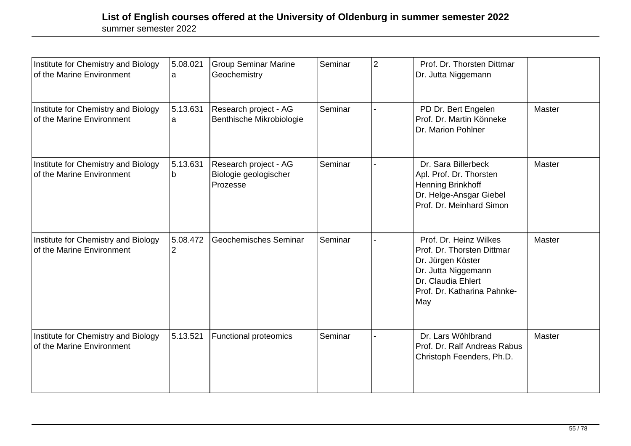| Institute for Chemistry and Biology<br>of the Marine Environment | 5.08.021<br>a | <b>Group Seminar Marine</b><br>Geochemistry                | Seminar | $\overline{2}$ | Prof. Dr. Thorsten Dittmar<br>Dr. Jutta Niggemann                                                                                                            |        |
|------------------------------------------------------------------|---------------|------------------------------------------------------------|---------|----------------|--------------------------------------------------------------------------------------------------------------------------------------------------------------|--------|
| Institute for Chemistry and Biology<br>of the Marine Environment | 5.13.631<br>а | Research project - AG<br>Benthische Mikrobiologie          | Seminar |                | PD Dr. Bert Engelen<br>Prof. Dr. Martin Könneke<br>Dr. Marion Pohlner                                                                                        | Master |
| Institute for Chemistry and Biology<br>of the Marine Environment | 5.13.631<br>b | Research project - AG<br>Biologie geologischer<br>Prozesse | Seminar |                | Dr. Sara Billerbeck<br>Apl. Prof. Dr. Thorsten<br>Henning Brinkhoff<br>Dr. Helge-Ansgar Giebel<br>Prof. Dr. Meinhard Simon                                   | Master |
| Institute for Chemistry and Biology<br>of the Marine Environment | 5.08.472      | Geochemisches Seminar                                      | Seminar |                | Prof. Dr. Heinz Wilkes<br>Prof. Dr. Thorsten Dittmar<br>Dr. Jürgen Köster<br>Dr. Jutta Niggemann<br>Dr. Claudia Ehlert<br>Prof. Dr. Katharina Pahnke-<br>May | Master |
| Institute for Chemistry and Biology<br>of the Marine Environment | 5.13.521      | <b>Functional proteomics</b>                               | Seminar |                | Dr. Lars Wöhlbrand<br>Prof. Dr. Ralf Andreas Rabus<br>Christoph Feenders, Ph.D.                                                                              | Master |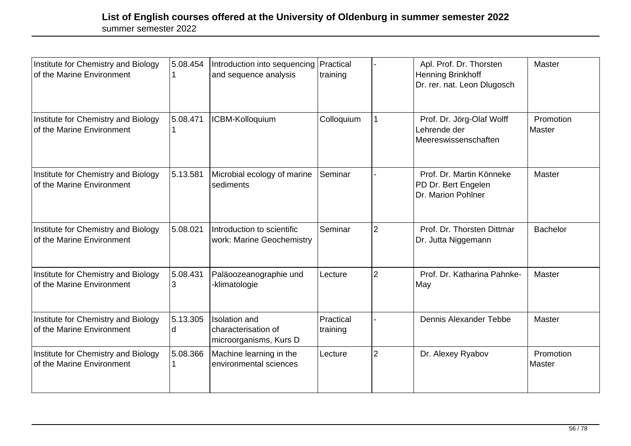| Institute for Chemistry and Biology<br>of the Marine Environment | 5.08.454      | Introduction into sequencing<br>and sequence analysis                 | Practical<br>training |                | Apl. Prof. Dr. Thorsten<br>Henning Brinkhoff<br>Dr. rer. nat. Leon Dlugosch | Master              |
|------------------------------------------------------------------|---------------|-----------------------------------------------------------------------|-----------------------|----------------|-----------------------------------------------------------------------------|---------------------|
| Institute for Chemistry and Biology<br>of the Marine Environment | 5.08.471      | ICBM-Kolloquium                                                       | Colloquium            |                | Prof. Dr. Jörg-Olaf Wolff<br>Lehrende der<br>Meereswissenschaften           | Promotion<br>Master |
| Institute for Chemistry and Biology<br>of the Marine Environment | 5.13.581      | Microbial ecology of marine<br>sediments                              | Seminar               |                | Prof. Dr. Martin Könneke<br>PD Dr. Bert Engelen<br>Dr. Marion Pohlner       | Master              |
| Institute for Chemistry and Biology<br>of the Marine Environment | 5.08.021      | Introduction to scientific<br>work: Marine Geochemistry               | Seminar               | $\overline{2}$ | Prof. Dr. Thorsten Dittmar<br>Dr. Jutta Niggemann                           | <b>Bachelor</b>     |
| Institute for Chemistry and Biology<br>of the Marine Environment | 5.08.431<br>3 | Paläoozeanographie und<br>-klimatologie                               | Lecture               | $\overline{2}$ | Prof. Dr. Katharina Pahnke-<br>May                                          | Master              |
| Institute for Chemistry and Biology<br>of the Marine Environment | 5.13.305<br>d | <b>Isolation</b> and<br>characterisation of<br>microorganisms, Kurs D | Practical<br>training |                | <b>Dennis Alexander Tebbe</b>                                               | Master              |
| Institute for Chemistry and Biology<br>of the Marine Environment | 5.08.366      | Machine learning in the<br>environmental sciences                     | Lecture               | $\overline{2}$ | Dr. Alexey Ryabov                                                           | Promotion<br>Master |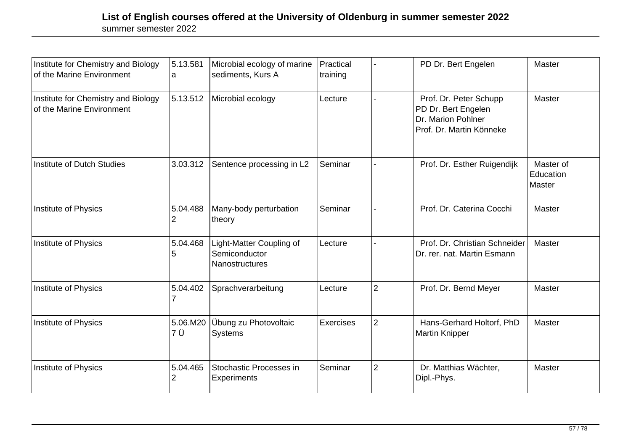| Institute for Chemistry and Biology<br>of the Marine Environment | 5.13.581<br>a   | Microbial ecology of marine<br>sediments, Kurs A                   | Practical<br>training |                | PD Dr. Bert Engelen                                                                             | Master                           |
|------------------------------------------------------------------|-----------------|--------------------------------------------------------------------|-----------------------|----------------|-------------------------------------------------------------------------------------------------|----------------------------------|
| Institute for Chemistry and Biology<br>of the Marine Environment | 5.13.512        | Microbial ecology                                                  | Lecture               |                | Prof. Dr. Peter Schupp<br>PD Dr. Bert Engelen<br>Dr. Marion Pohlner<br>Prof. Dr. Martin Könneke | Master                           |
| Institute of Dutch Studies                                       | 3.03.312        | Sentence processing in L2                                          | Seminar               |                | Prof. Dr. Esther Ruigendijk                                                                     | Master of<br>Education<br>Master |
| Institute of Physics                                             | 5.04.488        | Many-body perturbation<br>theory                                   | Seminar               |                | Prof. Dr. Caterina Cocchi                                                                       | Master                           |
| Institute of Physics                                             | 5.04.468<br>5   | Light-Matter Coupling of<br>Semiconductor<br><b>Nanostructures</b> | Lecture               |                | Prof. Dr. Christian Schneider<br>Dr. rer. nat. Martin Esmann                                    | Master                           |
| Institute of Physics                                             | 5.04.402        | Sprachverarbeitung                                                 | Lecture               | $\overline{2}$ | Prof. Dr. Bernd Meyer                                                                           | Master                           |
| Institute of Physics                                             | 5.06.M20<br>7 Ü | Übung zu Photovoltaic<br>Systems                                   | <b>Exercises</b>      | $\overline{2}$ | Hans-Gerhard Holtorf, PhD<br><b>Martin Knipper</b>                                              | Master                           |
| Institute of Physics                                             | 5.04.465<br>2   | Stochastic Processes in<br>Experiments                             | Seminar               | $\overline{2}$ | Dr. Matthias Wächter,<br>Dipl.-Phys.                                                            | Master                           |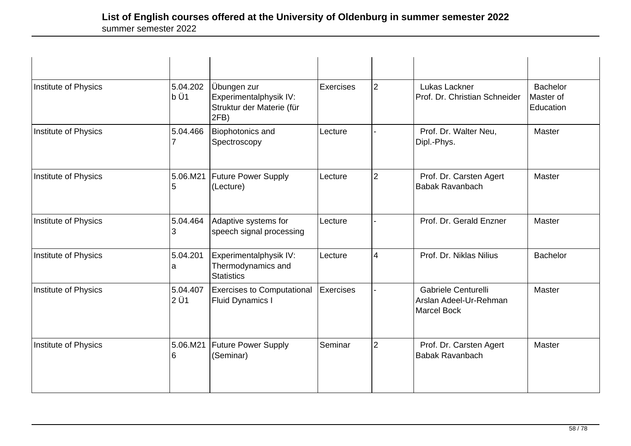| Institute of Physics | 5.04.202<br>b Ü1 | Übungen zur<br>Experimentalphysik IV:<br>Struktur der Materie (für<br>2FB) | Exercises        | $\overline{2}$ | Lukas Lackner<br>Prof. Dr. Christian Schneider                      | <b>Bachelor</b><br>Master of<br>Education |
|----------------------|------------------|----------------------------------------------------------------------------|------------------|----------------|---------------------------------------------------------------------|-------------------------------------------|
| Institute of Physics | 5.04.466         | <b>Biophotonics and</b><br>Spectroscopy                                    | Lecture          |                | Prof. Dr. Walter Neu,<br>Dipl.-Phys.                                | Master                                    |
| Institute of Physics | 5.06.M21<br>5    | <b>Future Power Supply</b><br>(Lecture)                                    | Lecture          | $\overline{2}$ | Prof. Dr. Carsten Agert<br><b>Babak Ravanbach</b>                   | Master                                    |
| Institute of Physics | 5.04.464         | Adaptive systems for<br>speech signal processing                           | Lecture          |                | Prof. Dr. Gerald Enzner                                             | Master                                    |
| Institute of Physics | 5.04.201<br>a    | Experimentalphysik IV:<br>Thermodynamics and<br><b>Statistics</b>          | Lecture          | $\overline{4}$ | Prof. Dr. Niklas Nilius                                             | <b>Bachelor</b>                           |
| Institute of Physics | 5.04.407<br>2 Ü1 | <b>Exercises to Computational</b><br><b>Fluid Dynamics I</b>               | <b>Exercises</b> |                | Gabriele Centurelli<br>Arslan Adeel-Ur-Rehman<br><b>Marcel Bock</b> | Master                                    |
| Institute of Physics | 5.06.M21<br>ჩ    | <b>Future Power Supply</b><br>(Seminar)                                    | Seminar          | $\overline{2}$ | Prof. Dr. Carsten Agert<br><b>Babak Ravanbach</b>                   | Master                                    |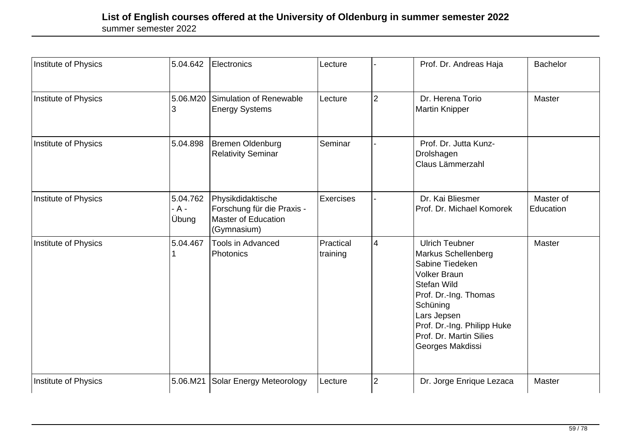| Institute of Physics | 5.04.642                   | Electronics                                                                                  | Lecture               |                | Prof. Dr. Andreas Haja                                                                                                                                                                                                                  | <b>Bachelor</b>        |
|----------------------|----------------------------|----------------------------------------------------------------------------------------------|-----------------------|----------------|-----------------------------------------------------------------------------------------------------------------------------------------------------------------------------------------------------------------------------------------|------------------------|
| Institute of Physics | 5.06.M20<br>3              | Simulation of Renewable<br><b>Energy Systems</b>                                             | Lecture               | $\overline{2}$ | Dr. Herena Torio<br><b>Martin Knipper</b>                                                                                                                                                                                               | Master                 |
| Institute of Physics | 5.04.898                   | <b>Bremen Oldenburg</b><br><b>Relativity Seminar</b>                                         | Seminar               |                | Prof. Dr. Jutta Kunz-<br>Drolshagen<br>Claus Lämmerzahl                                                                                                                                                                                 |                        |
| Institute of Physics | 5.04.762<br>- A -<br>Übung | Physikdidaktische<br>Forschung für die Praxis -<br><b>Master of Education</b><br>(Gymnasium) | Exercises             |                | Dr. Kai Bliesmer<br>Prof. Dr. Michael Komorek                                                                                                                                                                                           | Master of<br>Education |
| Institute of Physics | 5.04.467                   | Tools in Advanced<br>Photonics                                                               | Practical<br>training | $\overline{4}$ | <b>Ulrich Teubner</b><br>Markus Schellenberg<br>Sabine Tiedeken<br><b>Volker Braun</b><br>Stefan Wild<br>Prof. Dr.-Ing. Thomas<br>Schüning<br>Lars Jepsen<br>Prof. Dr.-Ing. Philipp Huke<br>Prof. Dr. Martin Silies<br>Georges Makdissi | Master                 |
| Institute of Physics | 5.06.M21                   | Solar Energy Meteorology                                                                     | Lecture               | $\overline{2}$ | Dr. Jorge Enrique Lezaca                                                                                                                                                                                                                | Master                 |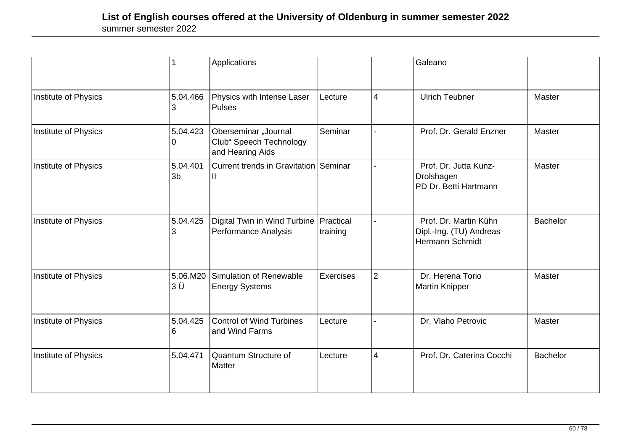|                      |                            | Applications                                                            |                  |                | Galeano                                                                    |                 |
|----------------------|----------------------------|-------------------------------------------------------------------------|------------------|----------------|----------------------------------------------------------------------------|-----------------|
| Institute of Physics | 5.04.466                   | Physics with Intense Laser<br>Pulses                                    | Lecture          | $\overline{4}$ | <b>Ulrich Teubner</b>                                                      | Master          |
| Institute of Physics | 5.04.423                   | Oberseminar "Journal<br>Club" Speech Technology<br>and Hearing Aids     | Seminar          |                | Prof. Dr. Gerald Enzner                                                    | Master          |
| Institute of Physics | 5.04.401<br>3 <sub>b</sub> | Current trends in Gravitation Seminar                                   |                  |                | Prof. Dr. Jutta Kunz-<br>Drolshagen<br>PD Dr. Betti Hartmann               | Master          |
| Institute of Physics | 5.04.425                   | Digital Twin in Wind Turbine   Practical<br><b>Performance Analysis</b> | training         |                | Prof. Dr. Martin Kühn<br>Dipl.-Ing. (TU) Andreas<br><b>Hermann Schmidt</b> | <b>Bachelor</b> |
| Institute of Physics | 5.06.M20<br>ЗÜ             | Simulation of Renewable<br><b>Energy Systems</b>                        | <b>Exercises</b> | $\overline{2}$ | Dr. Herena Torio<br><b>Martin Knipper</b>                                  | Master          |
| Institute of Physics | 5.04.425<br>6              | <b>Control of Wind Turbines</b><br>and Wind Farms                       | Lecture          |                | Dr. Vlaho Petrovic                                                         | Master          |
| Institute of Physics | 5.04.471                   | Quantum Structure of<br>Matter                                          | Lecture          | $\overline{4}$ | Prof. Dr. Caterina Cocchi                                                  | <b>Bachelor</b> |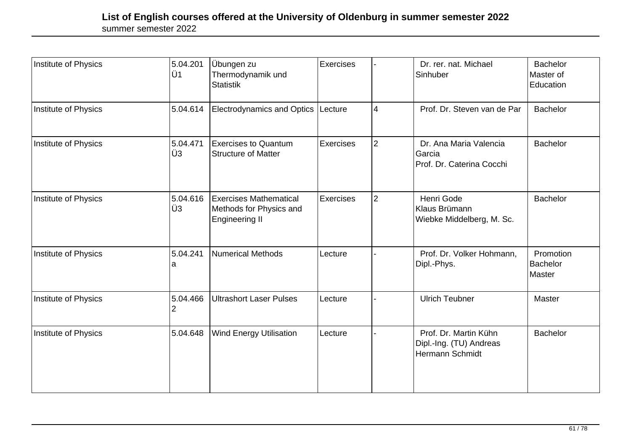| Institute of Physics | 5.04.201<br>lÜ1 | Übungen zu<br>Thermodynamik und<br><b>Statistik</b>                               | Exercises |                | Dr. rer. nat. Michael<br>Sinhuber                                   | <b>Bachelor</b><br>Master of<br>Education |
|----------------------|-----------------|-----------------------------------------------------------------------------------|-----------|----------------|---------------------------------------------------------------------|-------------------------------------------|
| Institute of Physics | 5.04.614        | Electrodynamics and Optics Lecture                                                |           | 4              | Prof. Dr. Steven van de Par                                         | <b>Bachelor</b>                           |
| Institute of Physics | 5.04.471<br>∣Ü3 | <b>Exercises to Quantum</b><br><b>Structure of Matter</b>                         | Exercises | $\overline{2}$ | Dr. Ana Maria Valencia<br>Garcia<br>Prof. Dr. Caterina Cocchi       | Bachelor                                  |
| Institute of Physics | 5.04.616<br>Ü3  | <b>Exercises Mathematical</b><br>Methods for Physics and<br><b>Engineering II</b> | Exercises | $\overline{2}$ | Henri Gode<br>Klaus Brümann<br>Wiebke Middelberg, M. Sc.            | <b>Bachelor</b>                           |
| Institute of Physics | 5.04.241<br>a   | <b>Numerical Methods</b>                                                          | Lecture   |                | Prof. Dr. Volker Hohmann,<br>Dipl.-Phys.                            | Promotion<br><b>Bachelor</b><br>Master    |
| Institute of Physics | 5.04.466<br>2   | <b>Ultrashort Laser Pulses</b>                                                    | Lecture   |                | <b>Ulrich Teubner</b>                                               | Master                                    |
| Institute of Physics | 5.04.648        | <b>Wind Energy Utilisation</b>                                                    | Lecture   |                | Prof. Dr. Martin Kühn<br>Dipl.-Ing. (TU) Andreas<br>Hermann Schmidt | <b>Bachelor</b>                           |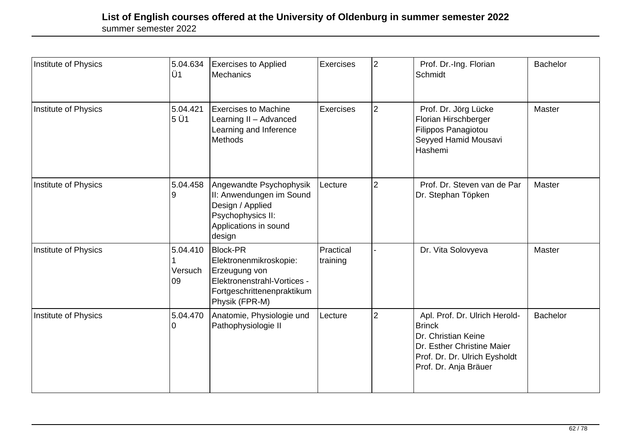| Institute of Physics | 5.04.634<br>Ü1            | <b>Exercises to Applied</b><br>Mechanics                                                                                                  | Exercises             | $\overline{2}$ | Prof. Dr.-Ing. Florian<br>Schmidt                                                                                                                             | <b>Bachelor</b> |
|----------------------|---------------------------|-------------------------------------------------------------------------------------------------------------------------------------------|-----------------------|----------------|---------------------------------------------------------------------------------------------------------------------------------------------------------------|-----------------|
| Institute of Physics | 5.04.421<br>5 Ü1          | <b>Exercises to Machine</b><br>Learning II - Advanced<br>Learning and Inference<br><b>Methods</b>                                         | Exercises             | $\overline{2}$ | Prof. Dr. Jörg Lücke<br>Florian Hirschberger<br>Filippos Panagiotou<br>Seyyed Hamid Mousavi<br>Hashemi                                                        | Master          |
| Institute of Physics | 5.04.458<br>9             | Angewandte Psychophysik<br>II: Anwendungen im Sound<br>Design / Applied<br>Psychophysics II:<br>Applications in sound<br>design           | Lecture               | $\overline{2}$ | Prof. Dr. Steven van de Par<br>Dr. Stephan Töpken                                                                                                             | Master          |
| Institute of Physics | 5.04.410<br>Versuch<br>09 | <b>Block-PR</b><br>Elektronenmikroskopie:<br>Erzeugung von<br>Elektronenstrahl-Vortices -<br>Fortgeschrittenenpraktikum<br>Physik (FPR-M) | Practical<br>training |                | Dr. Vita Solovyeva                                                                                                                                            | Master          |
| Institute of Physics | 5.04.470<br>0             | Anatomie, Physiologie und<br>Pathophysiologie II                                                                                          | Lecture               | $\overline{2}$ | Apl. Prof. Dr. Ulrich Herold-<br><b>Brinck</b><br>Dr. Christian Keine<br>Dr. Esther Christine Maier<br>Prof. Dr. Dr. Ulrich Eysholdt<br>Prof. Dr. Anja Bräuer | <b>Bachelor</b> |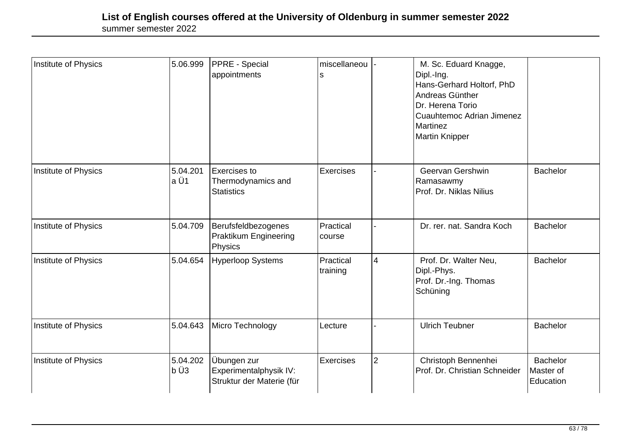| Institute of Physics | 5.06.999          | <b>PPRE</b> - Special<br>appointments                              | miscellaneou<br>s     |                | M. Sc. Eduard Knagge,<br>Dipl.-Ing.<br>Hans-Gerhard Holtorf, PhD<br>Andreas Günther<br>Dr. Herena Torio<br><b>Cuauhtemoc Adrian Jimenez</b><br><b>Martinez</b><br><b>Martin Knipper</b> |                                           |
|----------------------|-------------------|--------------------------------------------------------------------|-----------------------|----------------|-----------------------------------------------------------------------------------------------------------------------------------------------------------------------------------------|-------------------------------------------|
| Institute of Physics | 5.04.201<br>la Ü1 | Exercises to<br>Thermodynamics and<br><b>Statistics</b>            | Exercises             |                | Geervan Gershwin<br>Ramasawmy<br>Prof. Dr. Niklas Nilius                                                                                                                                | <b>Bachelor</b>                           |
| Institute of Physics | 5.04.709          | Berufsfeldbezogenes<br>Praktikum Engineering<br><b>Physics</b>     | Practical<br>course   |                | Dr. rer. nat. Sandra Koch                                                                                                                                                               | <b>Bachelor</b>                           |
| Institute of Physics | 5.04.654          | <b>Hyperloop Systems</b>                                           | Practical<br>training | $\overline{4}$ | Prof. Dr. Walter Neu,<br>Dipl.-Phys.<br>Prof. Dr.-Ing. Thomas<br>Schüning                                                                                                               | Bachelor                                  |
| Institute of Physics | 5.04.643          | Micro Technology                                                   | Lecture               |                | <b>Ulrich Teubner</b>                                                                                                                                                                   | <b>Bachelor</b>                           |
| Institute of Physics | 5.04.202<br>b Ü3  | Übungen zur<br>Experimentalphysik IV:<br>Struktur der Materie (für | Exercises             | $\overline{2}$ | Christoph Bennenhei<br>Prof. Dr. Christian Schneider                                                                                                                                    | <b>Bachelor</b><br>Master of<br>Education |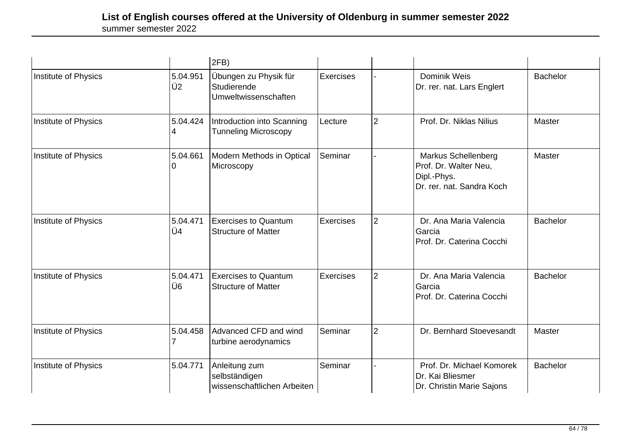|                      |                | 2FB)                                                          |                  |                |                                                                                          |                 |
|----------------------|----------------|---------------------------------------------------------------|------------------|----------------|------------------------------------------------------------------------------------------|-----------------|
| Institute of Physics | 5.04.951<br>Ü2 | Übungen zu Physik für<br>Studierende<br>Umweltwissenschaften  | <b>Exercises</b> |                | Dominik Weis<br>Dr. rer. nat. Lars Englert                                               | <b>Bachelor</b> |
| Institute of Physics | 5.04.424<br>4  | Introduction into Scanning<br><b>Tunneling Microscopy</b>     | Lecture          | $\overline{2}$ | Prof. Dr. Niklas Nilius                                                                  | Master          |
| Institute of Physics | 5.04.661<br>0  | <b>Modern Methods in Optical</b><br>Microscopy                | Seminar          |                | Markus Schellenberg<br>Prof. Dr. Walter Neu,<br>Dipl.-Phys.<br>Dr. rer. nat. Sandra Koch | Master          |
| Institute of Physics | 5.04.471<br>Ü4 | <b>Exercises to Quantum</b><br><b>Structure of Matter</b>     | <b>Exercises</b> | $\overline{2}$ | Dr. Ana Maria Valencia<br>Garcia<br>Prof. Dr. Caterina Cocchi                            | <b>Bachelor</b> |
| Institute of Physics | 5.04.471<br>Ü6 | <b>Exercises to Quantum</b><br><b>Structure of Matter</b>     | <b>Exercises</b> | $\overline{2}$ | Dr. Ana Maria Valencia<br>Garcia<br>Prof. Dr. Caterina Cocchi                            | <b>Bachelor</b> |
| Institute of Physics | 5.04.458<br>7  | Advanced CFD and wind<br>turbine aerodynamics                 | Seminar          | $\overline{2}$ | Dr. Bernhard Stoevesandt                                                                 | Master          |
| Institute of Physics | 5.04.771       | Anleitung zum<br>selbständigen<br>wissenschaftlichen Arbeiten | Seminar          |                | Prof. Dr. Michael Komorek<br>Dr. Kai Bliesmer<br>Dr. Christin Marie Sajons               | <b>Bachelor</b> |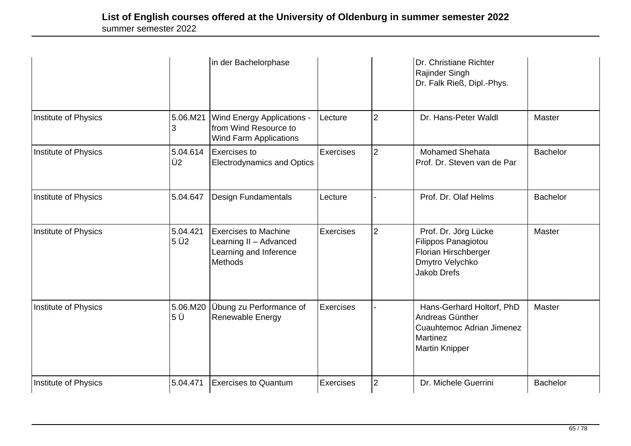|                      |                            | in der Bachelorphase                                                                              |                  |                | Dr. Christiane Richter<br>Rajinder Singh<br>Dr. Falk Rieß, Dipl.-Phys.                                                       |                 |
|----------------------|----------------------------|---------------------------------------------------------------------------------------------------|------------------|----------------|------------------------------------------------------------------------------------------------------------------------------|-----------------|
| Institute of Physics | 5.06.M21<br>3              | <b>Wind Energy Applications -</b><br>from Wind Resource to<br><b>Wind Farm Applications</b>       | Lecture          | $\overline{2}$ | Dr. Hans-Peter Waldl                                                                                                         | Master          |
| Institute of Physics | 5.04.614<br>Ü <sub>2</sub> | Exercises to<br><b>Electrodynamics and Optics</b>                                                 | <b>Exercises</b> | $\overline{2}$ | <b>Mohamed Shehata</b><br>Prof. Dr. Steven van de Par                                                                        | <b>Bachelor</b> |
| Institute of Physics | 5.04.647                   | <b>Design Fundamentals</b>                                                                        | Lecture          |                | Prof. Dr. Olaf Helms                                                                                                         | <b>Bachelor</b> |
| Institute of Physics | 5.04.421<br>5 Ü2           | <b>Exercises to Machine</b><br>Learning II - Advanced<br>Learning and Inference<br><b>Methods</b> | <b>Exercises</b> | $\overline{2}$ | Prof. Dr. Jörg Lücke<br>Filippos Panagiotou<br>Florian Hirschberger<br>Dmytro Velychko<br><b>Jakob Drefs</b>                 | <b>Master</b>   |
| Institute of Physics | 5.06.M20<br>5 Ü            | Übung zu Performance of<br>Renewable Energy                                                       | Exercises        |                | Hans-Gerhard Holtorf, PhD<br>Andreas Günther<br><b>Cuauhtemoc Adrian Jimenez</b><br><b>Martinez</b><br><b>Martin Knipper</b> | Master          |
| Institute of Physics | 5.04.471                   | <b>Exercises to Quantum</b>                                                                       | Exercises        | $\overline{2}$ | Dr. Michele Guerrini                                                                                                         | <b>Bachelor</b> |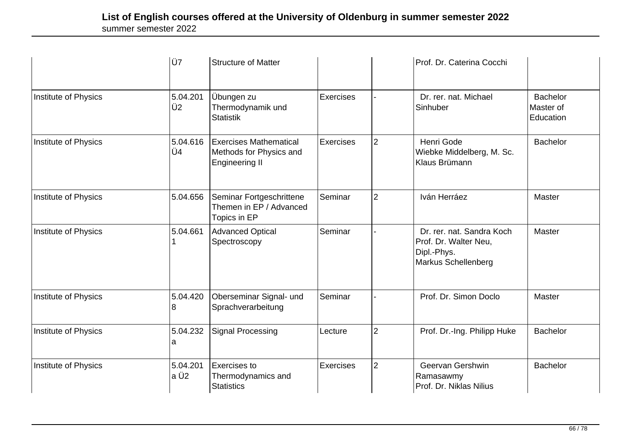|                      | Ü7               | <b>Structure of Matter</b>                                                        |                  |                | Prof. Dr. Caterina Cocchi                                                                |                                           |
|----------------------|------------------|-----------------------------------------------------------------------------------|------------------|----------------|------------------------------------------------------------------------------------------|-------------------------------------------|
| Institute of Physics | 5.04.201<br>Ü2   | Übungen zu<br>Thermodynamik und<br><b>Statistik</b>                               | <b>Exercises</b> |                | Dr. rer. nat. Michael<br>Sinhuber                                                        | <b>Bachelor</b><br>Master of<br>Education |
| Institute of Physics | 5.04.616<br>Ü4   | <b>Exercises Mathematical</b><br>Methods for Physics and<br><b>Engineering II</b> | <b>Exercises</b> | $\overline{2}$ | Henri Gode<br>Wiebke Middelberg, M. Sc.<br>Klaus Brümann                                 | <b>Bachelor</b>                           |
| Institute of Physics | 5.04.656         | Seminar Fortgeschrittene<br>Themen in EP / Advanced<br>Topics in EP               | Seminar          | $\overline{2}$ | Iván Herráez                                                                             | Master                                    |
| Institute of Physics | 5.04.661         | <b>Advanced Optical</b><br>Spectroscopy                                           | Seminar          |                | Dr. rer. nat. Sandra Koch<br>Prof. Dr. Walter Neu,<br>Dipl.-Phys.<br>Markus Schellenberg | <b>Master</b>                             |
| Institute of Physics | 5.04.420<br>8    | Oberseminar Signal- und<br>Sprachverarbeitung                                     | Seminar          |                | Prof. Dr. Simon Doclo                                                                    | <b>Master</b>                             |
| Institute of Physics | 5.04.232<br>a    | Signal Processing                                                                 | Lecture          | $\overline{2}$ | Prof. Dr.-Ing. Philipp Huke                                                              | <b>Bachelor</b>                           |
| Institute of Physics | 5.04.201<br>a Ü2 | Exercises to<br>Thermodynamics and<br><b>Statistics</b>                           | <b>Exercises</b> | $\overline{2}$ | Geervan Gershwin<br>Ramasawmy<br>Prof. Dr. Niklas Nilius                                 | <b>Bachelor</b>                           |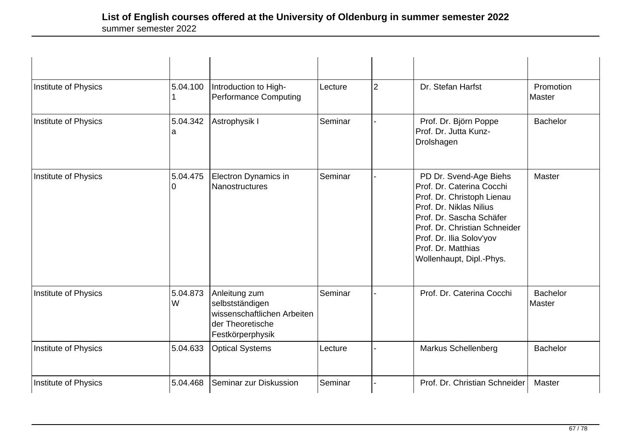| Institute of Physics | 5.04.100                 | Introduction to High-<br><b>Performance Computing</b>                                                   | Lecture | 2 | Dr. Stefan Harfst                                                                                                                                                                                                                                       | Promotion<br>Master       |
|----------------------|--------------------------|---------------------------------------------------------------------------------------------------------|---------|---|---------------------------------------------------------------------------------------------------------------------------------------------------------------------------------------------------------------------------------------------------------|---------------------------|
| Institute of Physics | 5.04.342<br>a            | Astrophysik I                                                                                           | Seminar |   | Prof. Dr. Björn Poppe<br>Prof. Dr. Jutta Kunz-<br>Drolshagen                                                                                                                                                                                            | <b>Bachelor</b>           |
| Institute of Physics | 5.04.475<br><sup>0</sup> | <b>Electron Dynamics in</b><br><b>Nanostructures</b>                                                    | Seminar |   | PD Dr. Svend-Age Biehs<br>Prof. Dr. Caterina Cocchi<br>Prof. Dr. Christoph Lienau<br>Prof. Dr. Niklas Nilius<br>Prof. Dr. Sascha Schäfer<br>Prof. Dr. Christian Schneider<br>Prof. Dr. Ilia Solov'yov<br>Prof. Dr. Matthias<br>Wollenhaupt, Dipl.-Phys. | Master                    |
| Institute of Physics | 5.04.873<br>W            | Anleitung zum<br>selbstständigen<br>wissenschaftlichen Arbeiten<br>der Theoretische<br>Festkörperphysik | Seminar |   | Prof. Dr. Caterina Cocchi                                                                                                                                                                                                                               | <b>Bachelor</b><br>Master |
| Institute of Physics | 5.04.633                 | <b>Optical Systems</b>                                                                                  | Lecture |   | Markus Schellenberg                                                                                                                                                                                                                                     | <b>Bachelor</b>           |
| Institute of Physics | 5.04.468                 | Seminar zur Diskussion                                                                                  | Seminar |   | Prof. Dr. Christian Schneider                                                                                                                                                                                                                           | Master                    |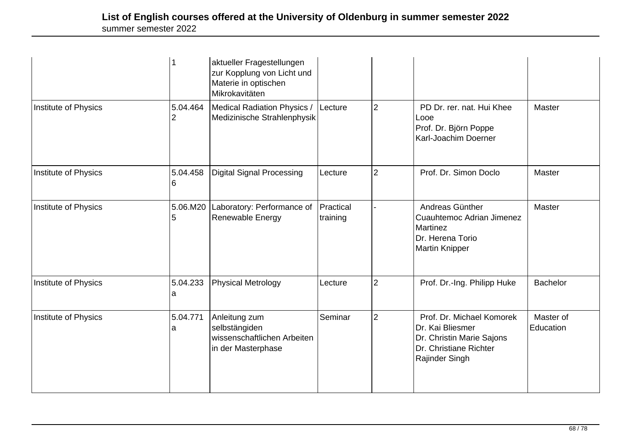|                      |               | aktueller Fragestellungen<br>zur Kopplung von Licht und<br>Materie in optischen<br>Mikrokavitäten |                       |                |                                                                                                                        |                        |
|----------------------|---------------|---------------------------------------------------------------------------------------------------|-----------------------|----------------|------------------------------------------------------------------------------------------------------------------------|------------------------|
| Institute of Physics | 5.04.464<br>2 | Medical Radiation Physics /<br>Medizinische Strahlenphysik                                        | Lecture               | 2              | PD Dr. rer. nat. Hui Khee<br>Looe<br>Prof. Dr. Björn Poppe<br>Karl-Joachim Doerner                                     | Master                 |
| Institute of Physics | 5.04.458<br>6 | <b>Digital Signal Processing</b>                                                                  | Lecture               | 2              | Prof. Dr. Simon Doclo                                                                                                  | Master                 |
| Institute of Physics | 5.06.M20<br>5 | Laboratory: Performance of<br>Renewable Energy                                                    | Practical<br>training |                | Andreas Günther<br>Cuauhtemoc Adrian Jimenez<br>Martinez<br>Dr. Herena Torio<br>Martin Knipper                         | Master                 |
| Institute of Physics | 5.04.233<br>a | <b>Physical Metrology</b>                                                                         | Lecture               | $\overline{2}$ | Prof. Dr.-Ing. Philipp Huke                                                                                            | <b>Bachelor</b>        |
| Institute of Physics | 5.04.771<br>a | Anleitung zum<br>selbstängiden<br>wissenschaftlichen Arbeiten<br>in der Masterphase               | Seminar               | $\overline{2}$ | Prof. Dr. Michael Komorek<br>Dr. Kai Bliesmer<br>Dr. Christin Marie Sajons<br>Dr. Christiane Richter<br>Rajinder Singh | Master of<br>Education |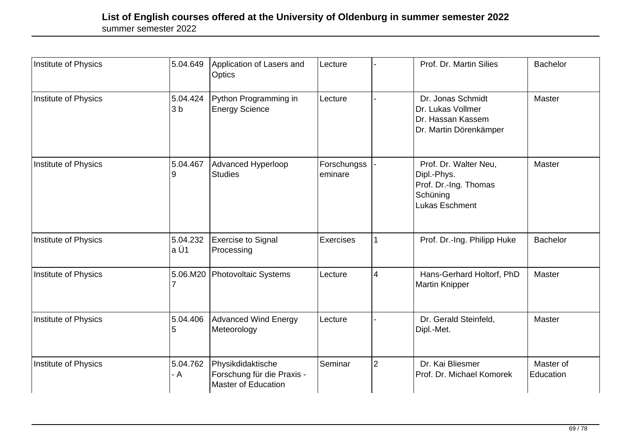| Institute of Physics | 5.04.649                   | Application of Lasers and<br>Optics                                           | Lecture                |                | Prof. Dr. Martin Silies                                                                     | <b>Bachelor</b>        |
|----------------------|----------------------------|-------------------------------------------------------------------------------|------------------------|----------------|---------------------------------------------------------------------------------------------|------------------------|
| Institute of Physics | 5.04.424<br>3 <sub>b</sub> | Python Programming in<br><b>Energy Science</b>                                | Lecture                |                | Dr. Jonas Schmidt<br>Dr. Lukas Vollmer<br>Dr. Hassan Kassem<br>Dr. Martin Dörenkämper       | Master                 |
| Institute of Physics | 5.04.467                   | Advanced Hyperloop<br><b>Studies</b>                                          | Forschungss<br>eminare |                | Prof. Dr. Walter Neu,<br>Dipl.-Phys.<br>Prof. Dr.-Ing. Thomas<br>Schüning<br>Lukas Eschment | Master                 |
| Institute of Physics | 5.04.232<br>a Ü1           | Exercise to Signal<br>Processing                                              | Exercises              |                | Prof. Dr.-Ing. Philipp Huke                                                                 | <b>Bachelor</b>        |
| Institute of Physics | 5.06.M20                   | Photovoltaic Systems                                                          | Lecture                | 4              | Hans-Gerhard Holtorf, PhD<br><b>Martin Knipper</b>                                          | Master                 |
| Institute of Physics | 5.04.406<br>5              | Advanced Wind Energy<br>Meteorology                                           | Lecture                |                | Dr. Gerald Steinfeld,<br>Dipl.-Met.                                                         | Master                 |
| Institute of Physics | 5.04.762<br>- A            | Physikdidaktische<br>Forschung für die Praxis -<br><b>Master of Education</b> | Seminar                | $\overline{2}$ | Dr. Kai Bliesmer<br>Prof. Dr. Michael Komorek                                               | Master of<br>Education |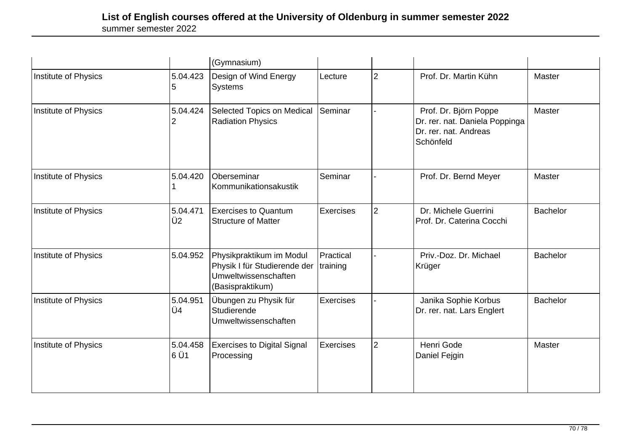|                      |                            | (Gymnasium)                                                                                          |                       |                |                                                                                               |                 |
|----------------------|----------------------------|------------------------------------------------------------------------------------------------------|-----------------------|----------------|-----------------------------------------------------------------------------------------------|-----------------|
| Institute of Physics | 5.04.423<br>5              | Design of Wind Energy<br>Systems                                                                     | Lecture               | $\overline{2}$ | Prof. Dr. Martin Kühn                                                                         | Master          |
| Institute of Physics | 5.04.424<br>2              | Selected Topics on Medical<br><b>Radiation Physics</b>                                               | Seminar               |                | Prof. Dr. Björn Poppe<br>Dr. rer. nat. Daniela Poppinga<br>Dr. rer. nat. Andreas<br>Schönfeld | Master          |
| Institute of Physics | 5.04.420                   | Oberseminar<br>Kommunikationsakustik                                                                 | Seminar               |                | Prof. Dr. Bernd Meyer                                                                         | Master          |
| Institute of Physics | 5.04.471<br>Ü <sub>2</sub> | <b>Exercises to Quantum</b><br><b>Structure of Matter</b>                                            | <b>Exercises</b>      | $\overline{2}$ | Dr. Michele Guerrini<br>Prof. Dr. Caterina Cocchi                                             | <b>Bachelor</b> |
| Institute of Physics | 5.04.952                   | Physikpraktikum im Modul<br>Physik I für Studierende der<br>Umweltwissenschaften<br>(Basispraktikum) | Practical<br>training |                | Priv.-Doz. Dr. Michael<br>Krüger                                                              | <b>Bachelor</b> |
| Institute of Physics | 5.04.951<br>Ü4             | Übungen zu Physik für<br>Studierende<br>Umweltwissenschaften                                         | <b>Exercises</b>      |                | Janika Sophie Korbus<br>Dr. rer. nat. Lars Englert                                            | <b>Bachelor</b> |
| Institute of Physics | 5.04.458<br>l6 Ü1          | <b>Exercises to Digital Signal</b><br>Processing                                                     | <b>Exercises</b>      | $\overline{2}$ | <b>Henri Gode</b><br>Daniel Fejgin                                                            | Master          |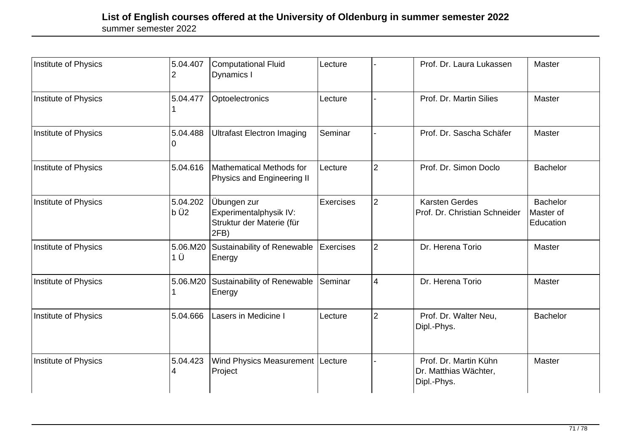| Institute of Physics | 5.04.407          | <b>Computational Fluid</b><br>Dynamics I                                   | Lecture        |                | Prof. Dr. Laura Lukassen                                      | Master                                    |
|----------------------|-------------------|----------------------------------------------------------------------------|----------------|----------------|---------------------------------------------------------------|-------------------------------------------|
| Institute of Physics | 5.04.477          | Optoelectronics                                                            | Lecture        |                | Prof. Dr. Martin Silies                                       | Master                                    |
| Institute of Physics | 5.04.488          | <b>Ultrafast Electron Imaging</b>                                          | Seminar        |                | Prof. Dr. Sascha Schäfer                                      | Master                                    |
| Institute of Physics | 5.04.616          | Mathematical Methods for<br>Physics and Engineering II                     | Lecture        | $\overline{2}$ | Prof. Dr. Simon Doclo                                         | <b>Bachelor</b>                           |
| Institute of Physics | 5.04.202<br>lb Ü2 | Übungen zur<br>Experimentalphysik IV:<br>Struktur der Materie (für<br>2FB) | Exercises      | $\overline{2}$ | <b>Karsten Gerdes</b><br>Prof. Dr. Christian Schneider        | <b>Bachelor</b><br>Master of<br>Education |
| Institute of Physics | 5.06.M20<br>1 Ü   | Sustainability of Renewable<br>Energy                                      | Exercises      | $\overline{2}$ | Dr. Herena Torio                                              | Master                                    |
| Institute of Physics | 5.06.M20          | Sustainability of Renewable<br>Energy                                      | <b>Seminar</b> | $\overline{4}$ | Dr. Herena Torio                                              | Master                                    |
| Institute of Physics | 5.04.666          | Lasers in Medicine I                                                       | Lecture        | $\overline{2}$ | Prof. Dr. Walter Neu,<br>Dipl.-Phys.                          | <b>Bachelor</b>                           |
| Institute of Physics | 5.04.423<br>4     | Wind Physics Measurement<br>Project                                        | Lecture        |                | Prof. Dr. Martin Kühn<br>Dr. Matthias Wächter,<br>Dipl.-Phys. | Master                                    |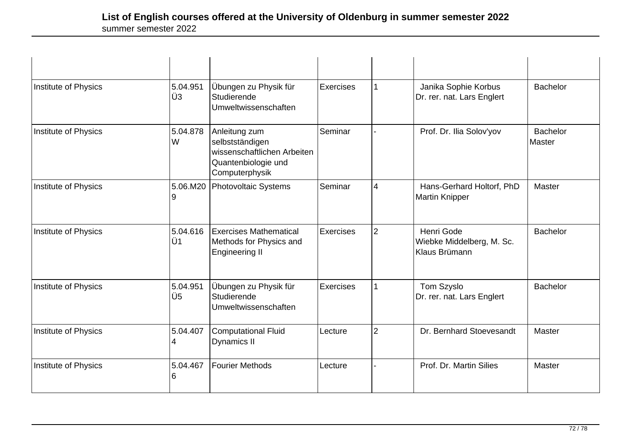| Institute of Physics | 5.04.951<br>Ü3 | Übungen zu Physik für<br>Studierende<br>Umweltwissenschaften                                             | <b>Exercises</b> | $\mathbf{1}$             | Janika Sophie Korbus<br>Dr. rer. nat. Lars Englert       | <b>Bachelor</b>                  |
|----------------------|----------------|----------------------------------------------------------------------------------------------------------|------------------|--------------------------|----------------------------------------------------------|----------------------------------|
| Institute of Physics | 5.04.878<br>W  | Anleitung zum<br>selbstständigen<br>wissenschaftlichen Arbeiten<br>Quantenbiologie und<br>Computerphysik | Seminar          |                          | Prof. Dr. Ilia Solov'yov                                 | <b>Bachelor</b><br><b>Master</b> |
| Institute of Physics | 5.06.M20<br>9  | <b>Photovoltaic Systems</b>                                                                              | Seminar          | $\overline{\mathcal{A}}$ | Hans-Gerhard Holtorf, PhD<br><b>Martin Knipper</b>       | Master                           |
| Institute of Physics | 5.04.616<br>Ü1 | <b>Exercises Mathematical</b><br>Methods for Physics and<br><b>Engineering II</b>                        | <b>Exercises</b> | $\overline{2}$           | Henri Gode<br>Wiebke Middelberg, M. Sc.<br>Klaus Brümann | <b>Bachelor</b>                  |
| Institute of Physics | 5.04.951<br>Ü5 | Übungen zu Physik für<br>Studierende<br>Umweltwissenschaften                                             | Exercises        | 1                        | Tom Szyslo<br>Dr. rer. nat. Lars Englert                 | <b>Bachelor</b>                  |
| Institute of Physics | 5.04.407<br>4  | <b>Computational Fluid</b><br>Dynamics II                                                                | Lecture          | $\overline{2}$           | Dr. Bernhard Stoevesandt                                 | Master                           |
| Institute of Physics | 5.04.467<br>6  | <b>Fourier Methods</b>                                                                                   | Lecture          |                          | Prof. Dr. Martin Silies                                  | Master                           |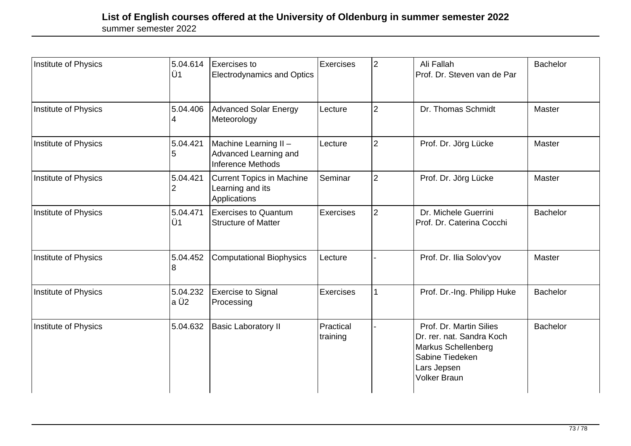| Institute of Physics | 5.04.614<br>Ü1    | <b>Exercises to</b><br><b>Electrodynamics and Optics</b>                   | Exercises             | $\overline{2}$ | Ali Fallah<br>Prof. Dr. Steven van de Par                                                                                            | <b>Bachelor</b> |
|----------------------|-------------------|----------------------------------------------------------------------------|-----------------------|----------------|--------------------------------------------------------------------------------------------------------------------------------------|-----------------|
| Institute of Physics | 5.04.406<br>4     | <b>Advanced Solar Energy</b><br>Meteorology                                | Lecture               | $\overline{2}$ | Dr. Thomas Schmidt                                                                                                                   | Master          |
| Institute of Physics | 5.04.421<br>5     | Machine Learning II -<br>Advanced Learning and<br><b>Inference Methods</b> | Lecture               | $\overline{2}$ | Prof. Dr. Jörg Lücke                                                                                                                 | Master          |
| Institute of Physics | 5.04.421<br>2     | <b>Current Topics in Machine</b><br>Learning and its<br>Applications       | Seminar               | $\overline{2}$ | Prof. Dr. Jörg Lücke                                                                                                                 | Master          |
| Institute of Physics | 5.04.471<br>Ü1    | <b>Exercises to Quantum</b><br><b>Structure of Matter</b>                  | Exercises             | $\overline{2}$ | Dr. Michele Guerrini<br>Prof. Dr. Caterina Cocchi                                                                                    | <b>Bachelor</b> |
| Institute of Physics | 5.04.452<br>8     | <b>Computational Biophysics</b>                                            | Lecture               |                | Prof. Dr. Ilia Solov'yov                                                                                                             | <b>Master</b>   |
| Institute of Physics | 5.04.232<br>la Ü2 | <b>Exercise to Signal</b><br>Processing                                    | <b>Exercises</b>      |                | Prof. Dr.-Ing. Philipp Huke                                                                                                          | <b>Bachelor</b> |
| Institute of Physics | 5.04.632          | <b>Basic Laboratory II</b>                                                 | Practical<br>training |                | Prof. Dr. Martin Silies<br>Dr. rer. nat. Sandra Koch<br>Markus Schellenberg<br>Sabine Tiedeken<br>Lars Jepsen<br><b>Volker Braun</b> | <b>Bachelor</b> |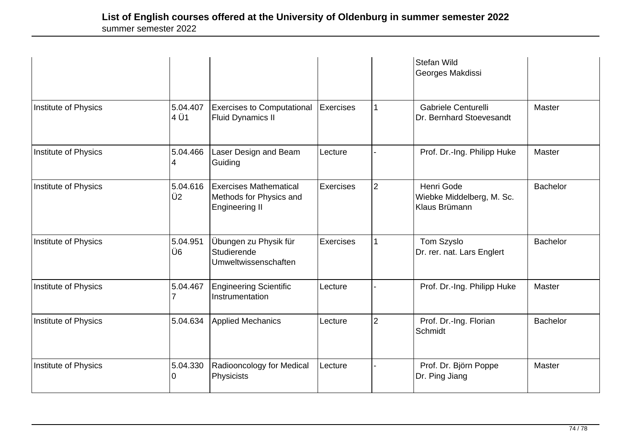|                      |                  |                                                                                   |                  |                | Stefan Wild<br>Georges Makdissi                          |                 |
|----------------------|------------------|-----------------------------------------------------------------------------------|------------------|----------------|----------------------------------------------------------|-----------------|
| Institute of Physics | 5.04.407<br>4 Ü1 | <b>Exercises to Computational</b><br><b>Fluid Dynamics II</b>                     | <b>Exercises</b> | 1              | Gabriele Centurelli<br>Dr. Bernhard Stoevesandt          | Master          |
| Institute of Physics | 5.04.466<br>4    | Laser Design and Beam<br>Guiding                                                  | Lecture          |                | Prof. Dr.-Ing. Philipp Huke                              | Master          |
| Institute of Physics | 5.04.616<br>Ü2   | <b>Exercises Mathematical</b><br>Methods for Physics and<br><b>Engineering II</b> | <b>Exercises</b> | $\overline{2}$ | Henri Gode<br>Wiebke Middelberg, M. Sc.<br>Klaus Brümann | <b>Bachelor</b> |
| Institute of Physics | 5.04.951<br>Ü6   | Übungen zu Physik für<br>Studierende<br>Umweltwissenschaften                      | <b>Exercises</b> |                | Tom Szyslo<br>Dr. rer. nat. Lars Englert                 | <b>Bachelor</b> |
| Institute of Physics | 5.04.467         | <b>Engineering Scientific</b><br>Instrumentation                                  | Lecture          |                | Prof. Dr.-Ing. Philipp Huke                              | Master          |
| Institute of Physics | 5.04.634         | <b>Applied Mechanics</b>                                                          | Lecture          | $\overline{2}$ | Prof. Dr.-Ing. Florian<br>Schmidt                        | <b>Bachelor</b> |
| Institute of Physics | 5.04.330<br>O    | Radiooncology for Medical<br>Physicists                                           | Lecture          |                | Prof. Dr. Björn Poppe<br>Dr. Ping Jiang                  | <b>Master</b>   |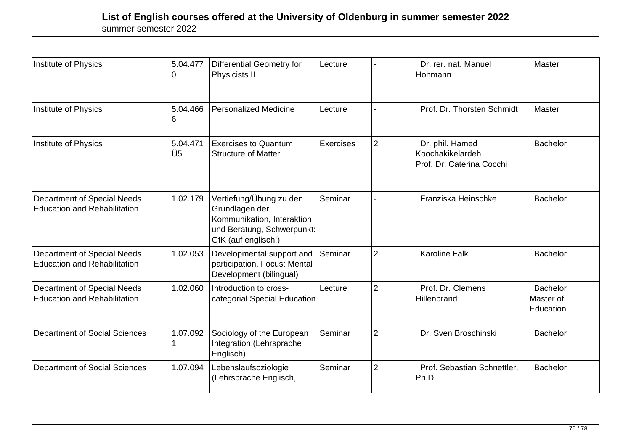| Institute of Physics                                                      | 5.04.477       | Differential Geometry for<br>Physicists II                                                                                   | Lecture          |                | Dr. rer. nat. Manuel<br>Hohmann                                  | Master                                    |
|---------------------------------------------------------------------------|----------------|------------------------------------------------------------------------------------------------------------------------------|------------------|----------------|------------------------------------------------------------------|-------------------------------------------|
| <b>Institute of Physics</b>                                               | 5.04.466<br>6  | <b>Personalized Medicine</b>                                                                                                 | Lecture          |                | Prof. Dr. Thorsten Schmidt                                       | Master                                    |
| Institute of Physics                                                      | 5.04.471<br>Ü5 | <b>Exercises to Quantum</b><br><b>Structure of Matter</b>                                                                    | <b>Exercises</b> | $\overline{2}$ | Dr. phil. Hamed<br>Koochakikelardeh<br>Prof. Dr. Caterina Cocchi | <b>Bachelor</b>                           |
| <b>Department of Special Needs</b><br><b>Education and Rehabilitation</b> | 1.02.179       | Vertiefung/Übung zu den<br>Grundlagen der<br>Kommunikation, Interaktion<br>und Beratung, Schwerpunkt:<br>GfK (auf englisch!) | Seminar          |                | Franziska Heinschke                                              | <b>Bachelor</b>                           |
| <b>Department of Special Needs</b><br><b>Education and Rehabilitation</b> | 1.02.053       | Developmental support and<br>participation. Focus: Mental<br>Development (bilingual)                                         | lSeminar         | <sup>2</sup>   | <b>Karoline Falk</b>                                             | <b>Bachelor</b>                           |
| <b>Department of Special Needs</b><br><b>Education and Rehabilitation</b> | 1.02.060       | Introduction to cross-<br>categorial Special Education                                                                       | Lecture          | 2              | Prof. Dr. Clemens<br>Hillenbrand                                 | <b>Bachelor</b><br>Master of<br>Education |
| <b>Department of Social Sciences</b>                                      | 1.07.092       | Sociology of the European<br>Integration (Lehrsprache<br>Englisch)                                                           | Seminar          | $\overline{2}$ | Dr. Sven Broschinski                                             | <b>Bachelor</b>                           |
| <b>Department of Social Sciences</b>                                      | 1.07.094       | Lebenslaufsoziologie<br>(Lehrsprache Englisch,                                                                               | Seminar          | 2              | Prof. Sebastian Schnettler,<br>Ph.D.                             | <b>Bachelor</b>                           |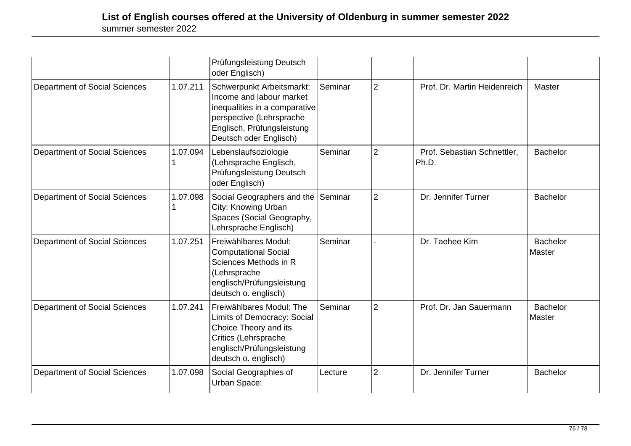|                                      |          | Prüfungsleistung Deutsch<br>oder Englisch)                                                                                                                                 |         |                |                                      |                           |
|--------------------------------------|----------|----------------------------------------------------------------------------------------------------------------------------------------------------------------------------|---------|----------------|--------------------------------------|---------------------------|
| <b>Department of Social Sciences</b> | 1.07.211 | Schwerpunkt Arbeitsmarkt:<br>Income and labour market<br>inequalities in a comparative<br>perspective (Lehrsprache<br>Englisch, Prüfungsleistung<br>Deutsch oder Englisch) | Seminar | $\overline{2}$ | Prof. Dr. Martin Heidenreich         | Master                    |
| Department of Social Sciences        | 1.07.094 | Lebenslaufsoziologie<br>(Lehrsprache Englisch,<br>Prüfungsleistung Deutsch<br>oder Englisch)                                                                               | Seminar | $\overline{2}$ | Prof. Sebastian Schnettler,<br>Ph.D. | <b>Bachelor</b>           |
| <b>Department of Social Sciences</b> | 1.07.098 | Social Geographers and the<br>City: Knowing Urban<br>Spaces (Social Geography,<br>Lehrsprache Englisch)                                                                    | Seminar | $\overline{2}$ | Dr. Jennifer Turner                  | <b>Bachelor</b>           |
| <b>Department of Social Sciences</b> | 1.07.251 | Freiwählbares Modul:<br><b>Computational Social</b><br>Sciences Methods in R<br>(Lehrsprache<br>englisch/Prüfungsleistung<br>deutsch o. englisch)                          | Seminar |                | Dr. Taehee Kim                       | <b>Bachelor</b><br>Master |
| <b>Department of Social Sciences</b> | 1.07.241 | Freiwählbares Modul: The<br>Limits of Democracy: Social<br>Choice Theory and its<br>Critics (Lehrsprache<br>englisch/Prüfungsleistung<br>deutsch o. englisch)              | Seminar | $\overline{2}$ | Prof. Dr. Jan Sauermann              | <b>Bachelor</b><br>Master |
| <b>Department of Social Sciences</b> | 1.07.098 | Social Geographies of<br>Urban Space:                                                                                                                                      | Lecture | $\overline{2}$ | Dr. Jennifer Turner                  | <b>Bachelor</b>           |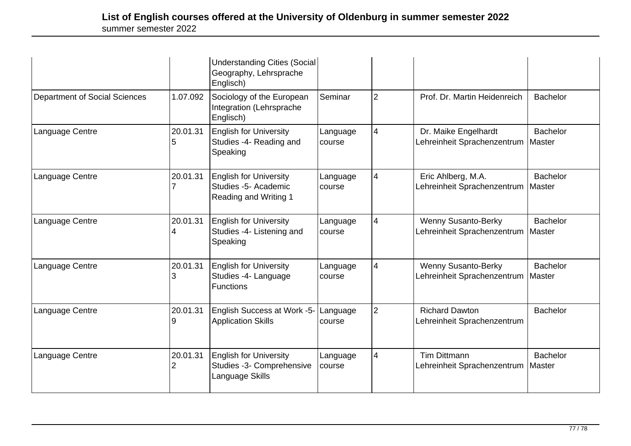|                                      |               | <b>Understanding Cities (Social</b><br>Geography, Lehrsprache<br>Englisch)     |                    |                |                                                                    |                           |
|--------------------------------------|---------------|--------------------------------------------------------------------------------|--------------------|----------------|--------------------------------------------------------------------|---------------------------|
| <b>Department of Social Sciences</b> | 1.07.092      | Sociology of the European<br>Integration (Lehrsprache<br>Englisch)             | Seminar            | $\overline{2}$ | Prof. Dr. Martin Heidenreich                                       | <b>Bachelor</b>           |
| Language Centre                      | 20.01.31      | <b>English for University</b><br>Studies -4- Reading and<br>Speaking           | Language<br>course | $\overline{4}$ | Dr. Maike Engelhardt<br>Lehreinheit Sprachenzentrum                | <b>Bachelor</b><br>Master |
| Language Centre                      | 20.01.31      | <b>English for University</b><br>Studies -5- Academic<br>Reading and Writing 1 | Language<br>course | $\overline{4}$ | Eric Ahlberg, M.A.<br>Lehreinheit Sprachenzentrum   Master         | <b>Bachelor</b>           |
| Language Centre                      | 20.01.31      | <b>English for University</b><br>Studies -4- Listening and<br>Speaking         | Language<br>course | $\overline{4}$ | <b>Wenny Susanto-Berky</b><br>Lehreinheit Sprachenzentrum   Master | <b>Bachelor</b>           |
| Language Centre                      | 20.01.31<br>3 | <b>English for University</b><br>Studies -4- Language<br><b>Functions</b>      | Language<br>course | $\overline{4}$ | Wenny Susanto-Berky<br>Lehreinheit Sprachenzentrum                 | <b>Bachelor</b><br>Master |
| Language Centre                      | 20.01.31      | English Success at Work -5-<br><b>Application Skills</b>                       | Language<br>course | $\overline{2}$ | <b>Richard Dawton</b><br>Lehreinheit Sprachenzentrum               | <b>Bachelor</b>           |
| Language Centre                      | 20.01.31<br>2 | <b>English for University</b><br>Studies -3- Comprehensive<br>Language Skills  | Language<br>course | $\overline{4}$ | <b>Tim Dittmann</b><br>Lehreinheit Sprachenzentrum   Master        | <b>Bachelor</b>           |